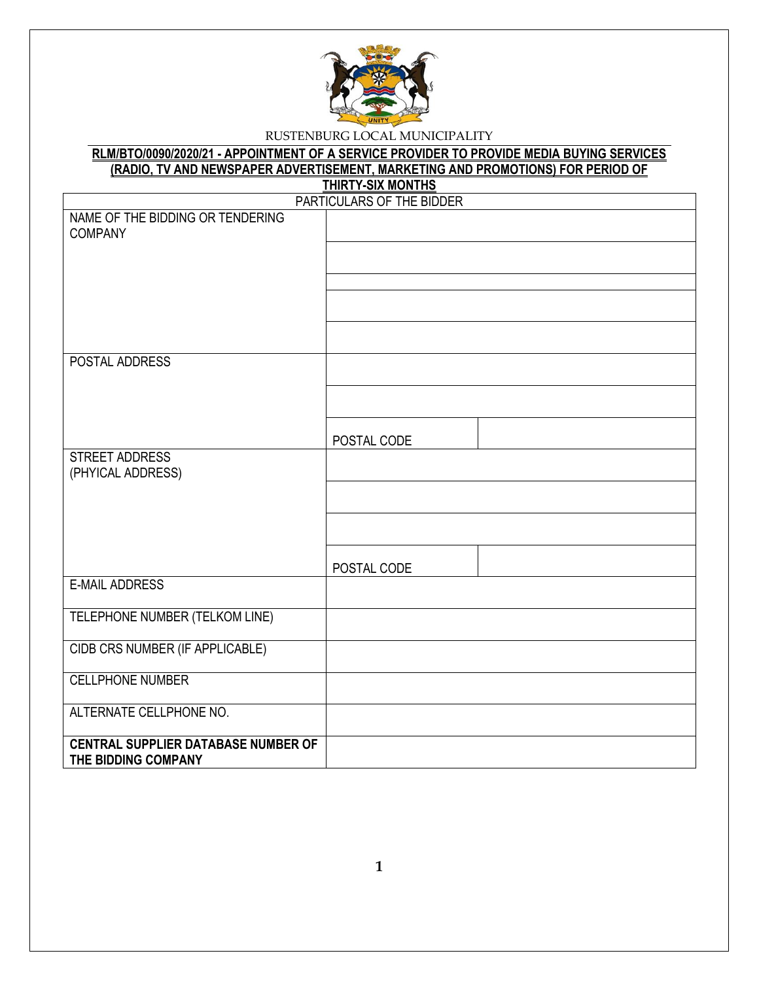

#### **RLM/BTO/0090/2020/21 - APPOINTMENT OF A SERVICE PROVIDER TO PROVIDE MEDIA BUYING SERVICES (RADIO, TV AND NEWSPAPER ADVERTISEMENT, MARKETING AND PROMOTIONS) FOR PERIOD OF THIRTY-SIX MONTHS**

|                                                                   | <u> טוווועוועוווער וווערוווע</u><br>PARTICULARS OF THE BIDDER |
|-------------------------------------------------------------------|---------------------------------------------------------------|
| NAME OF THE BIDDING OR TENDERING<br><b>COMPANY</b>                |                                                               |
|                                                                   |                                                               |
|                                                                   |                                                               |
|                                                                   |                                                               |
|                                                                   |                                                               |
| POSTAL ADDRESS                                                    |                                                               |
|                                                                   |                                                               |
|                                                                   | POSTAL CODE                                                   |
| STREET ADDRESS<br>(PHYICAL ADDRESS)                               |                                                               |
|                                                                   |                                                               |
|                                                                   |                                                               |
|                                                                   | POSTAL CODE                                                   |
| <b>E-MAIL ADDRESS</b>                                             |                                                               |
| TELEPHONE NUMBER (TELKOM LINE)                                    |                                                               |
| CIDB CRS NUMBER (IF APPLICABLE)                                   |                                                               |
| <b>CELLPHONE NUMBER</b>                                           |                                                               |
| ALTERNATE CELLPHONE NO.                                           |                                                               |
| <b>CENTRAL SUPPLIER DATABASE NUMBER OF</b><br>THE BIDDING COMPANY |                                                               |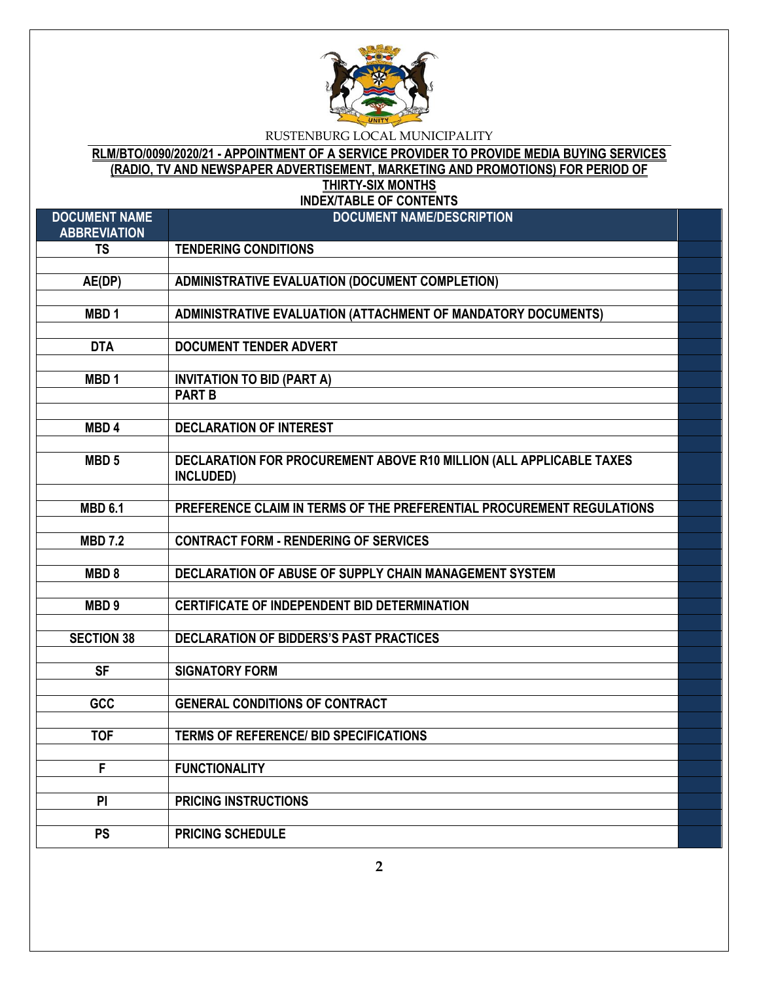

# **RLM/BTO/0090/2020/21 - APPOINTMENT OF A SERVICE PROVIDER TO PROVIDE MEDIA BUYING SERVICES (RADIO, TV AND NEWSPAPER ADVERTISEMENT, MARKETING AND PROMOTIONS) FOR PERIOD OF THIRTY-SIX MONTHS**

**INDEX/TABLE OF CONTENTS**

| <b>DOCUMENT NAME</b><br><b>ABBREVIATION</b> | <b>DOCUMENT NAME/DESCRIPTION</b>                                      |  |
|---------------------------------------------|-----------------------------------------------------------------------|--|
| <b>TS</b>                                   | <b>TENDERING CONDITIONS</b>                                           |  |
|                                             |                                                                       |  |
| AE(DP)                                      | <b>ADMINISTRATIVE EVALUATION (DOCUMENT COMPLETION)</b>                |  |
|                                             |                                                                       |  |
| MBD <sub>1</sub>                            | ADMINISTRATIVE EVALUATION (ATTACHMENT OF MANDATORY DOCUMENTS)         |  |
|                                             |                                                                       |  |
| <b>DTA</b>                                  | <b>DOCUMENT TENDER ADVERT</b>                                         |  |
|                                             |                                                                       |  |
| MBD <sub>1</sub>                            | <b>INVITATION TO BID (PART A)</b>                                     |  |
|                                             | <b>PART B</b>                                                         |  |
|                                             |                                                                       |  |
| MBD <sub>4</sub>                            | <b>DECLARATION OF INTEREST</b>                                        |  |
|                                             |                                                                       |  |
| MBD <sub>5</sub>                            | DECLARATION FOR PROCUREMENT ABOVE R10 MILLION (ALL APPLICABLE TAXES   |  |
|                                             | INCLUDED)                                                             |  |
|                                             |                                                                       |  |
| <b>MBD 6.1</b>                              | PREFERENCE CLAIM IN TERMS OF THE PREFERENTIAL PROCUREMENT REGULATIONS |  |
|                                             |                                                                       |  |
| <b>MBD 7.2</b>                              | <b>CONTRACT FORM - RENDERING OF SERVICES</b>                          |  |
|                                             |                                                                       |  |
| MBD <sub>8</sub>                            | DECLARATION OF ABUSE OF SUPPLY CHAIN MANAGEMENT SYSTEM                |  |
|                                             |                                                                       |  |
| MBD <sub>9</sub>                            | CERTIFICATE OF INDEPENDENT BID DETERMINATION                          |  |
|                                             |                                                                       |  |
| <b>SECTION 38</b>                           | DECLARATION OF BIDDERS'S PAST PRACTICES                               |  |
|                                             |                                                                       |  |
| <b>SF</b>                                   | <b>SIGNATORY FORM</b>                                                 |  |
|                                             |                                                                       |  |
| <b>GCC</b>                                  | <b>GENERAL CONDITIONS OF CONTRACT</b>                                 |  |
|                                             |                                                                       |  |
| <b>TOF</b>                                  | <b>TERMS OF REFERENCE/ BID SPECIFICATIONS</b>                         |  |
|                                             |                                                                       |  |
| $\overline{\mathsf{F}}$                     | <b>FUNCTIONALITY</b>                                                  |  |
|                                             |                                                                       |  |
| PI                                          | <b>PRICING INSTRUCTIONS</b>                                           |  |
|                                             |                                                                       |  |
| <b>PS</b>                                   | <b>PRICING SCHEDULE</b>                                               |  |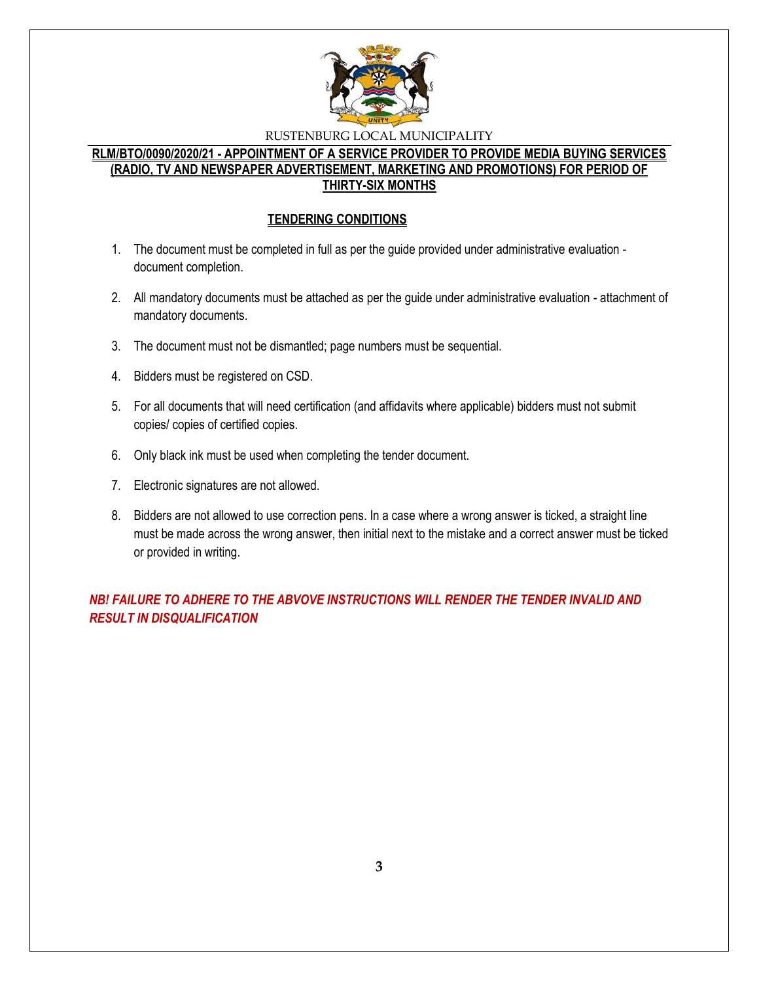

### **RLM/BTO/0090/2020/21 - APPOINTMENT OF A SERVICE PROVIDER TO PROVIDE MEDIA BUYING SERVICES (RADIO, TV AND NEWSPAPER ADVERTISEMENT, MARKETING AND PROMOTIONS) FOR PERIOD OF THIRTY-SIX MONTHS**

#### **TENDERING CONDITIONS**

- 1. The document must be completed in full as per the guide provided under administrative evaluation document completion.
- 2. All mandatory documents must be attached as per the guide under administrative evaluation attachment of mandatory documents.
- 3. The document must not be dismantled; page numbers must be sequential.
- 4. Bidders must be registered on CSD.
- 5. For all documents that will need certification (and affidavits where applicable) bidders must not submit copies/ copies of certified copies.
- 6. Only black ink must be used when completing the tender document.
- 7. Electronic signatures are not allowed.
- 8. Bidders are not allowed to use correction pens. In a case where a wrong answer is ticked, a straight line must be made across the wrong answer, then initial next to the mistake and a correct answer must be ticked or provided in writing.

*NB! FAILURE TO ADHERE TO THE ABVOVE INSTRUCTIONS WILL RENDER THE TENDER INVALID AND RESULT IN DISQUALIFICATION*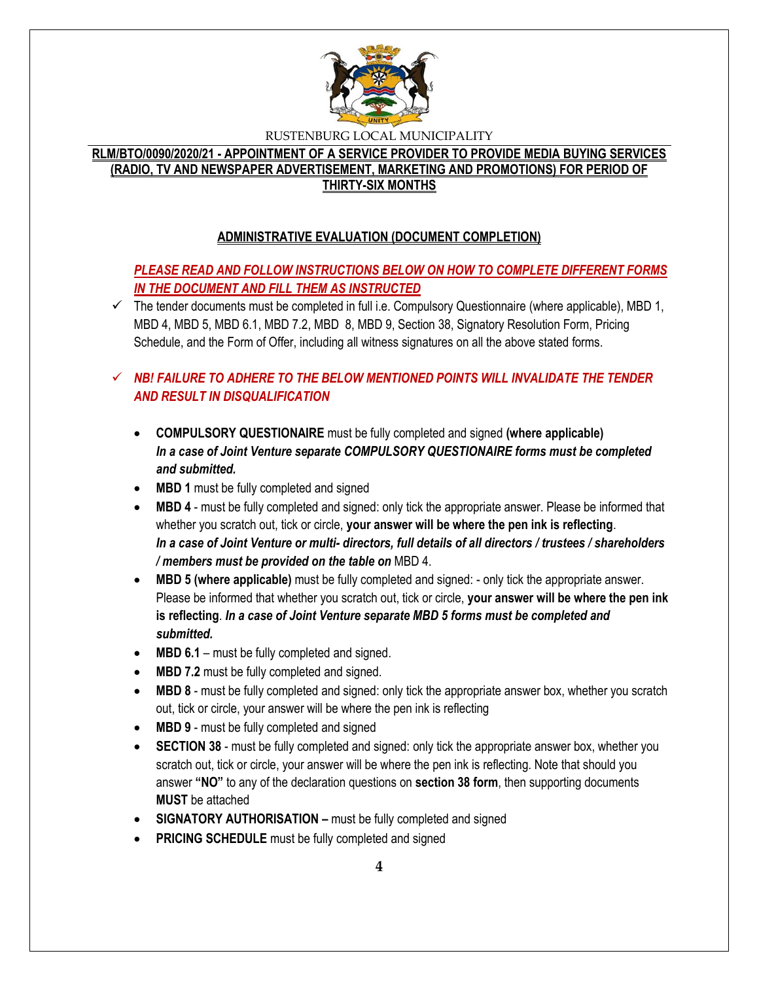

# **RLM/BTO/0090/2020/21 - APPOINTMENT OF A SERVICE PROVIDER TO PROVIDE MEDIA BUYING SERVICES (RADIO, TV AND NEWSPAPER ADVERTISEMENT, MARKETING AND PROMOTIONS) FOR PERIOD OF THIRTY-SIX MONTHS**

# **ADMINISTRATIVE EVALUATION (DOCUMENT COMPLETION)**

# *PLEASE READ AND FOLLOW INSTRUCTIONS BELOW ON HOW TO COMPLETE DIFFERENT FORMS IN THE DOCUMENT AND FILL THEM AS INSTRUCTED*

 $\checkmark$  The tender documents must be completed in full i.e. Compulsory Questionnaire (where applicable), MBD 1, MBD 4, MBD 5, MBD 6.1, MBD 7.2, MBD 8, MBD 9, Section 38, Signatory Resolution Form, Pricing Schedule, and the Form of Offer, including all witness signatures on all the above stated forms.

# $\checkmark$  **NB! FAILURE TO ADHERE TO THE BELOW MENTIONED POINTS WILL INVALIDATE THE TENDER** *AND RESULT IN DISQUALIFICATION*

- **COMPULSORY QUESTIONAIRE** must be fully completed and signed **(where applicable)** *In a case of Joint Venture separate COMPULSORY QUESTIONAIRE forms must be completed and submitted.*
- MBD 1 must be fully completed and signed
- **MBD 4** must be fully completed and signed: only tick the appropriate answer. Please be informed that whether you scratch out, tick or circle, **your answer will be where the pen ink is reflecting**. *In a case of Joint Venture or multi- directors, full details of all directors / trustees / shareholders / members must be provided on the table on* MBD 4.
- **MBD 5 (where applicable)** must be fully completed and signed: only tick the appropriate answer. Please be informed that whether you scratch out, tick or circle, **your answer will be where the pen ink is reflecting**. *In a case of Joint Venture separate MBD 5 forms must be completed and submitted.*
- MBD 6.1 must be fully completed and signed.
- **MBD 7.2** must be fully completed and signed.
- **MBD 8** must be fully completed and signed: only tick the appropriate answer box, whether you scratch out, tick or circle, your answer will be where the pen ink is reflecting
- **MBD 9** must be fully completed and signed
- **SECTION 38** must be fully completed and signed: only tick the appropriate answer box, whether you scratch out, tick or circle, your answer will be where the pen ink is reflecting. Note that should you answer **"NO"** to any of the declaration questions on **section 38 form**, then supporting documents **MUST** be attached
- **SIGNATORY AUTHORISATION –** must be fully completed and signed
- **PRICING SCHEDULE** must be fully completed and signed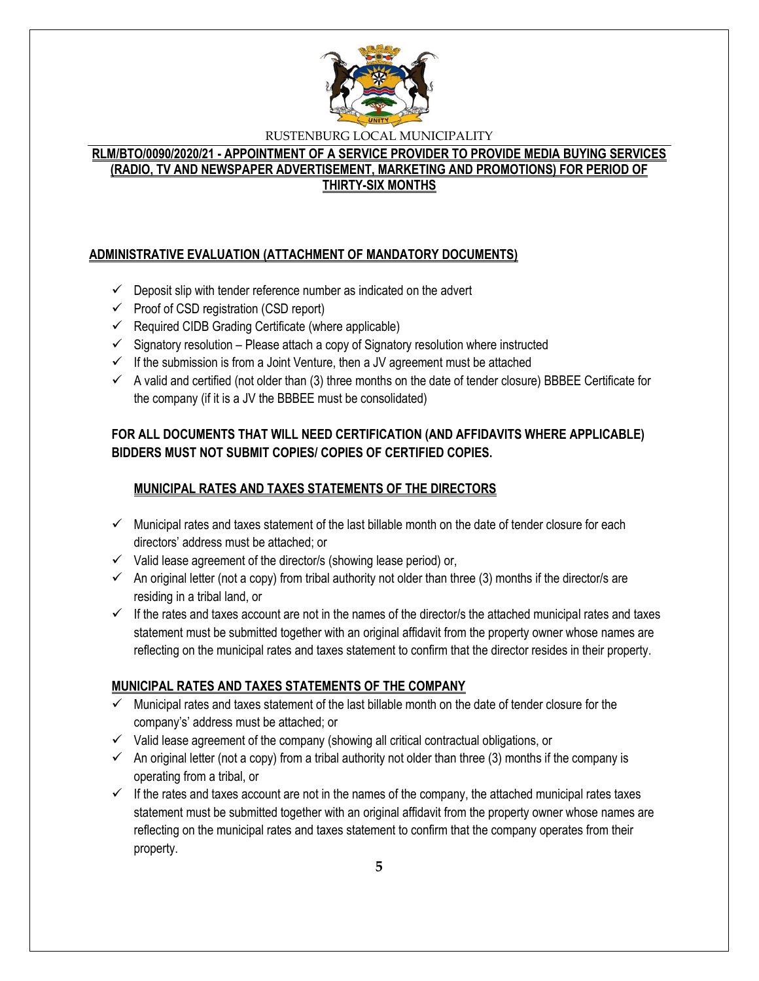

# **RLM/BTO/0090/2020/21 - APPOINTMENT OF A SERVICE PROVIDER TO PROVIDE MEDIA BUYING SERVICES (RADIO, TV AND NEWSPAPER ADVERTISEMENT, MARKETING AND PROMOTIONS) FOR PERIOD OF THIRTY-SIX MONTHS**

# **ADMINISTRATIVE EVALUATION (ATTACHMENT OF MANDATORY DOCUMENTS)**

- $\checkmark$  Deposit slip with tender reference number as indicated on the advert
- $\checkmark$  Proof of CSD registration (CSD report)
- $\checkmark$  Required CIDB Grading Certificate (where applicable)
- $\checkmark$  Signatory resolution Please attach a copy of Signatory resolution where instructed
- $\checkmark$  If the submission is from a Joint Venture, then a JV agreement must be attached
- $\checkmark$  A valid and certified (not older than (3) three months on the date of tender closure) BBBEE Certificate for the company (if it is a JV the BBBEE must be consolidated)

# **FOR ALL DOCUMENTS THAT WILL NEED CERTIFICATION (AND AFFIDAVITS WHERE APPLICABLE) BIDDERS MUST NOT SUBMIT COPIES/ COPIES OF CERTIFIED COPIES.**

# **MUNICIPAL RATES AND TAXES STATEMENTS OF THE DIRECTORS**

- $\checkmark$  Municipal rates and taxes statement of the last billable month on the date of tender closure for each directors' address must be attached; or
- $\checkmark$  Valid lease agreement of the director/s (showing lease period) or,
- $\checkmark$  An original letter (not a copy) from tribal authority not older than three (3) months if the director/s are residing in a tribal land, or
- $\checkmark$  If the rates and taxes account are not in the names of the director/s the attached municipal rates and taxes statement must be submitted together with an original affidavit from the property owner whose names are reflecting on the municipal rates and taxes statement to confirm that the director resides in their property.

#### **MUNICIPAL RATES AND TAXES STATEMENTS OF THE COMPANY**

- Municipal rates and taxes statement of the last billable month on the date of tender closure for the company's' address must be attached; or
- $\checkmark$  Valid lease agreement of the company (showing all critical contractual obligations, or
- $\checkmark$  An original letter (not a copy) from a tribal authority not older than three (3) months if the company is operating from a tribal, or
- $\checkmark$  If the rates and taxes account are not in the names of the company, the attached municipal rates taxes statement must be submitted together with an original affidavit from the property owner whose names are reflecting on the municipal rates and taxes statement to confirm that the company operates from their property.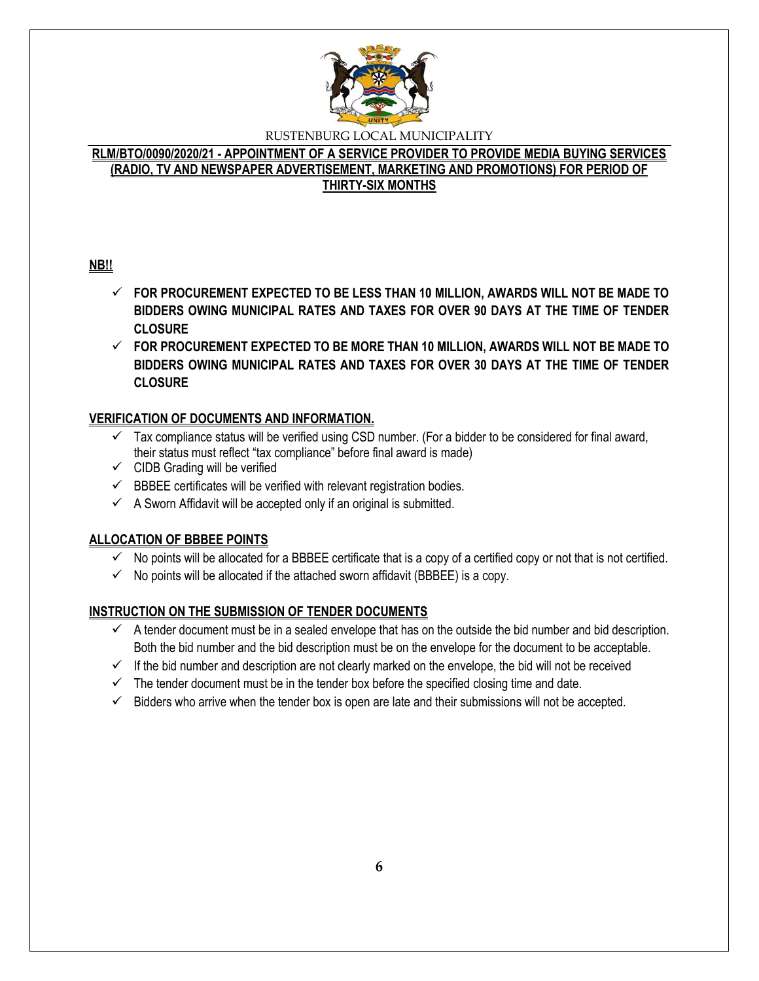

# **RLM/BTO/0090/2020/21 - APPOINTMENT OF A SERVICE PROVIDER TO PROVIDE MEDIA BUYING SERVICES (RADIO, TV AND NEWSPAPER ADVERTISEMENT, MARKETING AND PROMOTIONS) FOR PERIOD OF THIRTY-SIX MONTHS**

# **NB!!**

- **FOR PROCUREMENT EXPECTED TO BE LESS THAN 10 MILLION, AWARDS WILL NOT BE MADE TO BIDDERS OWING MUNICIPAL RATES AND TAXES FOR OVER 90 DAYS AT THE TIME OF TENDER CLOSURE**
- **FOR PROCUREMENT EXPECTED TO BE MORE THAN 10 MILLION, AWARDS WILL NOT BE MADE TO BIDDERS OWING MUNICIPAL RATES AND TAXES FOR OVER 30 DAYS AT THE TIME OF TENDER CLOSURE**

# **VERIFICATION OF DOCUMENTS AND INFORMATION.**

- $\checkmark$  Tax compliance status will be verified using CSD number. (For a bidder to be considered for final award, their status must reflect "tax compliance" before final award is made)
- $\checkmark$  CIDB Grading will be verified
- $\checkmark$  BBBEE certificates will be verified with relevant registration bodies.
- $\checkmark$  A Sworn Affidavit will be accepted only if an original is submitted.

# **ALLOCATION OF BBBEE POINTS**

- $\checkmark$  No points will be allocated for a BBBEE certificate that is a copy of a certified copy or not that is not certified.
- $\checkmark$  No points will be allocated if the attached sworn affidavit (BBBEE) is a copy.

# **INSTRUCTION ON THE SUBMISSION OF TENDER DOCUMENTS**

- $\checkmark$  A tender document must be in a sealed envelope that has on the outside the bid number and bid description. Both the bid number and the bid description must be on the envelope for the document to be acceptable.
- $\checkmark$  If the bid number and description are not clearly marked on the envelope, the bid will not be received
- $\checkmark$  The tender document must be in the tender box before the specified closing time and date.
- $\checkmark$  Bidders who arrive when the tender box is open are late and their submissions will not be accepted.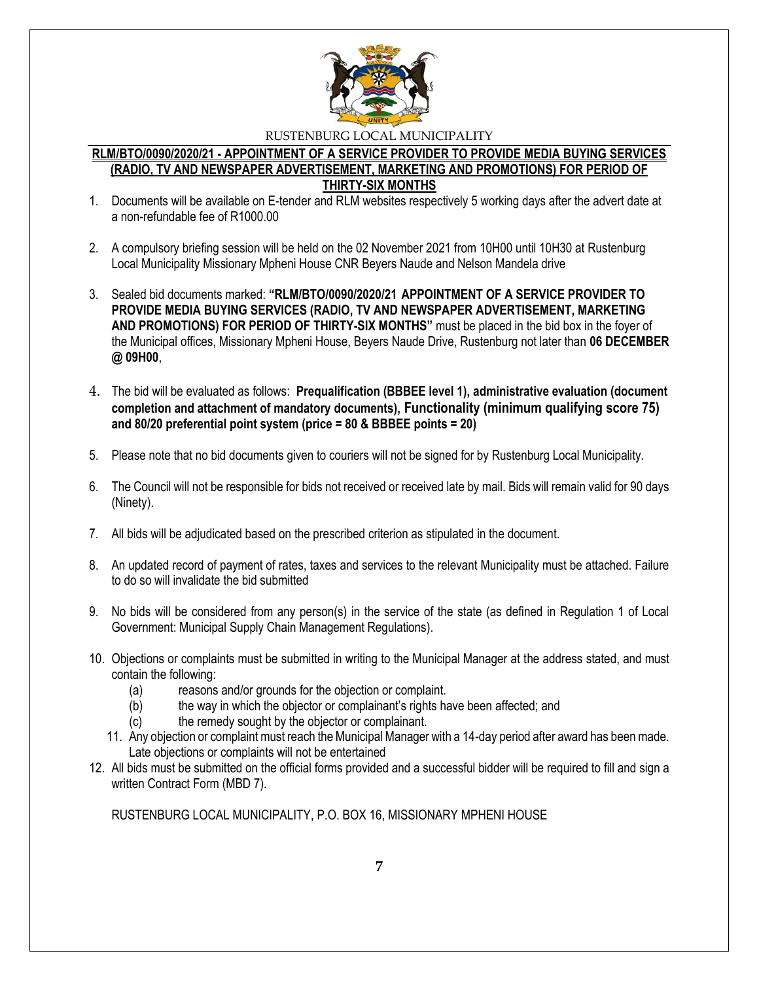

#### **RLM/BTO/0090/2020/21 - APPOINTMENT OF A SERVICE PROVIDER TO PROVIDE MEDIA BUYING SERVICES (RADIO, TV AND NEWSPAPER ADVERTISEMENT, MARKETING AND PROMOTIONS) FOR PERIOD OF THIRTY-SIX MONTHS**

- 1. Documents will be available on E-tender and RLM websites respectively 5 working days after the advert date at a non-refundable fee of R1000.00
- 2. A compulsory briefing session will be held on the 02 November 2021 from 10H00 until 10H30 at Rustenburg Local Municipality Missionary Mpheni House CNR Beyers Naude and Nelson Mandela drive
- 3. Sealed bid documents marked: **"RLM/BTO/0090/2020/21 APPOINTMENT OF A SERVICE PROVIDER TO PROVIDE MEDIA BUYING SERVICES (RADIO, TV AND NEWSPAPER ADVERTISEMENT, MARKETING AND PROMOTIONS) FOR PERIOD OF THIRTY-SIX MONTHS"** must be placed in the bid box in the foyer of the Municipal offices, Missionary Mpheni House, Beyers Naude Drive, Rustenburg not later than **06 DECEMBER @ 09H00**,
- 4. The bid will be evaluated as follows: **Prequalification (BBBEE level 1), administrative evaluation (document completion and attachment of mandatory documents), Functionality (minimum qualifying score 75) and 80/20 preferential point system (price = 80 & BBBEE points = 20)**
- 5. Please note that no bid documents given to couriers will not be signed for by Rustenburg Local Municipality.
- 6. The Council will not be responsible for bids not received or received late by mail. Bids will remain valid for 90 days (Ninety).
- 7. All bids will be adjudicated based on the prescribed criterion as stipulated in the document.
- 8. An updated record of payment of rates, taxes and services to the relevant Municipality must be attached. Failure to do so will invalidate the bid submitted
- 9. No bids will be considered from any person(s) in the service of the state (as defined in Regulation 1 of Local Government: Municipal Supply Chain Management Regulations).
- 10. Objections or complaints must be submitted in writing to the Municipal Manager at the address stated, and must contain the following:
	- (a) reasons and/or grounds for the objection or complaint.
	- (b) the way in which the objector or complainant's rights have been affected; and
	- (c) the remedy sought by the objector or complainant.
	- 11. Any objection or complaint must reach the Municipal Manager with a 14-day period after award has been made. Late objections or complaints will not be entertained
- 12. All bids must be submitted on the official forms provided and a successful bidder will be required to fill and sign a written Contract Form (MBD 7).

RUSTENBURG LOCAL MUNICIPALITY, P.O. BOX 16, MISSIONARY MPHENI HOUSE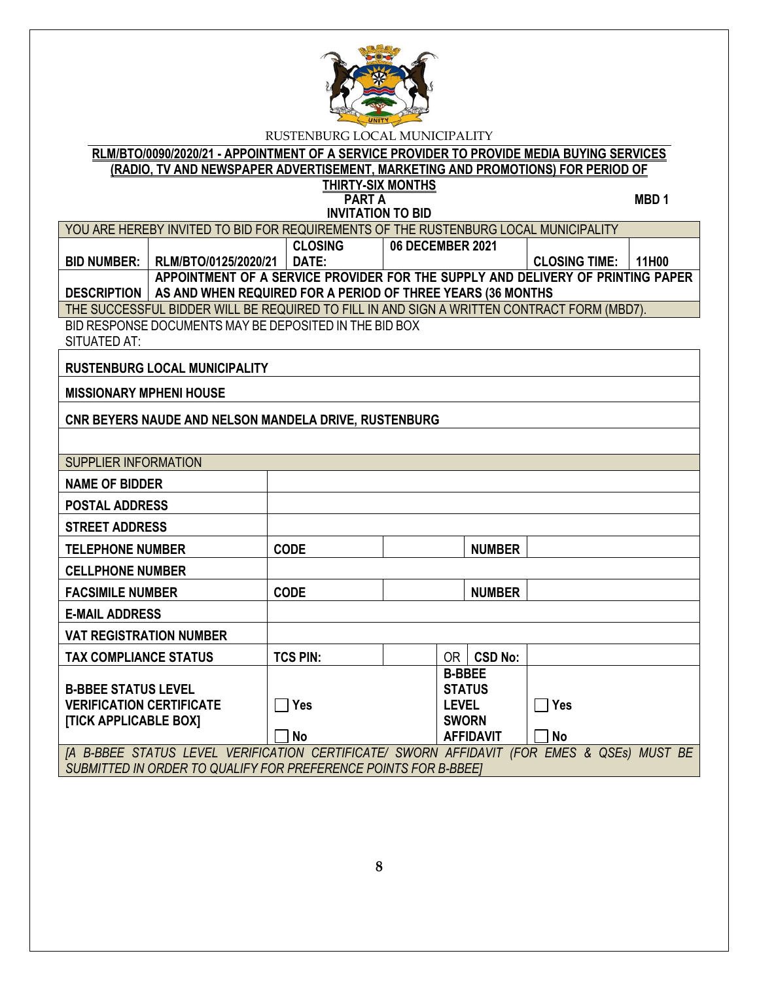

# **RLM/BTO/0090/2020/21 - APPOINTMENT OF A SERVICE PROVIDER TO PROVIDE MEDIA BUYING SERVICES (RADIO, TV AND NEWSPAPER ADVERTISEMENT, MARKETING AND PROMOTIONS) FOR PERIOD OF THIRTY-SIX MONTHS**

| <b>PART A</b><br>MBD <sub>1</sub><br><b>INVITATION TO BID</b>                                 |                                                                                            |                                                                                 |                  |                                                                |                |                      |       |
|-----------------------------------------------------------------------------------------------|--------------------------------------------------------------------------------------------|---------------------------------------------------------------------------------|------------------|----------------------------------------------------------------|----------------|----------------------|-------|
| YOU ARE HEREBY INVITED TO BID FOR REQUIREMENTS OF THE RUSTENBURG LOCAL MUNICIPALITY           |                                                                                            |                                                                                 |                  |                                                                |                |                      |       |
|                                                                                               |                                                                                            | <b>CLOSING</b>                                                                  | 06 DECEMBER 2021 |                                                                |                |                      |       |
| <b>BID NUMBER:</b>                                                                            | RLM/BTO/0125/2020/21                                                                       | DATE:                                                                           |                  |                                                                |                | <b>CLOSING TIME:</b> | 11H00 |
|                                                                                               |                                                                                            | APPOINTMENT OF A SERVICE PROVIDER FOR THE SUPPLY AND DELIVERY OF PRINTING PAPER |                  |                                                                |                |                      |       |
| <b>DESCRIPTION</b>                                                                            | AS AND WHEN REQUIRED FOR A PERIOD OF THREE YEARS (36 MONTHS                                |                                                                                 |                  |                                                                |                |                      |       |
|                                                                                               | THE SUCCESSFUL BIDDER WILL BE REQUIRED TO FILL IN AND SIGN A WRITTEN CONTRACT FORM (MBD7). |                                                                                 |                  |                                                                |                |                      |       |
|                                                                                               | BID RESPONSE DOCUMENTS MAY BE DEPOSITED IN THE BID BOX                                     |                                                                                 |                  |                                                                |                |                      |       |
| SITUATED AT:                                                                                  |                                                                                            |                                                                                 |                  |                                                                |                |                      |       |
|                                                                                               | <b>RUSTENBURG LOCAL MUNICIPALITY</b>                                                       |                                                                                 |                  |                                                                |                |                      |       |
| <b>MISSIONARY MPHENI HOUSE</b>                                                                |                                                                                            |                                                                                 |                  |                                                                |                |                      |       |
|                                                                                               | CNR BEYERS NAUDE AND NELSON MANDELA DRIVE, RUSTENBURG                                      |                                                                                 |                  |                                                                |                |                      |       |
|                                                                                               |                                                                                            |                                                                                 |                  |                                                                |                |                      |       |
| <b>SUPPLIER INFORMATION</b>                                                                   |                                                                                            |                                                                                 |                  |                                                                |                |                      |       |
| <b>NAME OF BIDDER</b>                                                                         |                                                                                            |                                                                                 |                  |                                                                |                |                      |       |
| <b>POSTAL ADDRESS</b>                                                                         |                                                                                            |                                                                                 |                  |                                                                |                |                      |       |
| <b>STREET ADDRESS</b>                                                                         |                                                                                            |                                                                                 |                  |                                                                |                |                      |       |
| <b>TELEPHONE NUMBER</b>                                                                       |                                                                                            | <b>CODE</b>                                                                     |                  |                                                                | <b>NUMBER</b>  |                      |       |
| <b>CELLPHONE NUMBER</b>                                                                       |                                                                                            |                                                                                 |                  |                                                                |                |                      |       |
| <b>FACSIMILE NUMBER</b>                                                                       |                                                                                            | <b>CODE</b>                                                                     |                  |                                                                | <b>NUMBER</b>  |                      |       |
| <b>E-MAIL ADDRESS</b>                                                                         |                                                                                            |                                                                                 |                  |                                                                |                |                      |       |
| <b>VAT REGISTRATION NUMBER</b>                                                                |                                                                                            |                                                                                 |                  |                                                                |                |                      |       |
| <b>TAX COMPLIANCE STATUS</b>                                                                  |                                                                                            | <b>TCS PIN:</b>                                                                 |                  | OR I                                                           | <b>CSD No:</b> |                      |       |
| <b>B-BBEE STATUS LEVEL</b><br><b>VERIFICATION CERTIFICATE</b><br><b>[TICK APPLICABLE BOX]</b> |                                                                                            | Yes                                                                             |                  | <b>B-BBEE</b><br><b>STATUS</b><br><b>LEVEL</b><br><b>SWORN</b> |                | $\sqcap$ Yes         |       |

**No AFFIDAVIT No** *[A B-BBEE STATUS LEVEL VERIFICATION CERTIFICATE/ SWORN AFFIDAVIT (FOR EMES & QSEs) MUST BE SUBMITTED IN ORDER TO QUALIFY FOR PREFERENCE POINTS FOR B-BBEE]*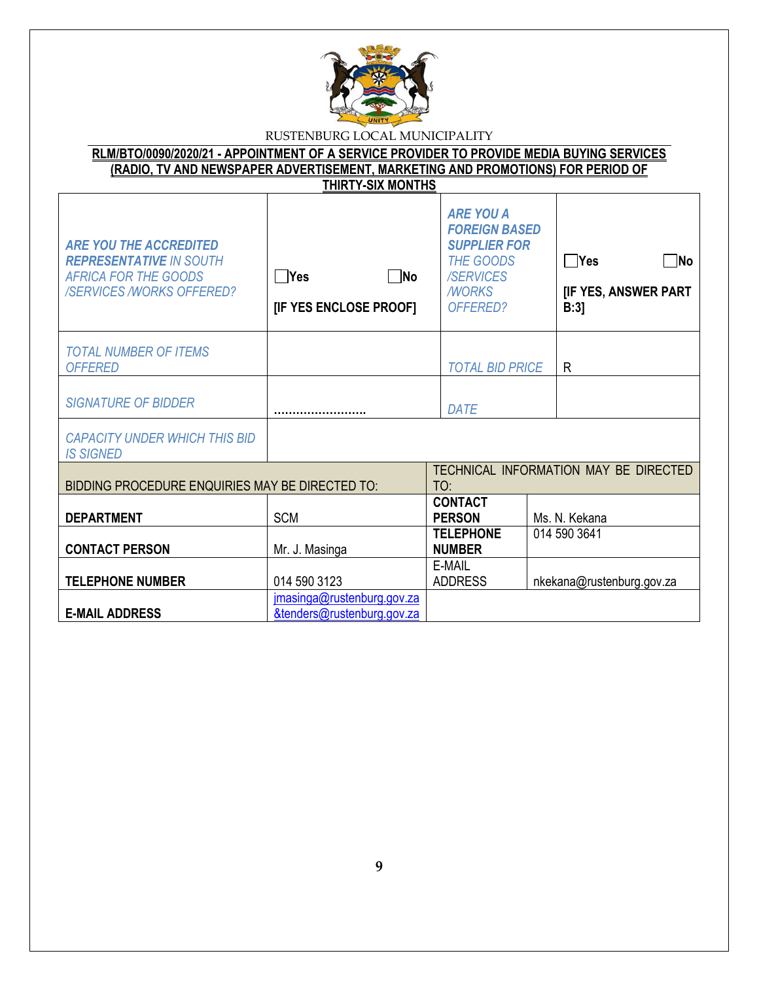

| RLM/BTO/0090/2020/21 - APPOINTMENT OF A SERVICE PROVIDER TO PROVIDE MEDIA BUYING SERVICES |
|-------------------------------------------------------------------------------------------|
| (RADIO, TV AND NEWSPAPER ADVERTISEMENT, MARKETING AND PROMOTIONS) FOR PERIOD OF           |
| THIRTY-SIX MONTHS                                                                         |

| <b>ARE YOU THE ACCREDITED</b><br><b>REPRESENTATIVE IN SOUTH</b><br>AFRICA FOR THE GOODS<br><b>/SERVICES /WORKS OFFERED?</b> | $\n  No\n$<br>$\Box$ Yes<br>[IF YES ENCLOSE PROOF]       | <b>ARE YOU A</b><br><b>FOREIGN BASED</b><br><b>SUPPLIER FOR</b><br><b>THE GOODS</b><br><b>/SERVICES</b><br><b>MORKS</b><br>OFFERED? | $\Box$ Yes<br>$\neg$ No<br><b>[IF YES, ANSWER PART</b><br>B:3 |
|-----------------------------------------------------------------------------------------------------------------------------|----------------------------------------------------------|-------------------------------------------------------------------------------------------------------------------------------------|---------------------------------------------------------------|
| <b>TOTAL NUMBER OF ITEMS</b><br><b>OFFERED</b>                                                                              |                                                          | <b>TOTAL BID PRICE</b>                                                                                                              | R                                                             |
| <b>SIGNATURE OF BIDDER</b>                                                                                                  |                                                          | <b>DATE</b>                                                                                                                         |                                                               |
| <b>CAPACITY UNDER WHICH THIS BID</b><br><b>IS SIGNED</b>                                                                    |                                                          |                                                                                                                                     |                                                               |
| BIDDING PROCEDURE ENQUIRIES MAY BE DIRECTED TO:                                                                             |                                                          | TO:                                                                                                                                 | TECHNICAL INFORMATION MAY BE DIRECTED                         |
| <b>DEPARTMENT</b>                                                                                                           | <b>SCM</b>                                               | <b>CONTACT</b><br><b>PERSON</b>                                                                                                     | Ms. N. Kekana                                                 |
| <b>CONTACT PERSON</b>                                                                                                       | Mr. J. Masinga                                           | <b>TELEPHONE</b><br><b>NUMBER</b>                                                                                                   | 014 590 3641                                                  |
| <b>TELEPHONE NUMBER</b>                                                                                                     | 014 590 3123                                             | E-MAIL<br><b>ADDRESS</b>                                                                                                            | nkekana@rustenburg.gov.za                                     |
| <b>E-MAIL ADDRESS</b>                                                                                                       | jmasinga@rustenburg.gov.za<br>&tenders@rustenburg.gov.za |                                                                                                                                     |                                                               |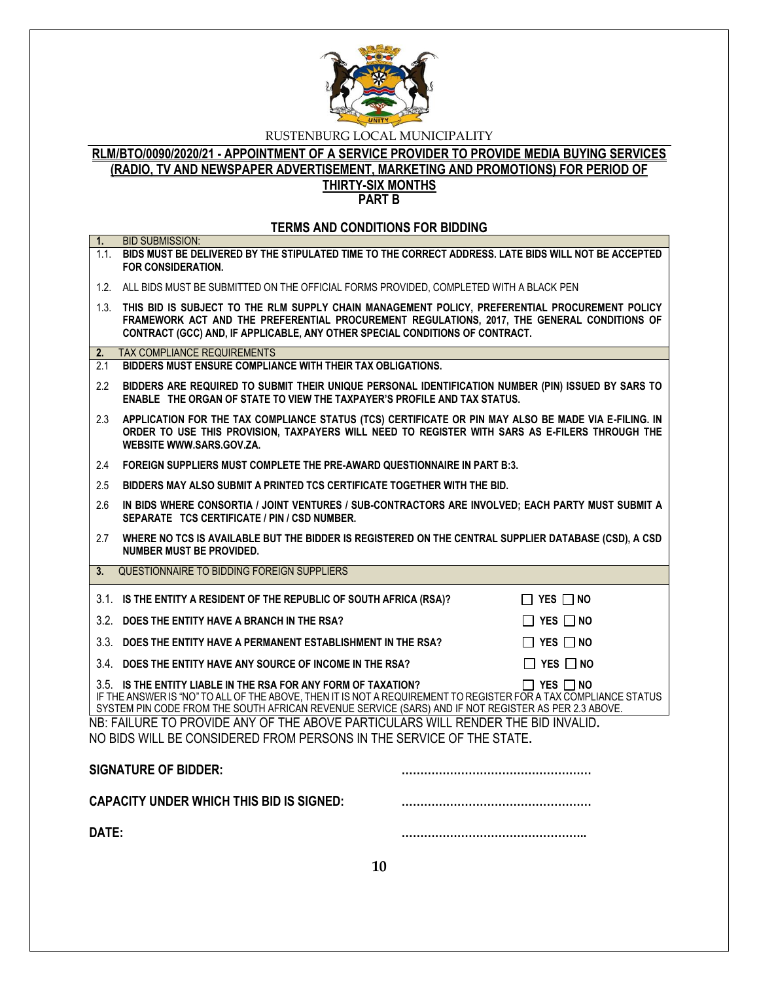

# **RLM/BTO/0090/2020/21 - APPOINTMENT OF A SERVICE PROVIDER TO PROVIDE MEDIA BUYING SERVICES (RADIO, TV AND NEWSPAPER ADVERTISEMENT, MARKETING AND PROMOTIONS) FOR PERIOD OF THIRTY-SIX MONTHS**

**PART B**

#### **TERMS AND CONDITIONS FOR BIDDING**

| 1.                                                                                                                                                       | <b>BID SUBMISSION:</b><br>1.1. BIDS MUST BE DELIVERED BY THE STIPULATED TIME TO THE CORRECT ADDRESS. LATE BIDS WILL NOT BE ACCEPTED<br>FOR CONSIDERATION.                                                                                                                                                        |  |  |
|----------------------------------------------------------------------------------------------------------------------------------------------------------|------------------------------------------------------------------------------------------------------------------------------------------------------------------------------------------------------------------------------------------------------------------------------------------------------------------|--|--|
|                                                                                                                                                          | 1.2. ALL BIDS MUST BE SUBMITTED ON THE OFFICIAL FORMS PROVIDED, COMPLETED WITH A BLACK PEN                                                                                                                                                                                                                       |  |  |
|                                                                                                                                                          | 1.3. THIS BID IS SUBJECT TO THE RLM SUPPLY CHAIN MANAGEMENT POLICY, PREFERENTIAL PROCUREMENT POLICY<br>FRAMEWORK ACT AND THE PREFERENTIAL PROCUREMENT REGULATIONS, 2017, THE GENERAL CONDITIONS OF<br>CONTRACT (GCC) AND, IF APPLICABLE, ANY OTHER SPECIAL CONDITIONS OF CONTRACT.                               |  |  |
| 2.                                                                                                                                                       | <b>TAX COMPLIANCE REQUIREMENTS</b>                                                                                                                                                                                                                                                                               |  |  |
| 2.1                                                                                                                                                      | BIDDERS MUST ENSURE COMPLIANCE WITH THEIR TAX OBLIGATIONS.                                                                                                                                                                                                                                                       |  |  |
| $2.2^{\circ}$                                                                                                                                            | BIDDERS ARE REQUIRED TO SUBMIT THEIR UNIQUE PERSONAL IDENTIFICATION NUMBER (PIN) ISSUED BY SARS TO<br><b>ENABLE THE ORGAN OF STATE TO VIEW THE TAXPAYER'S PROFILE AND TAX STATUS.</b>                                                                                                                            |  |  |
| 2.3                                                                                                                                                      | APPLICATION FOR THE TAX COMPLIANCE STATUS (TCS) CERTIFICATE OR PIN MAY ALSO BE MADE VIA E-FILING. IN<br>ORDER TO USE THIS PROVISION, TAXPAYERS WILL NEED TO REGISTER WITH SARS AS E-FILERS THROUGH THE<br>WEBSITE WWW.SARS.GOV.ZA.                                                                               |  |  |
| 2.4                                                                                                                                                      | FOREIGN SUPPLIERS MUST COMPLETE THE PRE-AWARD QUESTIONNAIRE IN PART B:3.                                                                                                                                                                                                                                         |  |  |
| 2.5                                                                                                                                                      | BIDDERS MAY ALSO SUBMIT A PRINTED TCS CERTIFICATE TOGETHER WITH THE BID.                                                                                                                                                                                                                                         |  |  |
| 2.6                                                                                                                                                      | IN BIDS WHERE CONSORTIA / JOINT VENTURES / SUB-CONTRACTORS ARE INVOLVED; EACH PARTY MUST SUBMIT A<br>SEPARATE TCS CERTIFICATE / PIN / CSD NUMBER.                                                                                                                                                                |  |  |
| 2.7                                                                                                                                                      | WHERE NO TCS IS AVAILABLE BUT THE BIDDER IS REGISTERED ON THE CENTRAL SUPPLIER DATABASE (CSD), A CSD<br><b>NUMBER MUST BE PROVIDED.</b>                                                                                                                                                                          |  |  |
| 3 <sub>1</sub>                                                                                                                                           | QUESTIONNAIRE TO BIDDING FOREIGN SUPPLIERS                                                                                                                                                                                                                                                                       |  |  |
|                                                                                                                                                          | 3.1. IS THE ENTITY A RESIDENT OF THE REPUBLIC OF SOUTH AFRICA (RSA)?<br>$\Box$ YES $\Box$ NO                                                                                                                                                                                                                     |  |  |
|                                                                                                                                                          | 3.2. DOES THE ENTITY HAVE A BRANCH IN THE RSA?<br>$\Box$ YES $\Box$ NO                                                                                                                                                                                                                                           |  |  |
|                                                                                                                                                          | 3.3. DOES THE ENTITY HAVE A PERMANENT ESTABLISHMENT IN THE RSA?<br>$\Box$ YES $\Box$ NO                                                                                                                                                                                                                          |  |  |
|                                                                                                                                                          | 3.4. DOES THE ENTITY HAVE ANY SOURCE OF INCOME IN THE RSA?<br>$\Box$ Yes $\Box$ No                                                                                                                                                                                                                               |  |  |
|                                                                                                                                                          | 3.5. IS THE ENTITY LIABLE IN THE RSA FOR ANY FORM OF TAXATION?<br>$\Box$ Yes $\Box$ No<br>IF THE ANSWER IS "NO" TO ALL OF THE ABOVE, THEN IT IS NOT A REQUIREMENT TO REGISTER FOR A TAX COMPLIANCE STATUS<br>SYSTEM PIN CODE FROM THE SOUTH AFRICAN REVENUE SERVICE (SARS) AND IF NOT REGISTER AS PER 2.3 ABOVE. |  |  |
| NB: FAILURE TO PROVIDE ANY OF THE ABOVE PARTICULARS WILL RENDER THE BID INVALID.<br>NO BIDS WILL BE CONSIDERED FROM PERSONS IN THE SERVICE OF THE STATE. |                                                                                                                                                                                                                                                                                                                  |  |  |
|                                                                                                                                                          | <b>SIGNATURE OF BIDDER:</b>                                                                                                                                                                                                                                                                                      |  |  |
|                                                                                                                                                          | <b>CAPACITY UNDER WHICH THIS BID IS SIGNED:</b>                                                                                                                                                                                                                                                                  |  |  |
|                                                                                                                                                          | DATE:                                                                                                                                                                                                                                                                                                            |  |  |
|                                                                                                                                                          | 10                                                                                                                                                                                                                                                                                                               |  |  |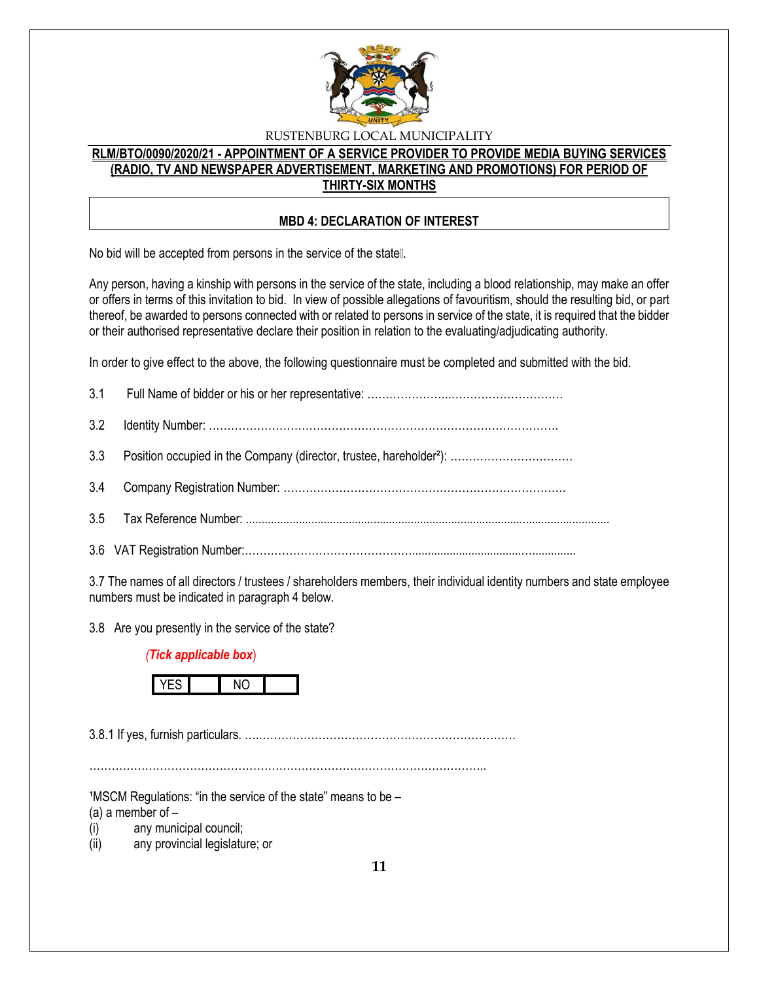

# **RLM/BTO/0090/2020/21 - APPOINTMENT OF A SERVICE PROVIDER TO PROVIDE MEDIA BUYING SERVICES (RADIO, TV AND NEWSPAPER ADVERTISEMENT, MARKETING AND PROMOTIONS) FOR PERIOD OF THIRTY-SIX MONTHS**

#### **MBD 4: DECLARATION OF INTEREST**

No bid will be accepted from persons in the service of the state [].

Any person, having a kinship with persons in the service of the state, including a blood relationship, may make an offer or offers in terms of this invitation to bid. In view of possible allegations of favouritism, should the resulting bid, or part thereof, be awarded to persons connected with or related to persons in service of the state, it is required that the bidder or their authorised representative declare their position in relation to the evaluating/adjudicating authority.

In order to give effect to the above, the following questionnaire must be completed and submitted with the bid.

3.7 The names of all directors / trustees / shareholders members, their individual identity numbers and state employee numbers must be indicated in paragraph 4 below.

3.8 Are you presently in the service of the state?

### *(Tick applicable box*)



3.8.1 If yes, furnish particulars. ….……………………………………………………………

……………………………………………………………………………………………..

 $1$ MSCM Regulations: "in the service of the state" means to be  $-$ 

(a) a member of  $-$ 

(i) any municipal council;

(ii) any provincial legislature; or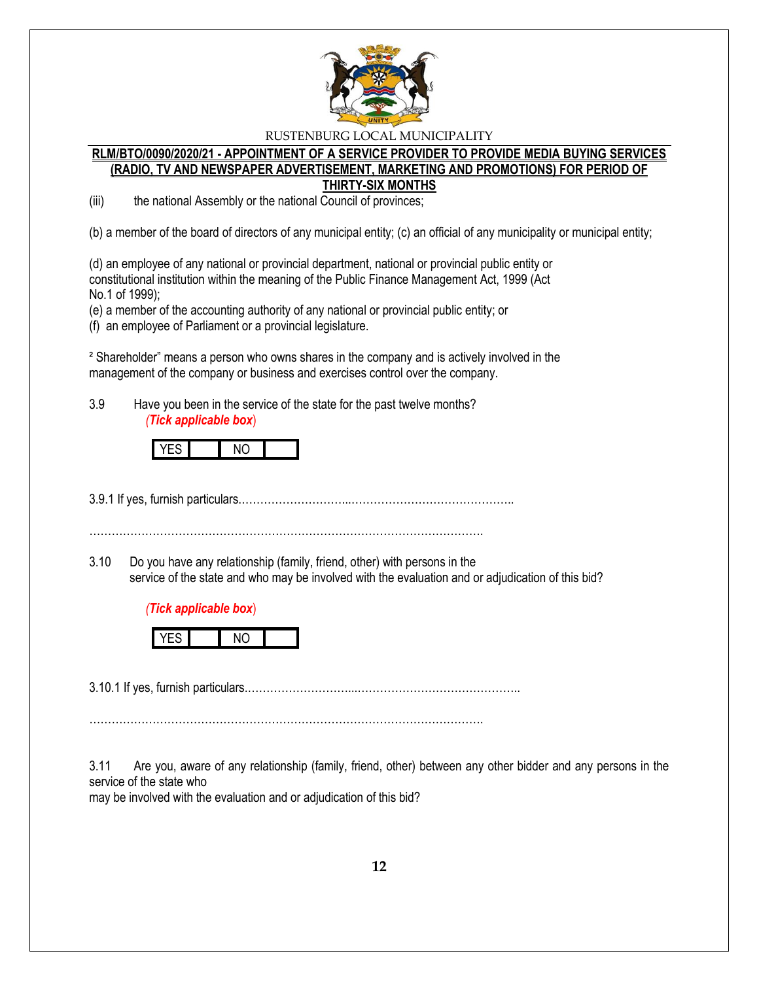

#### **RLM/BTO/0090/2020/21 - APPOINTMENT OF A SERVICE PROVIDER TO PROVIDE MEDIA BUYING SERVICES (RADIO, TV AND NEWSPAPER ADVERTISEMENT, MARKETING AND PROMOTIONS) FOR PERIOD OF THIRTY-SIX MONTHS**

(iii) the national Assembly or the national Council of provinces;

(b) a member of the board of directors of any municipal entity; (c) an official of any municipality or municipal entity;

(d) an employee of any national or provincial department, national or provincial public entity or constitutional institution within the meaning of the Public Finance Management Act, 1999 (Act No.1 of 1999);

(e) a member of the accounting authority of any national or provincial public entity; or

(f) an employee of Parliament or a provincial legislature.

² Shareholder" means a person who owns shares in the company and is actively involved in the management of the company or business and exercises control over the company.

3.9 Have you been in the service of the state for the past twelve months? *(Tick applicable box*)



3.9.1 If yes, furnish particulars.………………………...……………………………………..

…………………………………………………………………………………………….

3.10 Do you have any relationship (family, friend, other) with persons in the service of the state and who may be involved with the evaluation and or adjudication of this bid?





3.10.1 If yes, furnish particulars.………………………...……………………………………..

…………………………………………………………………………………………….

3.11 Are you, aware of any relationship (family, friend, other) between any other bidder and any persons in the service of the state who

may be involved with the evaluation and or adjudication of this bid?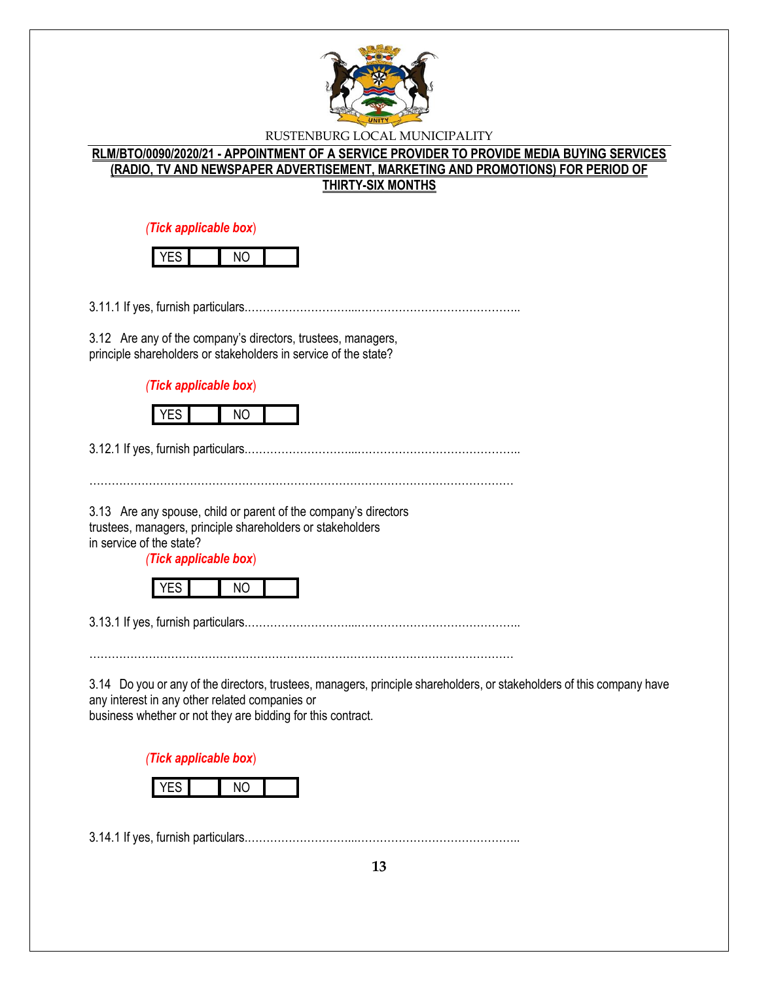

# **RLM/BTO/0090/2020/21 - APPOINTMENT OF A SERVICE PROVIDER TO PROVIDE MEDIA BUYING SERVICES (RADIO, TV AND NEWSPAPER ADVERTISEMENT, MARKETING AND PROMOTIONS) FOR PERIOD OF THIRTY-SIX MONTHS**

*(Tick applicable box*)

3.11.1 If yes, furnish particulars.………………………...……………………………………..

3.12 Are any of the company's directors, trustees, managers, principle shareholders or stakeholders in service of the state?

*(Tick applicable box*)



3.12.1 If yes, furnish particulars.………………………...……………………………………..

3.13 Are any spouse, child or parent of the company's directors trustees, managers, principle shareholders or stakeholders in service of the state?

*(Tick applicable box*)

|--|

3.13.1 If yes, furnish particulars.………………………...……………………………………..

……………………………………………………………………………………………………

3.14 Do you or any of the directors, trustees, managers, principle shareholders, or stakeholders of this company have any interest in any other related companies or business whether or not they are bidding for this contract.

*(Tick applicable box*)



3.14.1 If yes, furnish particulars.………………………...……………………………………..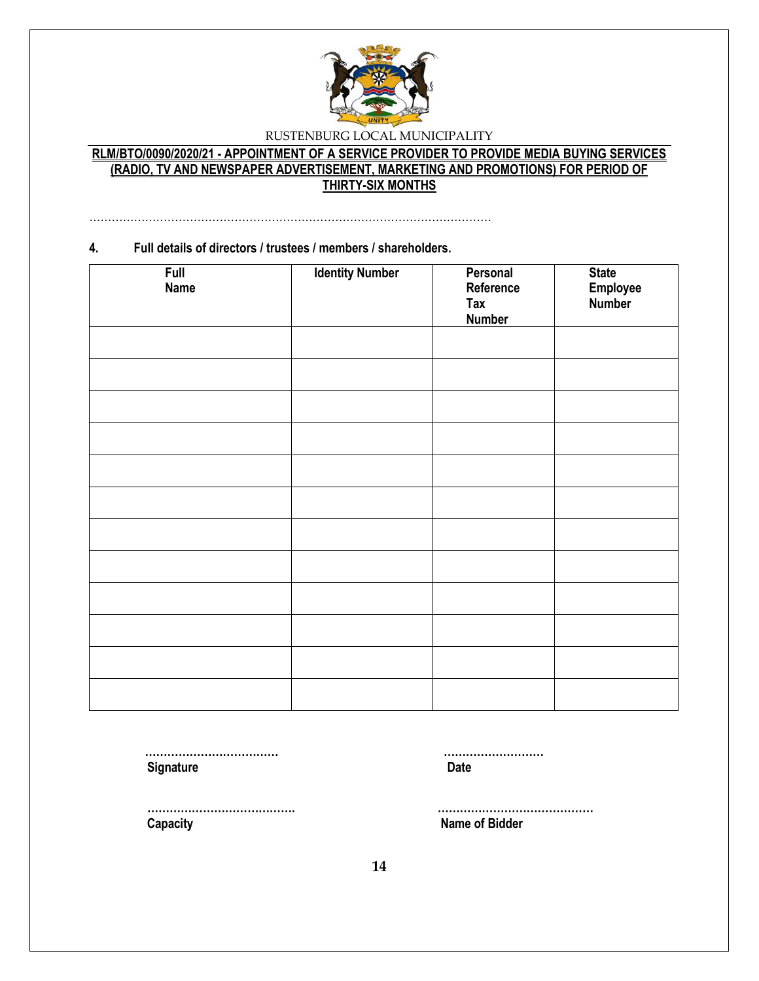

# **RLM/BTO/0090/2020/21 - APPOINTMENT OF A SERVICE PROVIDER TO PROVIDE MEDIA BUYING SERVICES (RADIO, TV AND NEWSPAPER ADVERTISEMENT, MARKETING AND PROMOTIONS) FOR PERIOD OF THIRTY-SIX MONTHS**

………………………………………………………………………………………………

# **4. Full details of directors / trustees / members / shareholders. Full Name Identity Number Personal Reference Tax Number State Employee Number**

 **……………………………… ……………………… Signature Date** 

 **Capacity Name of Bidder**

 **…………………………………. ……………………………………**

**14**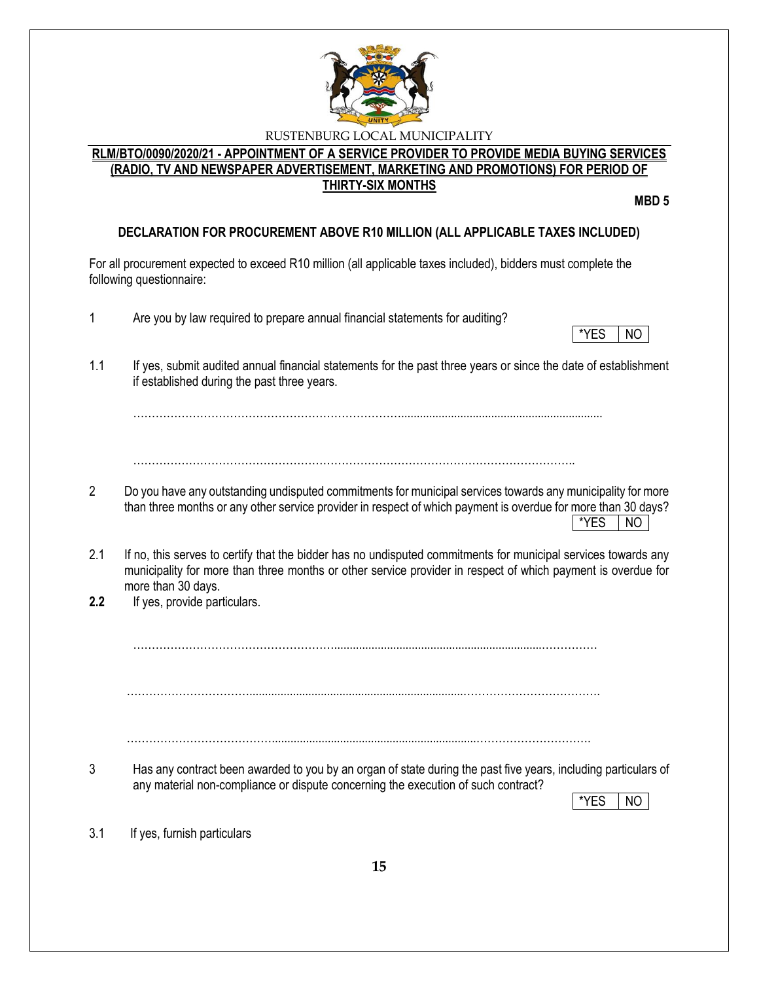

# **RLM/BTO/0090/2020/21 - APPOINTMENT OF A SERVICE PROVIDER TO PROVIDE MEDIA BUYING SERVICES (RADIO, TV AND NEWSPAPER ADVERTISEMENT, MARKETING AND PROMOTIONS) FOR PERIOD OF THIRTY-SIX MONTHS**

**MBD 5**

# **DECLARATION FOR PROCUREMENT ABOVE R10 MILLION (ALL APPLICABLE TAXES INCLUDED)**

For all procurement expected to exceed R10 million (all applicable taxes included), bidders must complete the following questionnaire:

- 1 Are you by law required to prepare annual financial statements for auditing?
- \*YES NO
- 1.1 If yes, submit audited annual financial statements for the past three years or since the date of establishment if established during the past three years.

……………………………………………………………….................................................................

………………………………………………………………………………………………………..

- 2 Do you have any outstanding undisputed commitments for municipal services towards any municipality for more than three months or any other service provider in respect of which payment is overdue for more than 30 days?  $*$ YES  $|$  NO
- 2.1 If no, this serves to certify that the bidder has no undisputed commitments for municipal services towards any municipality for more than three months or other service provider in respect of which payment is overdue for more than 30 days.
- **2.2** If yes, provide particulars.

………………………………………………...................................................................……………

…………………………….....................................................................……………………………….

…………………………………..................................................................………………………….

3 Has any contract been awarded to you by an organ of state during the past five years, including particulars of any material non-compliance or dispute concerning the execution of such contract?

\*YES I NO

3.1 If yes, furnish particulars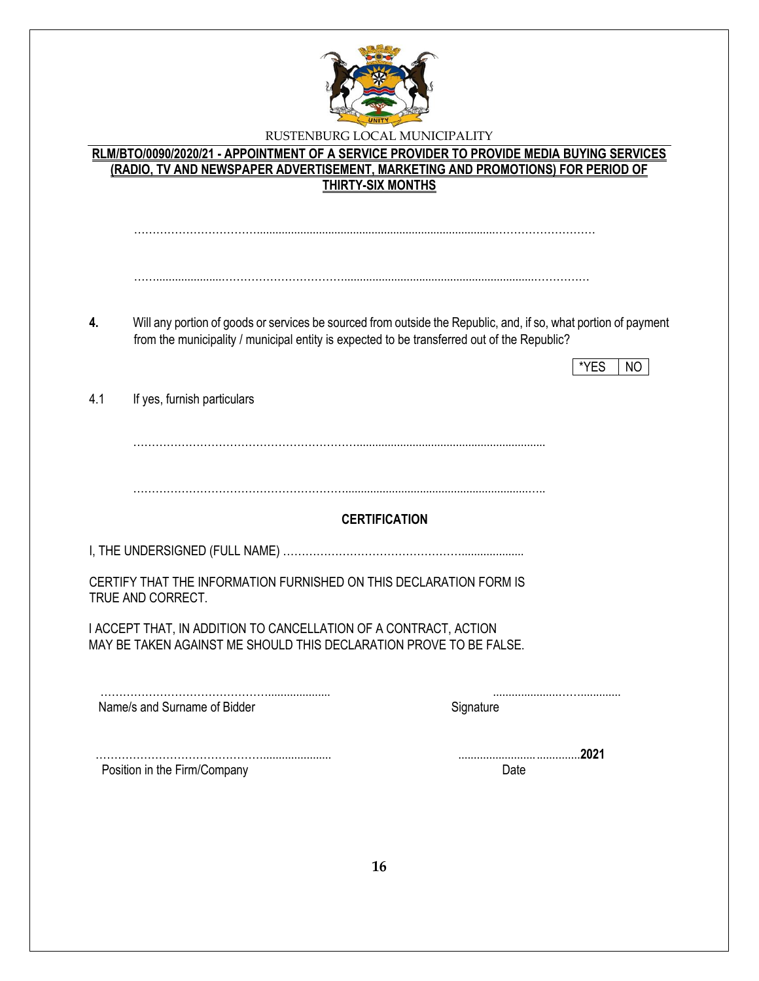

|                              | RLM/BTO/0090/2020/21 - APPOINTMENT OF A SERVICE PROVIDER TO PROVIDE MEDIA BUYING SERVICES<br>(RADIO, TV AND NEWSPAPER ADVERTISEMENT, MARKETING AND PROMOTIONS) FOR PERIOD OF                                                                                                                                                                                           |
|------------------------------|------------------------------------------------------------------------------------------------------------------------------------------------------------------------------------------------------------------------------------------------------------------------------------------------------------------------------------------------------------------------|
|                              |                                                                                                                                                                                                                                                                                                                                                                        |
|                              |                                                                                                                                                                                                                                                                                                                                                                        |
|                              | Will any portion of goods or services be sourced from outside the Republic, and, if so, what portion of payment                                                                                                                                                                                                                                                        |
|                              | *YES<br>NO.                                                                                                                                                                                                                                                                                                                                                            |
|                              |                                                                                                                                                                                                                                                                                                                                                                        |
|                              |                                                                                                                                                                                                                                                                                                                                                                        |
|                              | <b>CERTIFICATION</b>                                                                                                                                                                                                                                                                                                                                                   |
|                              |                                                                                                                                                                                                                                                                                                                                                                        |
| TRUE AND CORRECT.            |                                                                                                                                                                                                                                                                                                                                                                        |
|                              |                                                                                                                                                                                                                                                                                                                                                                        |
|                              |                                                                                                                                                                                                                                                                                                                                                                        |
| Name/s and Surname of Bidder | Signature                                                                                                                                                                                                                                                                                                                                                              |
|                              | <b>THIRTY-SIX MONTHS</b><br>from the municipality / municipal entity is expected to be transferred out of the Republic?<br>If yes, furnish particulars<br>CERTIFY THAT THE INFORMATION FURNISHED ON THIS DECLARATION FORM IS<br>I ACCEPT THAT, IN ADDITION TO CANCELLATION OF A CONTRACT, ACTION<br>MAY BE TAKEN AGAINST ME SHOULD THIS DECLARATION PROVE TO BE FALSE. |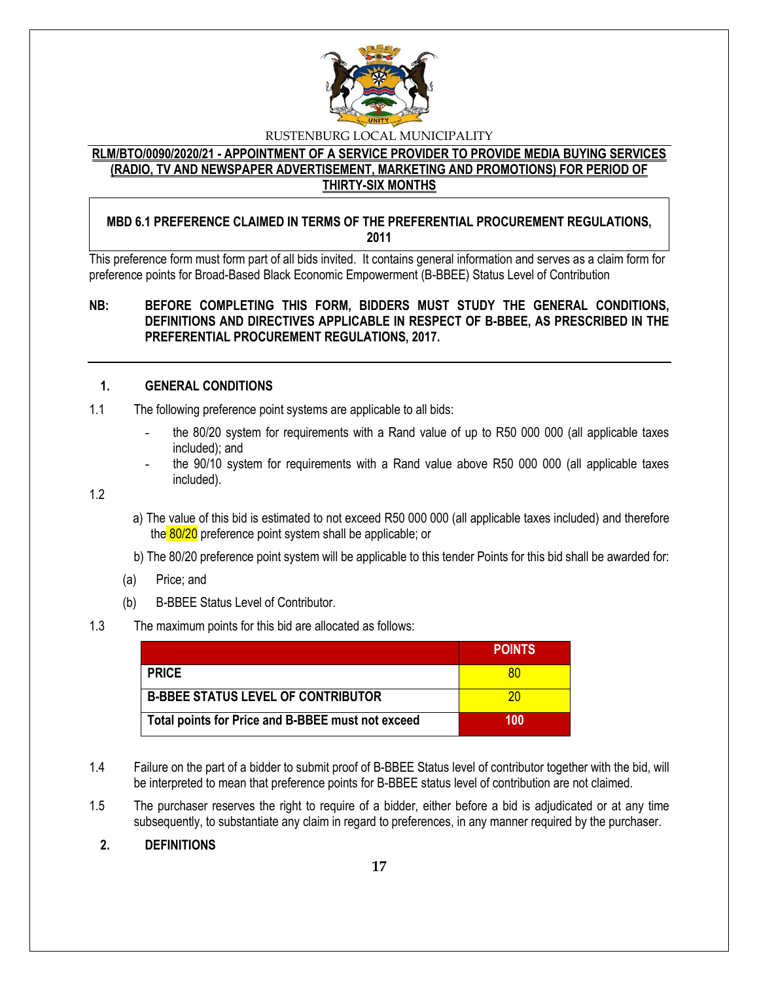

### **RLM/BTO/0090/2020/21 - APPOINTMENT OF A SERVICE PROVIDER TO PROVIDE MEDIA BUYING SERVICES (RADIO, TV AND NEWSPAPER ADVERTISEMENT, MARKETING AND PROMOTIONS) FOR PERIOD OF THIRTY-SIX MONTHS**

# **MBD 6.1 PREFERENCE CLAIMED IN TERMS OF THE PREFERENTIAL PROCUREMENT REGULATIONS, 2011**

This preference form must form part of all bids invited. It contains general information and serves as a claim form for preference points for Broad-Based Black Economic Empowerment (B-BBEE) Status Level of Contribution

# **NB: BEFORE COMPLETING THIS FORM, BIDDERS MUST STUDY THE GENERAL CONDITIONS, DEFINITIONS AND DIRECTIVES APPLICABLE IN RESPECT OF B-BBEE, AS PRESCRIBED IN THE PREFERENTIAL PROCUREMENT REGULATIONS, 2017.**

#### **1. GENERAL CONDITIONS**

- 1.1 The following preference point systems are applicable to all bids:
	- the 80/20 system for requirements with a Rand value of up to R50 000 000 (all applicable taxes included); and
	- the 90/10 system for requirements with a Rand value above R50 000 000 (all applicable taxes included).

1.2

- a) The value of this bid is estimated to not exceed R50 000 000 (all applicable taxes included) and therefore the 80/20 preference point system shall be applicable; or
- b) The 80/20 preference point system will be applicable to this tender Points for this bid shall be awarded for:
- (a) Price; and
- (b) B-BBEE Status Level of Contributor.

#### 1.3 The maximum points for this bid are allocated as follows:

|                                                   | <b>POINTS</b> |
|---------------------------------------------------|---------------|
| <b>PRICE</b>                                      | 80            |
| <b>B-BBEE STATUS LEVEL OF CONTRIBUTOR</b>         | 20            |
| Total points for Price and B-BBEE must not exceed | 100           |

- 1.4 Failure on the part of a bidder to submit proof of B-BBEE Status level of contributor together with the bid, will be interpreted to mean that preference points for B-BBEE status level of contribution are not claimed.
- 1.5 The purchaser reserves the right to require of a bidder, either before a bid is adjudicated or at any time subsequently, to substantiate any claim in regard to preferences, in any manner required by the purchaser.

# **2. DEFINITIONS**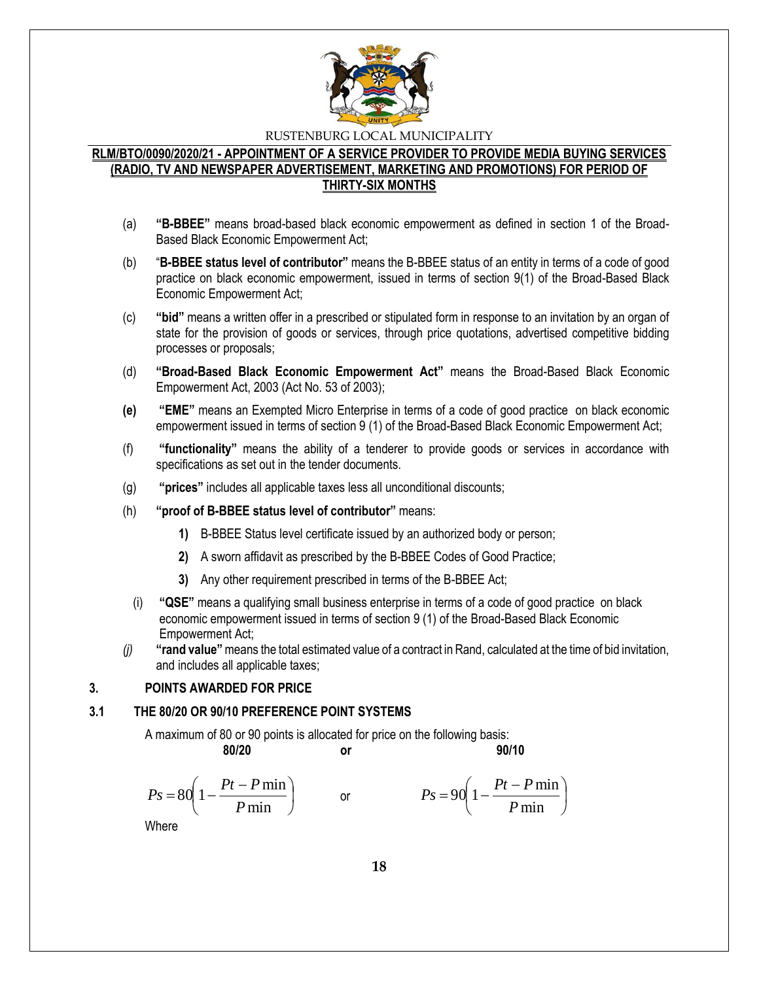

# **RLM/BTO/0090/2020/21 - APPOINTMENT OF A SERVICE PROVIDER TO PROVIDE MEDIA BUYING SERVICES (RADIO, TV AND NEWSPAPER ADVERTISEMENT, MARKETING AND PROMOTIONS) FOR PERIOD OF THIRTY-SIX MONTHS**

- (a) **"B-BBEE"** means broad-based black economic empowerment as defined in section 1 of the Broad-Based Black Economic Empowerment Act;
- (b) "**B-BBEE status level of contributor"** means the B-BBEE status of an entity in terms of a code of good practice on black economic empowerment, issued in terms of section 9(1) of the Broad-Based Black Economic Empowerment Act;
- (c) **"bid"** means a written offer in a prescribed or stipulated form in response to an invitation by an organ of state for the provision of goods or services, through price quotations, advertised competitive bidding processes or proposals;
- (d) **"Broad-Based Black Economic Empowerment Act"** means the Broad-Based Black Economic Empowerment Act, 2003 (Act No. 53 of 2003);
- **(e) "EME"** means an Exempted Micro Enterprise in terms of a code of good practice on black economic empowerment issued in terms of section 9 (1) of the Broad-Based Black Economic Empowerment Act;
- (f) **"functionality"** means the ability of a tenderer to provide goods or services in accordance with specifications as set out in the tender documents.
- (g) **"prices"** includes all applicable taxes less all unconditional discounts;
- (h) **"proof of B-BBEE status level of contributor"** means:
	- **1)** B-BBEE Status level certificate issued by an authorized body or person;
	- **2)** A sworn affidavit as prescribed by the B-BBEE Codes of Good Practice;
	- **3)** Any other requirement prescribed in terms of the B-BBEE Act;
	- (i) **"QSE"** means a qualifying small business enterprise in terms of a code of good practice on black economic empowerment issued in terms of section 9 (1) of the Broad-Based Black Economic Empowerment Act;
- *(j)* **"rand value"**means the total estimated value of a contract in Rand, calculated at the time of bid invitation, and includes all applicable taxes;

# **3. POINTS AWARDED FOR PRICE**

#### **3.1 THE 80/20 OR 90/10 PREFERENCE POINT SYSTEMS**

A maximum of 80 or 90 points is allocated for price on the following basis:

$$
f_{\rm{max}}
$$

**80/20 or 90/10**

$$
Ps = 80\left(1 - \frac{Pt - P\min P}{\min}\right) \qquad \text{or} \qquad \qquad Ps = 90\left(1 - \frac{Pt - P\min P}{\min}\right)
$$

Where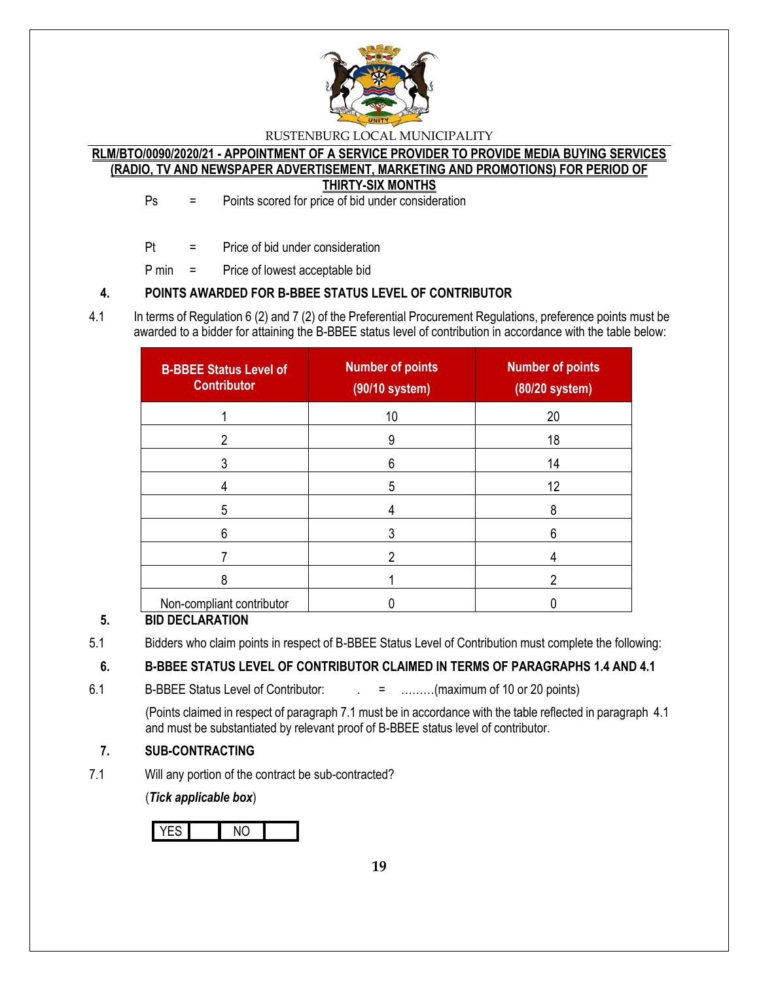

### **RLM/BTO/0090/2020/21 - APPOINTMENT OF A SERVICE PROVIDER TO PROVIDE MEDIA BUYING SERVICES (RADIO, TV AND NEWSPAPER ADVERTISEMENT, MARKETING AND PROMOTIONS) FOR PERIOD OF THIRTY-SIX MONTHS**

Ps = Points scored for price of bid under consideration

Pt = Price of bid under consideration

P min = Price of lowest acceptable bid

# **4. POINTS AWARDED FOR B-BBEE STATUS LEVEL OF CONTRIBUTOR**

4.1 In terms of Regulation 6 (2) and 7 (2) of the Preferential Procurement Regulations, preference points must be awarded to a bidder for attaining the B-BBEE status level of contribution in accordance with the table below:

| <b>B-BBEE Status Level of</b><br><b>Contributor</b> | <b>Number of points</b><br>(90/10 system) | <b>Number of points</b><br>$(80/20$ system) |
|-----------------------------------------------------|-------------------------------------------|---------------------------------------------|
|                                                     | 10                                        | 20                                          |
|                                                     | 9                                         | 18                                          |
|                                                     | 6                                         | 14                                          |
|                                                     | 5                                         | 12                                          |
| 5                                                   |                                           | 8                                           |
| 6                                                   | 3                                         | 6                                           |
|                                                     |                                           |                                             |
| 8                                                   |                                           | າ                                           |
| Non-compliant contributor                           |                                           |                                             |

# **5. BID DECLARATION**

5.1 Bidders who claim points in respect of B-BBEE Status Level of Contribution must complete the following:

# **6. B-BBEE STATUS LEVEL OF CONTRIBUTOR CLAIMED IN TERMS OF PARAGRAPHS 1.4 AND 4.1**

6.1 B-BBEE Status Level of Contributor:  $\qquad \qquad = \qquad \qquad \qquad$  .........(maximum of 10 or 20 points)

(Points claimed in respect of paragraph 7.1 must be in accordance with the table reflected in paragraph 4.1 and must be substantiated by relevant proof of B-BBEE status level of contributor.

# **7. SUB-CONTRACTING**

7.1 Will any portion of the contract be sub-contracted?

(*Tick applicable box*)

YES NO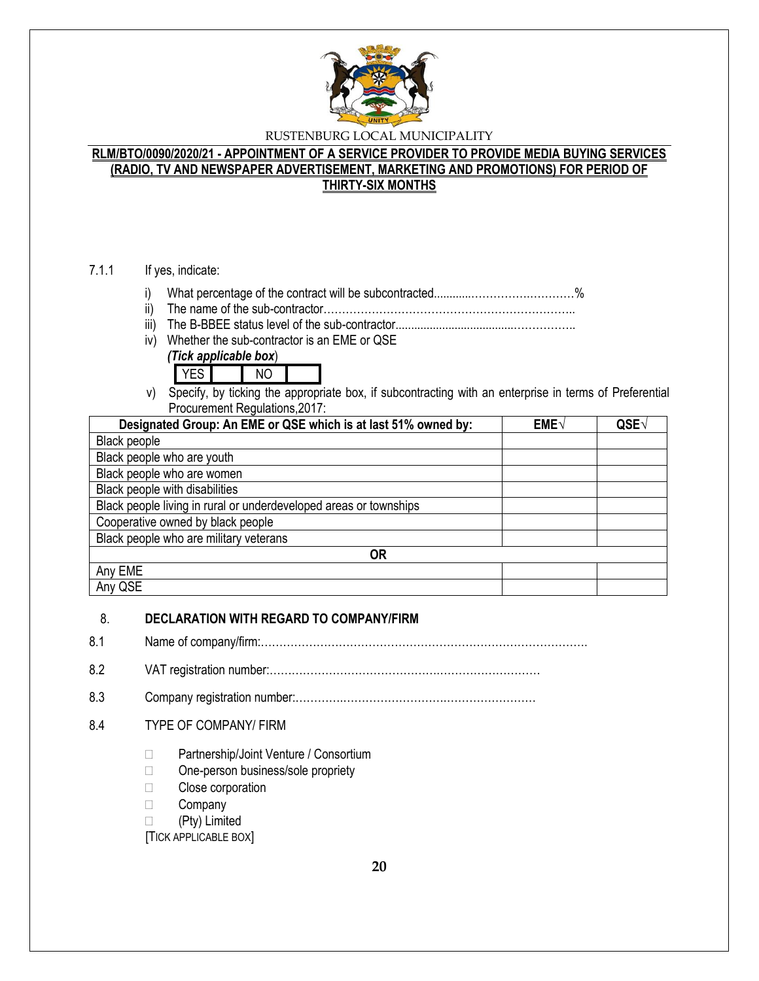

# **RLM/BTO/0090/2020/21 - APPOINTMENT OF A SERVICE PROVIDER TO PROVIDE MEDIA BUYING SERVICES (RADIO, TV AND NEWSPAPER ADVERTISEMENT, MARKETING AND PROMOTIONS) FOR PERIOD OF THIRTY-SIX MONTHS**

#### 7.1.1 If yes, indicate:

- i) What percentage of the contract will be subcontracted............…………….…………%
- ii) The name of the sub-contractor…………………………………………………………..
- iii) The B-BBEE status level of the sub-contractor......................................……………..
- iv) Whether the sub-contractor is an EME or QSE
	- *(Tick applicable box*)



v) Specify, by ticking the appropriate box, if subcontracting with an enterprise in terms of Preferential Procurement Regulations,2017:

| Designated Group: An EME or QSE which is at last 51% owned by:    | EME√ | QSE <sub>V</sub> |
|-------------------------------------------------------------------|------|------------------|
| <b>Black people</b>                                               |      |                  |
| Black people who are youth                                        |      |                  |
| Black people who are women                                        |      |                  |
| Black people with disabilities                                    |      |                  |
| Black people living in rural or underdeveloped areas or townships |      |                  |
| Cooperative owned by black people                                 |      |                  |
| Black people who are military veterans                            |      |                  |
| 0R                                                                |      |                  |
| Any EME                                                           |      |                  |
| Any QSE                                                           |      |                  |

#### 8. **DECLARATION WITH REGARD TO COMPANY/FIRM**

8.1 Name of company/firm:…………………………………………………………………………….

8.2 VAT registration number:……………………………………….………………………

8.3 Company registration number:………….……………………….……………………

# 8.4 TYPE OF COMPANY/ FIRM

- □ Partnership/Joint Venture / Consortium
- □ One-person business/sole propriety
- □ Close corporation
- **Company**
- (Pty) Limited

[TICK APPLICABLE BOX]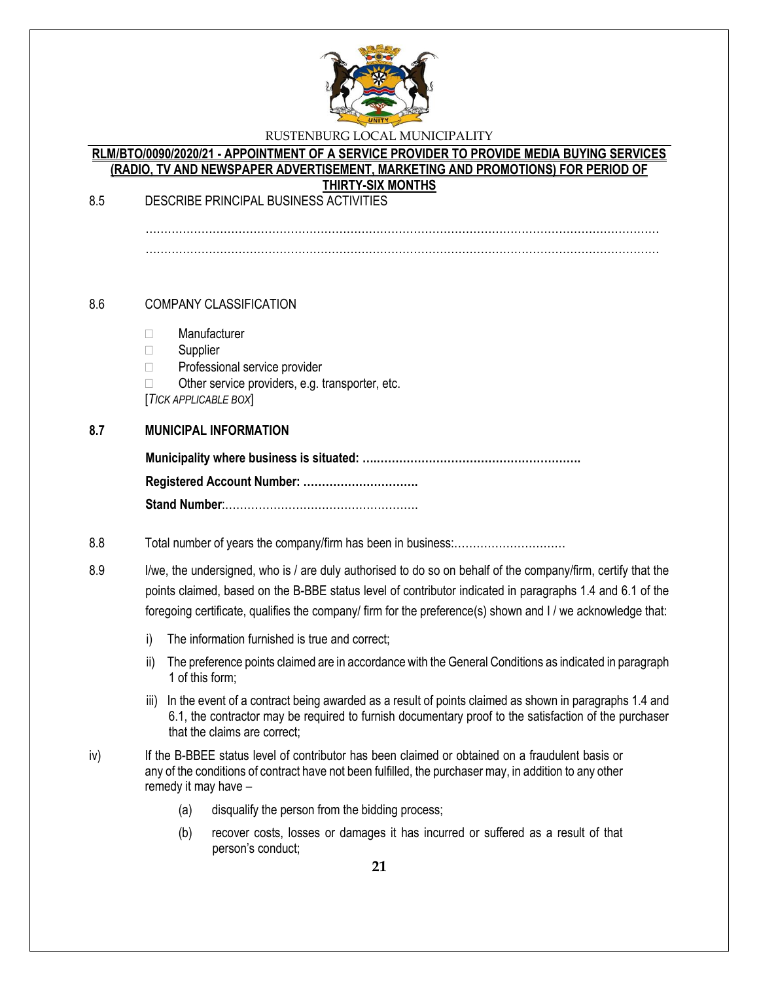

#### **RLM/BTO/0090/2020/21 - APPOINTMENT OF A SERVICE PROVIDER TO PROVIDE MEDIA BUYING SERVICES (RADIO, TV AND NEWSPAPER ADVERTISEMENT, MARKETING AND PROMOTIONS) FOR PERIOD OF THIRTY-SIX MONTHS**

8.5 DESCRIBE PRINCIPAL BUSINESS ACTIVITIES

…………………………………………………………………………………………………………………………

#### 8.6 COMPANY CLASSIFICATION

- Manufacturer
- □ Supplier
- □ Professional service provider
- $\Box$  Other service providers, e.g. transporter, etc.

[*TICK APPLICABLE BOX*]

#### **8.7 MUNICIPAL INFORMATION**

#### 8.8 Total number of years the company/firm has been in business:…………………………

8.9 I/we, the undersigned, who is / are duly authorised to do so on behalf of the company/firm, certify that the points claimed, based on the B-BBE status level of contributor indicated in paragraphs 1.4 and 6.1 of the foregoing certificate, qualifies the company/ firm for the preference(s) shown and I / we acknowledge that:

- i) The information furnished is true and correct;
- ii) The preference points claimed are in accordance with the General Conditions as indicated in paragraph 1 of this form;
- iii) In the event of a contract being awarded as a result of points claimed as shown in paragraphs 1.4 and 6.1, the contractor may be required to furnish documentary proof to the satisfaction of the purchaser that the claims are correct;
- iv) If the B-BBEE status level of contributor has been claimed or obtained on a fraudulent basis or any of the conditions of contract have not been fulfilled, the purchaser may, in addition to any other remedy it may have –
	- (a) disqualify the person from the bidding process;
	- (b) recover costs, losses or damages it has incurred or suffered as a result of that person's conduct;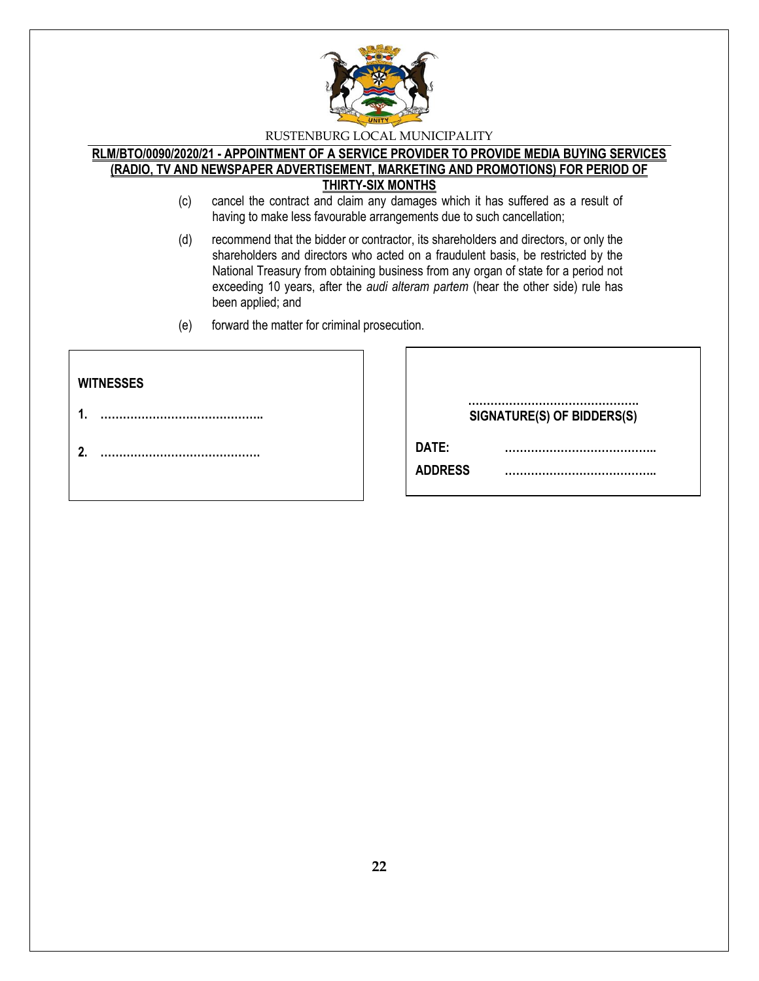

#### **RLM/BTO/0090/2020/21 - APPOINTMENT OF A SERVICE PROVIDER TO PROVIDE MEDIA BUYING SERVICES (RADIO, TV AND NEWSPAPER ADVERTISEMENT, MARKETING AND PROMOTIONS) FOR PERIOD OF THIRTY-SIX MONTHS**

- (c) cancel the contract and claim any damages which it has suffered as a result of having to make less favourable arrangements due to such cancellation;
- (d) recommend that the bidder or contractor, its shareholders and directors, or only the shareholders and directors who acted on a fraudulent basis, be restricted by the National Treasury from obtaining business from any organ of state for a period not exceeding 10 years, after the *audi alteram partem* (hear the other side) rule has been applied; and
- (e) forward the matter for criminal prosecution.

| <b>WITNESSES</b> |                                |
|------------------|--------------------------------|
| 4                | <br>SIGNATURE(S) OF BIDDERS(S) |
| 2.               | DATE:                          |
|                  | <b>ADDRESS</b>                 |
|                  |                                |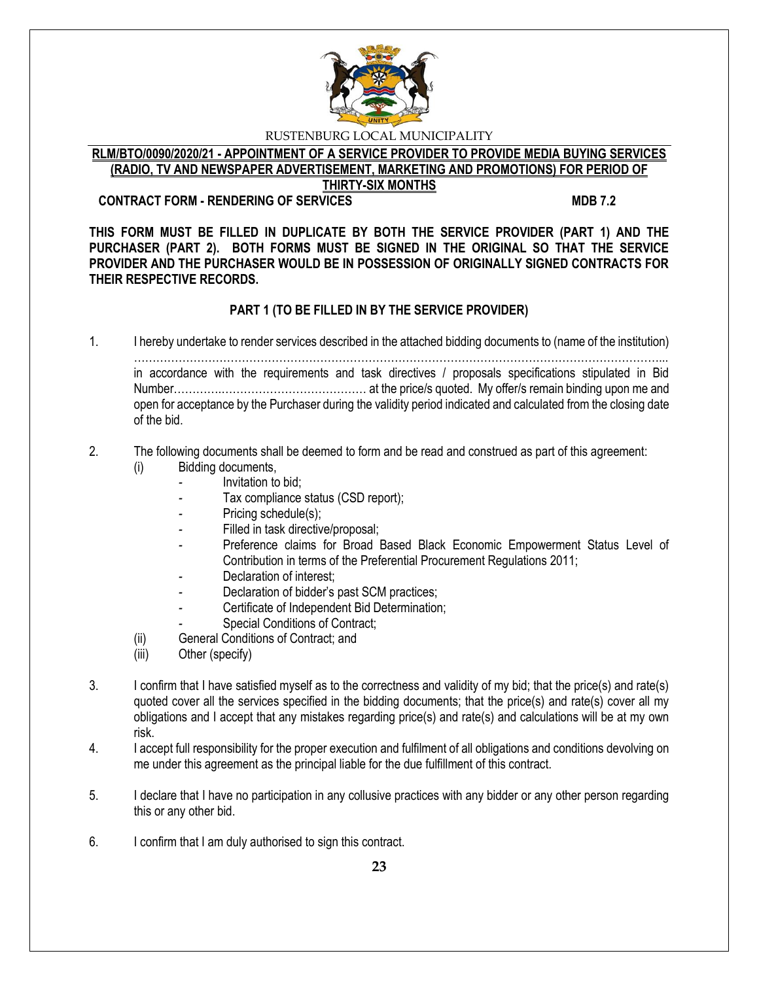

# **RLM/BTO/0090/2020/21 - APPOINTMENT OF A SERVICE PROVIDER TO PROVIDE MEDIA BUYING SERVICES (RADIO, TV AND NEWSPAPER ADVERTISEMENT, MARKETING AND PROMOTIONS) FOR PERIOD OF**

#### **THIRTY-SIX MONTHS CONTRACT FORM - RENDERING OF SERVICES MDB 7.2**

**THIS FORM MUST BE FILLED IN DUPLICATE BY BOTH THE SERVICE PROVIDER (PART 1) AND THE PURCHASER (PART 2). BOTH FORMS MUST BE SIGNED IN THE ORIGINAL SO THAT THE SERVICE PROVIDER AND THE PURCHASER WOULD BE IN POSSESSION OF ORIGINALLY SIGNED CONTRACTS FOR THEIR RESPECTIVE RECORDS.**

# **PART 1 (TO BE FILLED IN BY THE SERVICE PROVIDER)**

1. I hereby undertake to render services described in the attached bidding documents to (name of the institution) ……………………………………………………………………………………………………………………………... in accordance with the requirements and task directives / proposals specifications stipulated in Bid Number………….………………………………… at the price/s quoted. My offer/s remain binding upon me and open for acceptance by the Purchaser during the validity period indicated and calculated from the closing date of the bid.

#### 2. The following documents shall be deemed to form and be read and construed as part of this agreement: (i) Bidding documents,

- *-* Invitation to bid;
- Tax compliance status (CSD report);
- Pricing schedule(s);
- Filled in task directive/proposal;
- Preference claims for Broad Based Black Economic Empowerment Status Level of Contribution in terms of the Preferential Procurement Regulations 2011;
- *-* Declaration of interest;
- *-* Declaration of bidder's past SCM practices;
- *-* Certificate of Independent Bid Determination;
- **Special Conditions of Contract;**
- (ii) General Conditions of Contract; and
- (iii) Other (specify)
- 3. I confirm that I have satisfied myself as to the correctness and validity of my bid; that the price(s) and rate(s) quoted cover all the services specified in the bidding documents; that the price(s) and rate(s) cover all my obligations and I accept that any mistakes regarding price(s) and rate(s) and calculations will be at my own risk.
- 4. I accept full responsibility for the proper execution and fulfilment of all obligations and conditions devolving on me under this agreement as the principal liable for the due fulfillment of this contract.
- 5. I declare that I have no participation in any collusive practices with any bidder or any other person regarding this or any other bid.
- 6. I confirm that I am duly authorised to sign this contract.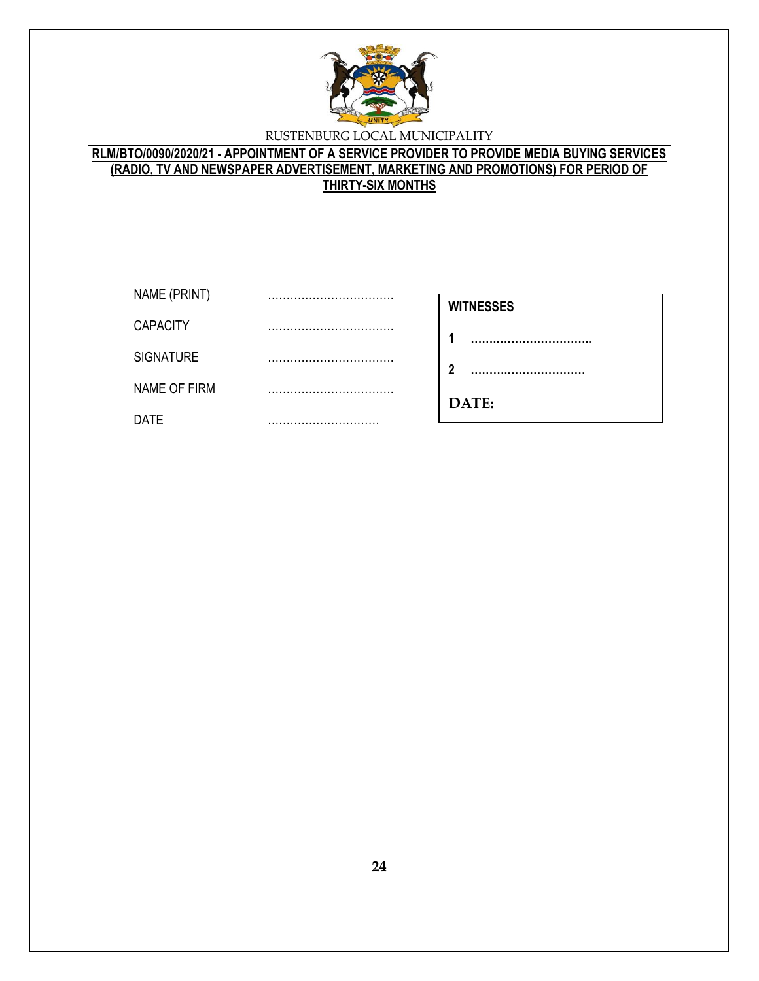

# **RLM/BTO/0090/2020/21 - APPOINTMENT OF A SERVICE PROVIDER TO PROVIDE MEDIA BUYING SERVICES (RADIO, TV AND NEWSPAPER ADVERTISEMENT, MARKETING AND PROMOTIONS) FOR PERIOD OF THIRTY-SIX MONTHS**

| NAME (PRINT)     | <br><b>WITNESSES</b> |
|------------------|----------------------|
| <b>CAPACITY</b>  |                      |
| <b>SIGNATURE</b> | <br>າ                |
| NAME OF FIRM     |                      |
| <b>DATE</b>      | <br>DATE:            |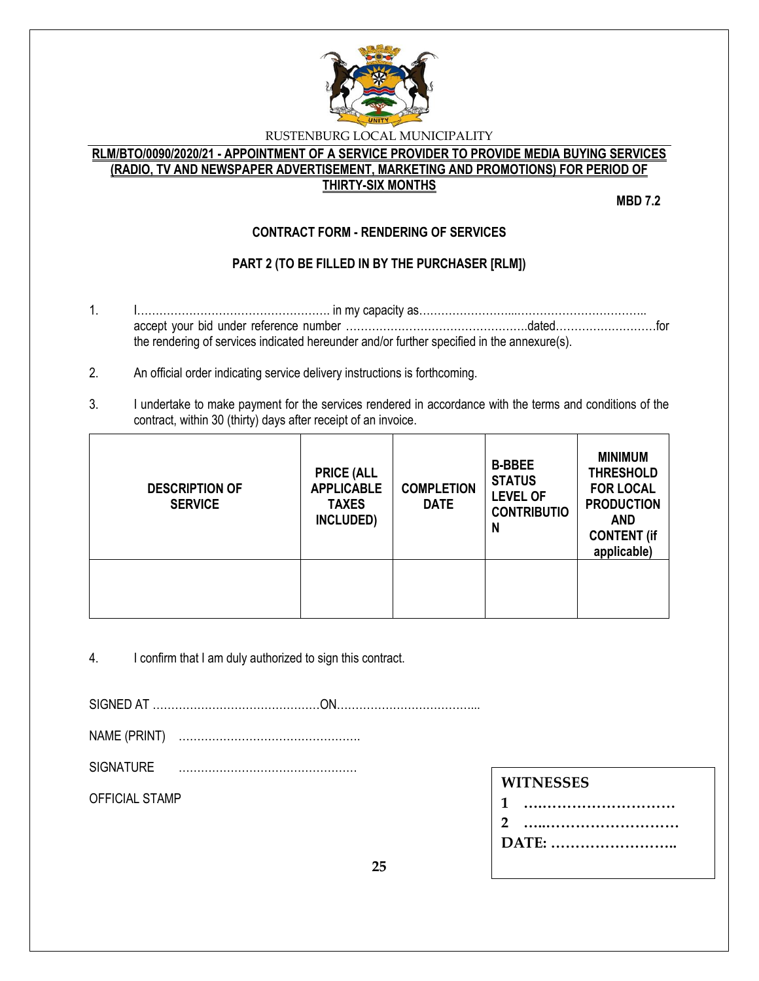

# **RLM/BTO/0090/2020/21 - APPOINTMENT OF A SERVICE PROVIDER TO PROVIDE MEDIA BUYING SERVICES (RADIO, TV AND NEWSPAPER ADVERTISEMENT, MARKETING AND PROMOTIONS) FOR PERIOD OF THIRTY-SIX MONTHS**

**MBD 7.2**

# **CONTRACT FORM - RENDERING OF SERVICES**

# **PART 2 (TO BE FILLED IN BY THE PURCHASER [RLM])**

- 1. I……………………………………………. in my capacity as……………………...…………………………….. accept your bid under reference number ………………………………………….dated………………………for the rendering of services indicated hereunder and/or further specified in the annexure(s).
- 2. An official order indicating service delivery instructions is forthcoming.
- 3. I undertake to make payment for the services rendered in accordance with the terms and conditions of the contract, within 30 (thirty) days after receipt of an invoice.

| <b>DESCRIPTION OF</b><br><b>SERVICE</b> | <b>PRICE (ALL</b><br><b>APPLICABLE</b><br><b>TAXES</b><br>INCLUDED) | <b>COMPLETION</b><br><b>DATE</b> | <b>B-BBEE</b><br><b>STATUS</b><br><b>LEVEL OF</b><br><b>CONTRIBUTIO</b><br>N | <b>MINIMUM</b><br><b>THRESHOLD</b><br><b>FOR LOCAL</b><br><b>PRODUCTION</b><br><b>AND</b><br><b>CONTENT (if</b><br>applicable) |
|-----------------------------------------|---------------------------------------------------------------------|----------------------------------|------------------------------------------------------------------------------|--------------------------------------------------------------------------------------------------------------------------------|
|                                         |                                                                     |                                  |                                                                              |                                                                                                                                |

4. I confirm that I am duly authorized to sign this contract.

SIGNED AT ………………………………………ON………………………………...

NAME (PRINT) ………………………………………….

SIGNATURE …………………………………………

OFFICIAL STAMP

| 1     |
|-------|
| 2     |
| DATE: |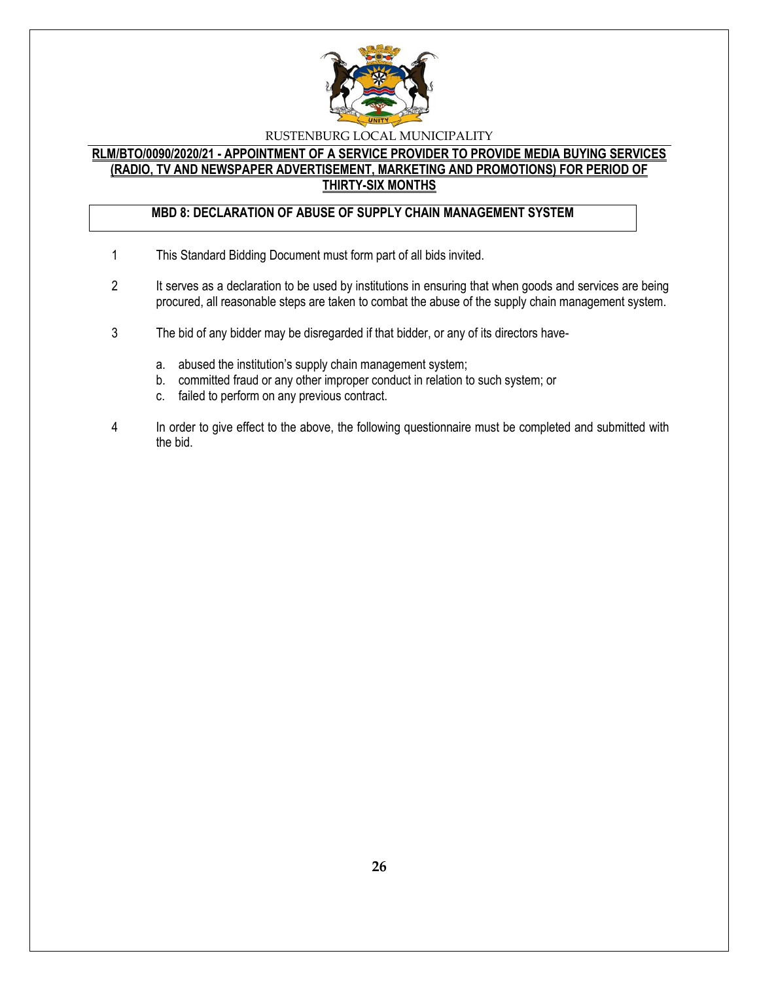

# **RLM/BTO/0090/2020/21 - APPOINTMENT OF A SERVICE PROVIDER TO PROVIDE MEDIA BUYING SERVICES (RADIO, TV AND NEWSPAPER ADVERTISEMENT, MARKETING AND PROMOTIONS) FOR PERIOD OF THIRTY-SIX MONTHS**

# **MBD 8: DECLARATION OF ABUSE OF SUPPLY CHAIN MANAGEMENT SYSTEM**

- 1 This Standard Bidding Document must form part of all bids invited.
- 2 It serves as a declaration to be used by institutions in ensuring that when goods and services are being procured, all reasonable steps are taken to combat the abuse of the supply chain management system.
- 3 The bid of any bidder may be disregarded if that bidder, or any of its directors have
	- a. abused the institution's supply chain management system;
	- b. committed fraud or any other improper conduct in relation to such system; or
	- c. failed to perform on any previous contract.
- 4 In order to give effect to the above, the following questionnaire must be completed and submitted with the bid.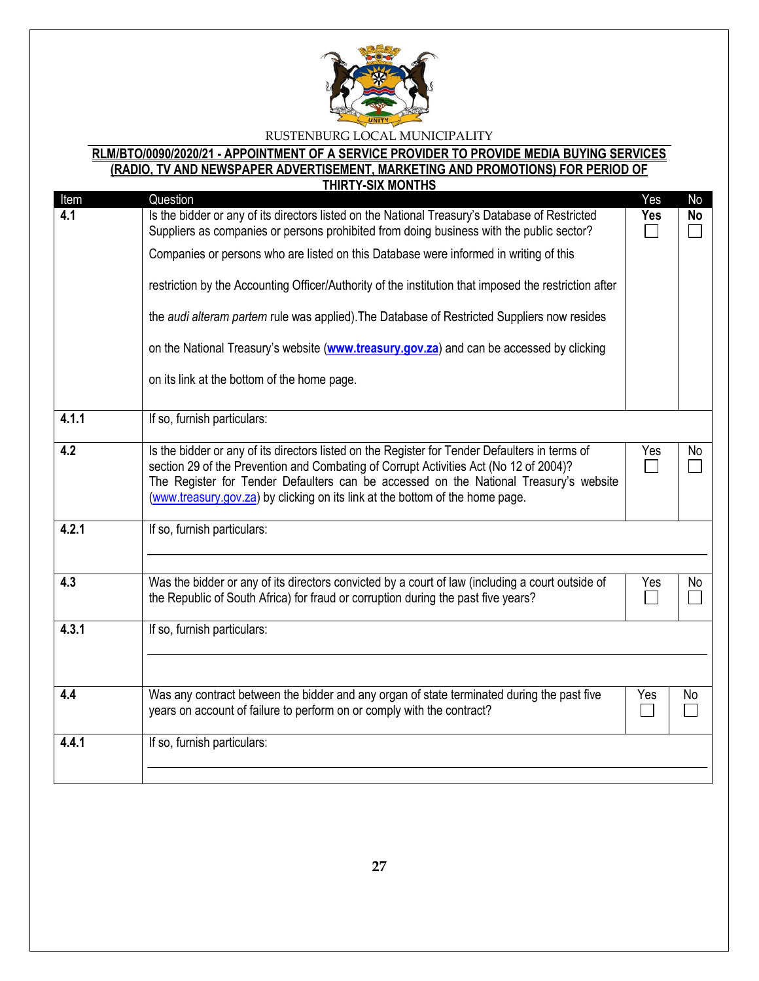

# **RLM/BTO/0090/2020/21 - APPOINTMENT OF A SERVICE PROVIDER TO PROVIDE MEDIA BUYING SERVICES (RADIO, TV AND NEWSPAPER ADVERTISEMENT, MARKETING AND PROMOTIONS) FOR PERIOD OF**

|       | <b>THIRTY-SIX MONTHS</b>                                                                                                                                             |                             |           |
|-------|----------------------------------------------------------------------------------------------------------------------------------------------------------------------|-----------------------------|-----------|
| Item  | Question                                                                                                                                                             | Yes                         | No        |
| 4.1   | Is the bidder or any of its directors listed on the National Treasury's Database of Restricted                                                                       | <b>Yes</b>                  | <b>No</b> |
|       | Suppliers as companies or persons prohibited from doing business with the public sector?                                                                             | $\sim$                      |           |
|       | Companies or persons who are listed on this Database were informed in writing of this                                                                                |                             |           |
|       | restriction by the Accounting Officer/Authority of the institution that imposed the restriction after                                                                |                             |           |
|       | the audi alteram partem rule was applied). The Database of Restricted Suppliers now resides                                                                          |                             |           |
|       | on the National Treasury's website (www.treasury.gov.za) and can be accessed by clicking                                                                             |                             |           |
|       | on its link at the bottom of the home page.                                                                                                                          |                             |           |
| 4.1.1 | If so, furnish particulars:                                                                                                                                          |                             |           |
| 4.2   | Is the bidder or any of its directors listed on the Register for Tender Defaulters in terms of                                                                       | Yes                         | No        |
|       | section 29 of the Prevention and Combating of Corrupt Activities Act (No 12 of 2004)?                                                                                | $\Box$                      |           |
|       | The Register for Tender Defaulters can be accessed on the National Treasury's website                                                                                |                             |           |
|       | (www.treasury.gov.za) by clicking on its link at the bottom of the home page.                                                                                        |                             |           |
| 4.2.1 | If so, furnish particulars:                                                                                                                                          |                             |           |
|       |                                                                                                                                                                      |                             |           |
| 4.3   | Was the bidder or any of its directors convicted by a court of law (including a court outside of                                                                     | Yes                         | No        |
|       | the Republic of South Africa) for fraud or corruption during the past five years?                                                                                    | $\mathcal{L}_{\mathcal{A}}$ |           |
| 4.3.1 | If so, furnish particulars:                                                                                                                                          |                             |           |
|       |                                                                                                                                                                      |                             |           |
|       |                                                                                                                                                                      |                             |           |
| 4.4   | Was any contract between the bidder and any organ of state terminated during the past five<br>years on account of failure to perform on or comply with the contract? | Yes                         | No        |
|       |                                                                                                                                                                      |                             |           |
| 4.4.1 | If so, furnish particulars:                                                                                                                                          |                             |           |
|       |                                                                                                                                                                      |                             |           |
|       |                                                                                                                                                                      |                             |           |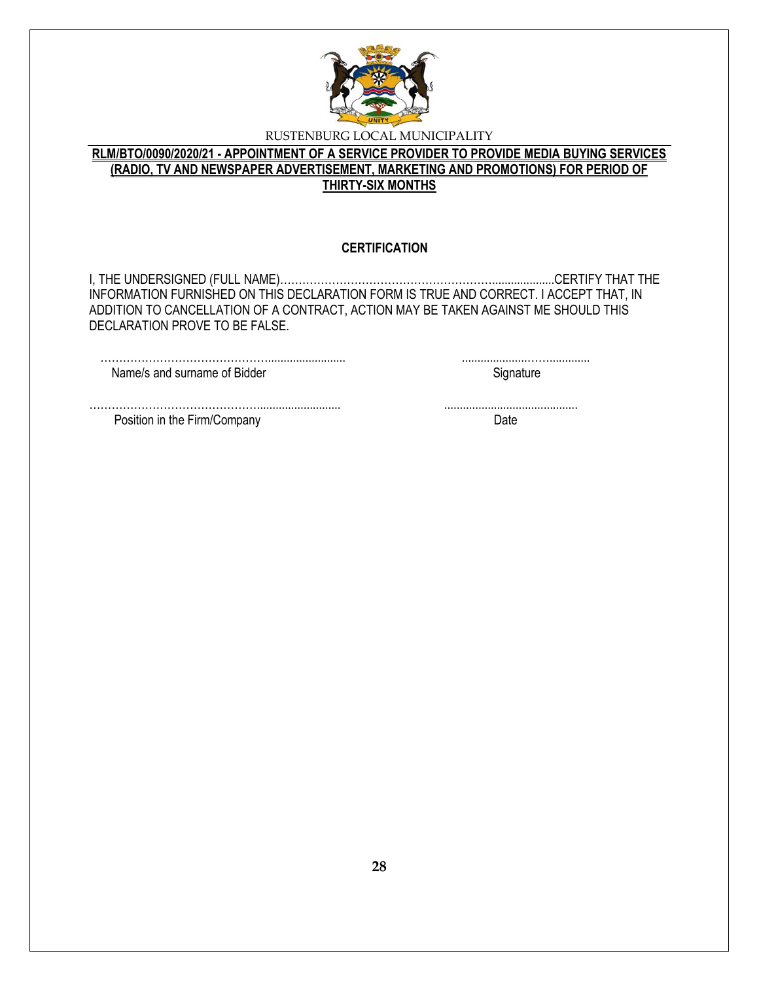

# **RLM/BTO/0090/2020/21 - APPOINTMENT OF A SERVICE PROVIDER TO PROVIDE MEDIA BUYING SERVICES (RADIO, TV AND NEWSPAPER ADVERTISEMENT, MARKETING AND PROMOTIONS) FOR PERIOD OF THIRTY-SIX MONTHS**

#### **CERTIFICATION**

I, THE UNDERSIGNED (FULL NAME)…………………………………………………....................CERTIFY THAT THE INFORMATION FURNISHED ON THIS DECLARATION FORM IS TRUE AND CORRECT. I ACCEPT THAT, IN ADDITION TO CANCELLATION OF A CONTRACT, ACTION MAY BE TAKEN AGAINST ME SHOULD THIS DECLARATION PROVE TO BE FALSE.

………………………………………........................... ...........................................

………………………………………......................... .....................……............. Name/s and surname of Bidder Signature Signature

Position in the Firm/Company Date Date Date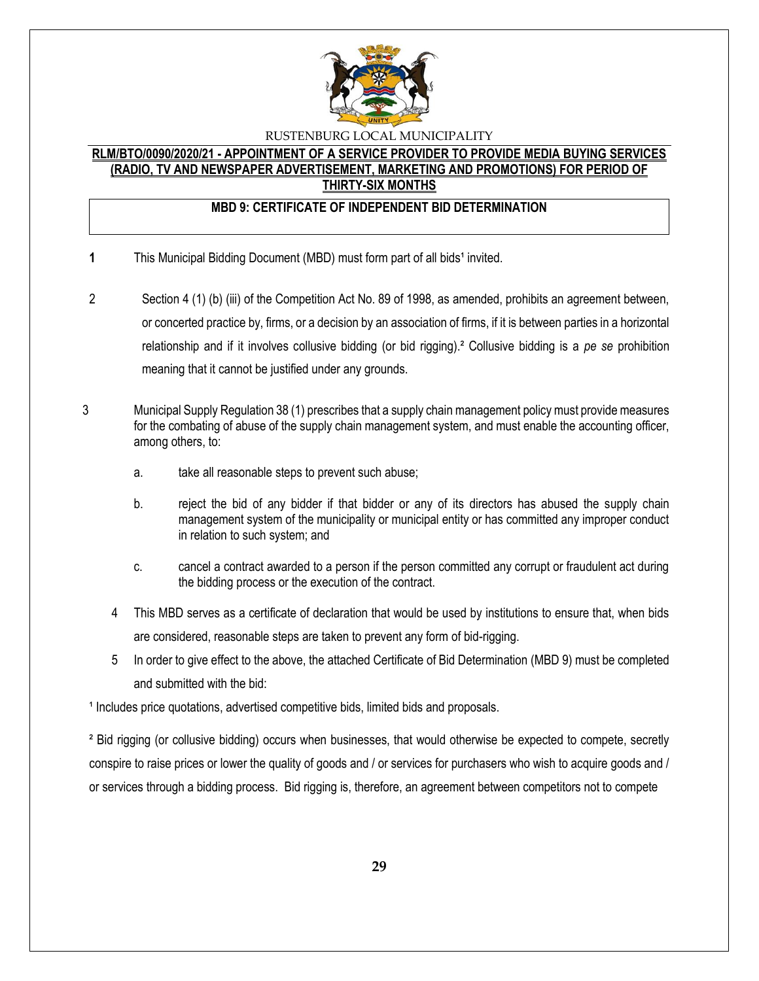

#### **RLM/BTO/0090/2020/21 - APPOINTMENT OF A SERVICE PROVIDER TO PROVIDE MEDIA BUYING SERVICES (RADIO, TV AND NEWSPAPER ADVERTISEMENT, MARKETING AND PROMOTIONS) FOR PERIOD OF THIRTY-SIX MONTHS**

# **MBD 9: CERTIFICATE OF INDEPENDENT BID DETERMINATION**

- **1** This Municipal Bidding Document (MBD) must form part of all bids<sup>1</sup> invited.
- 2 Section 4 (1) (b) (iii) of the Competition Act No. 89 of 1998, as amended, prohibits an agreement between, or concerted practice by, firms, or a decision by an association of firms, if it is between parties in a horizontal relationship and if it involves collusive bidding (or bid rigging).² Collusive bidding is a *pe se* prohibition meaning that it cannot be justified under any grounds.
- 3 Municipal Supply Regulation 38 (1) prescribes that a supply chain management policy must provide measures for the combating of abuse of the supply chain management system, and must enable the accounting officer, among others, to:
	- a. take all reasonable steps to prevent such abuse;
	- b. reject the bid of any bidder if that bidder or any of its directors has abused the supply chain management system of the municipality or municipal entity or has committed any improper conduct in relation to such system; and
	- c. cancel a contract awarded to a person if the person committed any corrupt or fraudulent act during the bidding process or the execution of the contract.
	- 4 This MBD serves as a certificate of declaration that would be used by institutions to ensure that, when bids are considered, reasonable steps are taken to prevent any form of bid-rigging.
	- 5 In order to give effect to the above, the attached Certificate of Bid Determination (MBD 9) must be completed and submitted with the bid:

<sup>1</sup> Includes price quotations, advertised competitive bids, limited bids and proposals.

² Bid rigging (or collusive bidding) occurs when businesses, that would otherwise be expected to compete, secretly conspire to raise prices or lower the quality of goods and / or services for purchasers who wish to acquire goods and / or services through a bidding process. Bid rigging is, therefore, an agreement between competitors not to compete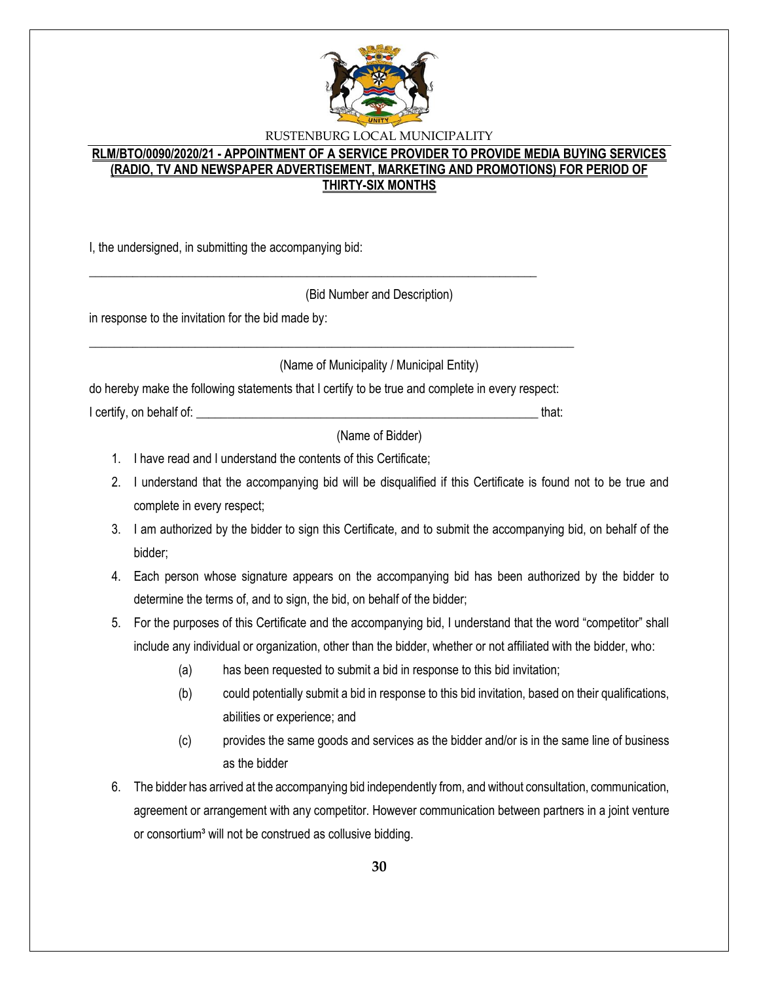

# **RLM/BTO/0090/2020/21 - APPOINTMENT OF A SERVICE PROVIDER TO PROVIDE MEDIA BUYING SERVICES (RADIO, TV AND NEWSPAPER ADVERTISEMENT, MARKETING AND PROMOTIONS) FOR PERIOD OF THIRTY-SIX MONTHS**

I, the undersigned, in submitting the accompanying bid:

(Bid Number and Description)

in response to the invitation for the bid made by:

(Name of Municipality / Municipal Entity)

do hereby make the following statements that I certify to be true and complete in every respect:

\_\_\_\_\_\_\_\_\_\_\_\_\_\_\_\_\_\_\_\_\_\_\_\_\_\_\_\_\_\_\_\_\_\_\_\_\_\_\_\_\_\_\_\_\_\_\_\_\_\_\_\_\_\_\_\_\_\_\_\_\_\_\_\_\_\_\_\_\_\_\_\_\_\_\_\_\_\_

\_\_\_\_\_\_\_\_\_\_\_\_\_\_\_\_\_\_\_\_\_\_\_\_\_\_\_\_\_\_\_\_\_\_\_\_\_\_\_\_\_\_\_\_\_\_\_\_\_\_\_\_\_\_\_\_\_\_\_\_\_\_\_\_\_\_\_\_\_\_\_\_

I certify, on behalf of: \_\_\_\_\_\_\_\_\_\_\_\_\_\_\_\_\_\_\_\_\_\_\_\_\_\_\_\_\_\_\_\_\_\_\_\_\_\_\_\_\_\_\_\_\_\_\_\_\_\_\_\_\_\_\_ that:

(Name of Bidder)

- 1. I have read and I understand the contents of this Certificate;
- 2. I understand that the accompanying bid will be disqualified if this Certificate is found not to be true and complete in every respect;
- 3. I am authorized by the bidder to sign this Certificate, and to submit the accompanying bid, on behalf of the bidder;
- 4. Each person whose signature appears on the accompanying bid has been authorized by the bidder to determine the terms of, and to sign, the bid, on behalf of the bidder;
- 5. For the purposes of this Certificate and the accompanying bid, I understand that the word "competitor" shall include any individual or organization, other than the bidder, whether or not affiliated with the bidder, who:
	- (a) has been requested to submit a bid in response to this bid invitation;
	- (b) could potentially submit a bid in response to this bid invitation, based on their qualifications, abilities or experience; and
	- (c) provides the same goods and services as the bidder and/or is in the same line of business as the bidder
- 6. The bidder has arrived at the accompanying bid independently from, and without consultation, communication, agreement or arrangement with any competitor. However communication between partners in a joint venture or consortium<sup>3</sup> will not be construed as collusive bidding.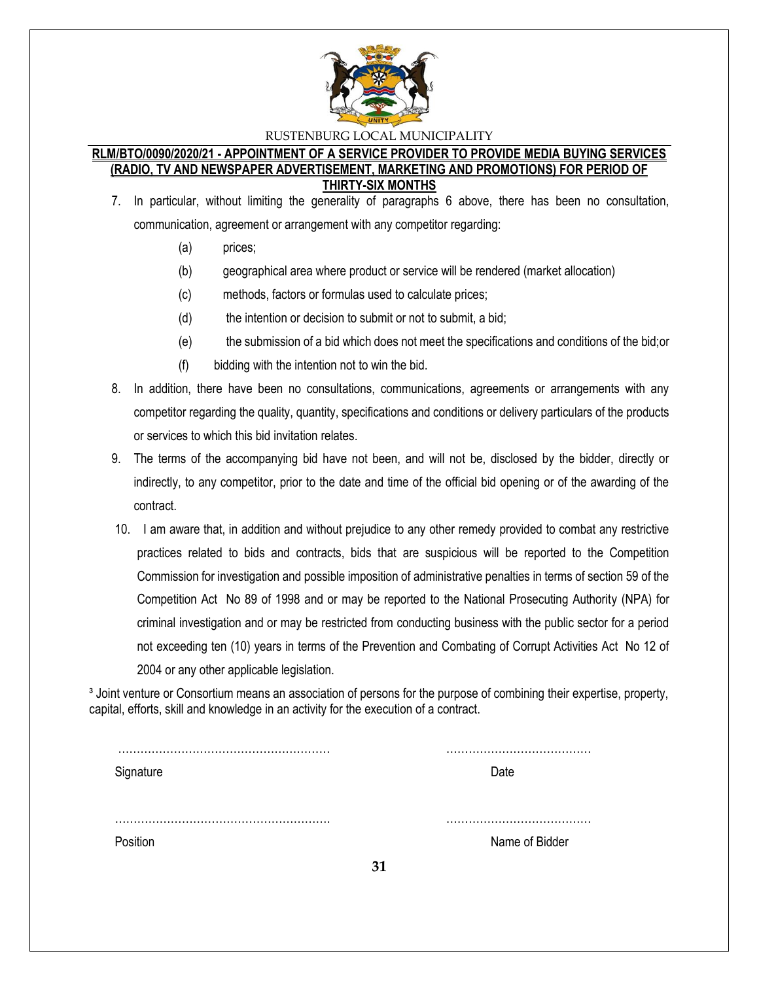

#### **RLM/BTO/0090/2020/21 - APPOINTMENT OF A SERVICE PROVIDER TO PROVIDE MEDIA BUYING SERVICES (RADIO, TV AND NEWSPAPER ADVERTISEMENT, MARKETING AND PROMOTIONS) FOR PERIOD OF THIRTY-SIX MONTHS**

- 7. In particular, without limiting the generality of paragraphs 6 above, there has been no consultation, communication, agreement or arrangement with any competitor regarding:
	- (a) prices;
	- (b) geographical area where product or service will be rendered (market allocation)
	- (c) methods, factors or formulas used to calculate prices;
	- (d) the intention or decision to submit or not to submit, a bid;
	- (e) the submission of a bid which does not meet the specifications and conditions of the bid;or
	- (f) bidding with the intention not to win the bid.
- 8. In addition, there have been no consultations, communications, agreements or arrangements with any competitor regarding the quality, quantity, specifications and conditions or delivery particulars of the products or services to which this bid invitation relates.
- 9. The terms of the accompanying bid have not been, and will not be, disclosed by the bidder, directly or indirectly, to any competitor, prior to the date and time of the official bid opening or of the awarding of the contract.
- 10. I am aware that, in addition and without prejudice to any other remedy provided to combat any restrictive practices related to bids and contracts, bids that are suspicious will be reported to the Competition Commission for investigation and possible imposition of administrative penalties in terms of section 59 of the Competition Act No 89 of 1998 and or may be reported to the National Prosecuting Authority (NPA) for criminal investigation and or may be restricted from conducting business with the public sector for a period not exceeding ten (10) years in terms of the Prevention and Combating of Corrupt Activities Act No 12 of 2004 or any other applicable legislation.

<sup>3</sup> Joint venture or Consortium means an association of persons for the purpose of combining their expertise, property, capital, efforts, skill and knowledge in an activity for the execution of a contract.

| Signature |    | Date           |
|-----------|----|----------------|
| Position  | 31 | Name of Bidder |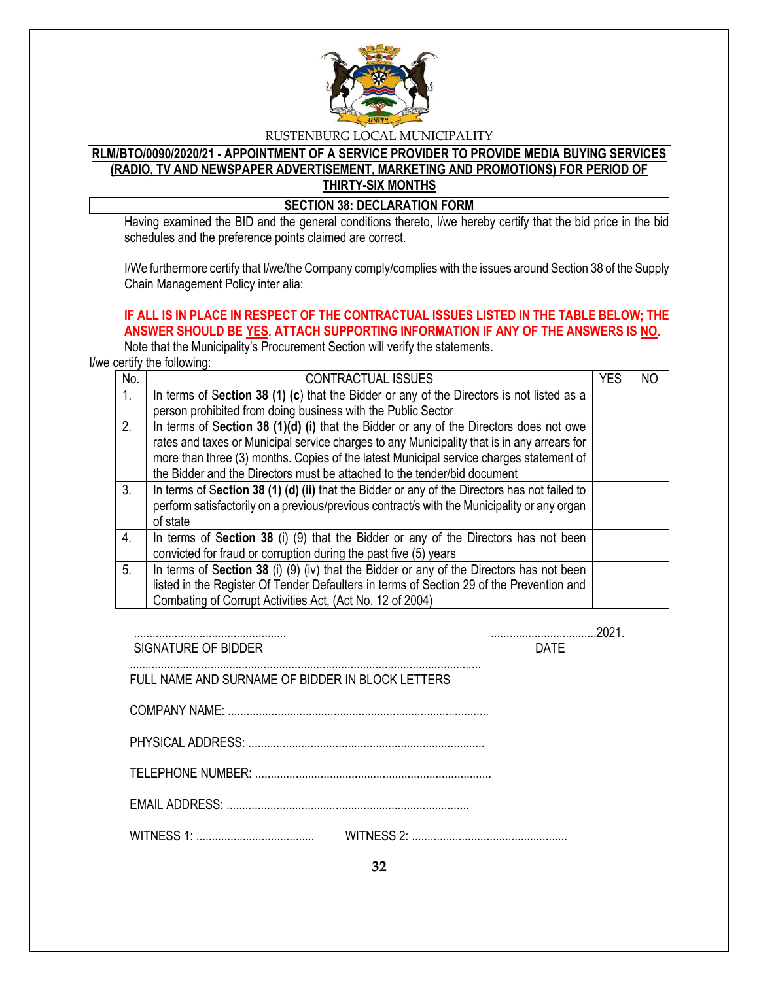

# **RLM/BTO/0090/2020/21 - APPOINTMENT OF A SERVICE PROVIDER TO PROVIDE MEDIA BUYING SERVICES (RADIO, TV AND NEWSPAPER ADVERTISEMENT, MARKETING AND PROMOTIONS) FOR PERIOD OF THIRTY-SIX MONTHS**

**SECTION 38: DECLARATION FORM** 

Having examined the BID and the general conditions thereto, I/we hereby certify that the bid price in the bid schedules and the preference points claimed are correct.

I/We furthermore certify that I/we/the Company comply/complies with the issues around Section 38 of the Supply Chain Management Policy inter alia:

# **IF ALL IS IN PLACE IN RESPECT OF THE CONTRACTUAL ISSUES LISTED IN THE TABLE BELOW; THE ANSWER SHOULD BE YES. ATTACH SUPPORTING INFORMATION IF ANY OF THE ANSWERS IS NO.**

Note that the Municipality's Procurement Section will verify the statements.

I/we certify the following:

| No.              | <b>CONTRACTUAL ISSUES</b>                                                                     | YES | ΝO |
|------------------|-----------------------------------------------------------------------------------------------|-----|----|
| $\mathbf{1}$ .   | In terms of Section 38 (1) (c) that the Bidder or any of the Directors is not listed as a     |     |    |
|                  | person prohibited from doing business with the Public Sector                                  |     |    |
| 2.               | In terms of Section 38 (1)(d) (i) that the Bidder or any of the Directors does not owe        |     |    |
|                  | rates and taxes or Municipal service charges to any Municipality that is in any arrears for   |     |    |
|                  | more than three (3) months. Copies of the latest Municipal service charges statement of       |     |    |
|                  | the Bidder and the Directors must be attached to the tender/bid document                      |     |    |
| 3.               | In terms of Section 38 (1) (d) (ii) that the Bidder or any of the Directors has not failed to |     |    |
|                  | perform satisfactorily on a previous/previous contract/s with the Municipality or any organ   |     |    |
|                  | of state                                                                                      |     |    |
| $\overline{4}$ . | In terms of Section 38 (i) (9) that the Bidder or any of the Directors has not been           |     |    |
|                  | convicted for fraud or corruption during the past five (5) years                              |     |    |
| 5.               | In terms of Section 38 (i) (9) (iv) that the Bidder or any of the Directors has not been      |     |    |
|                  | listed in the Register Of Tender Defaulters in terms of Section 29 of the Prevention and      |     |    |
|                  | Combating of Corrupt Activities Act, (Act No. 12 of 2004)                                     |     |    |

| SIGNATURE OF BIDDER                              | <b>DATF</b> |  |
|--------------------------------------------------|-------------|--|
| FULL NAME AND SURNAME OF BIDDER IN BLOCK LETTERS |             |  |
|                                                  |             |  |
|                                                  |             |  |
|                                                  |             |  |
|                                                  |             |  |
|                                                  |             |  |

**32**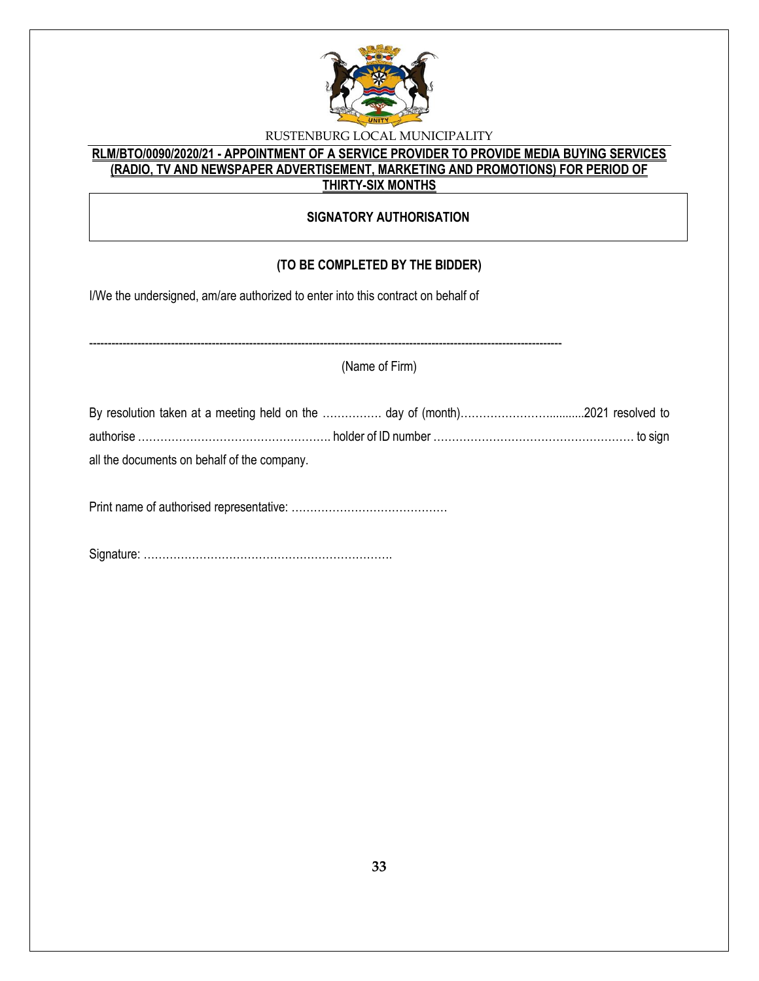

# **RLM/BTO/0090/2020/21 - APPOINTMENT OF A SERVICE PROVIDER TO PROVIDE MEDIA BUYING SERVICES (RADIO, TV AND NEWSPAPER ADVERTISEMENT, MARKETING AND PROMOTIONS) FOR PERIOD OF THIRTY-SIX MONTHS**

# **SIGNATORY AUTHORISATION**

# **(TO BE COMPLETED BY THE BIDDER)**

I/We the undersigned, am/are authorized to enter into this contract on behalf of

------------------------------------------------------------------------------------------------------------------------------- (Name of Firm)

| By resolution taken at a meeting held on the  day of (month)2021 resolved to  |  |
|-------------------------------------------------------------------------------|--|
| authorise ………………………………………………… holder of ID number ………………………………………………… to sign |  |
| all the documents on behalf of the company.                                   |  |

Print name of authorised representative: ……………………………………

Signature: ………………………………………………………….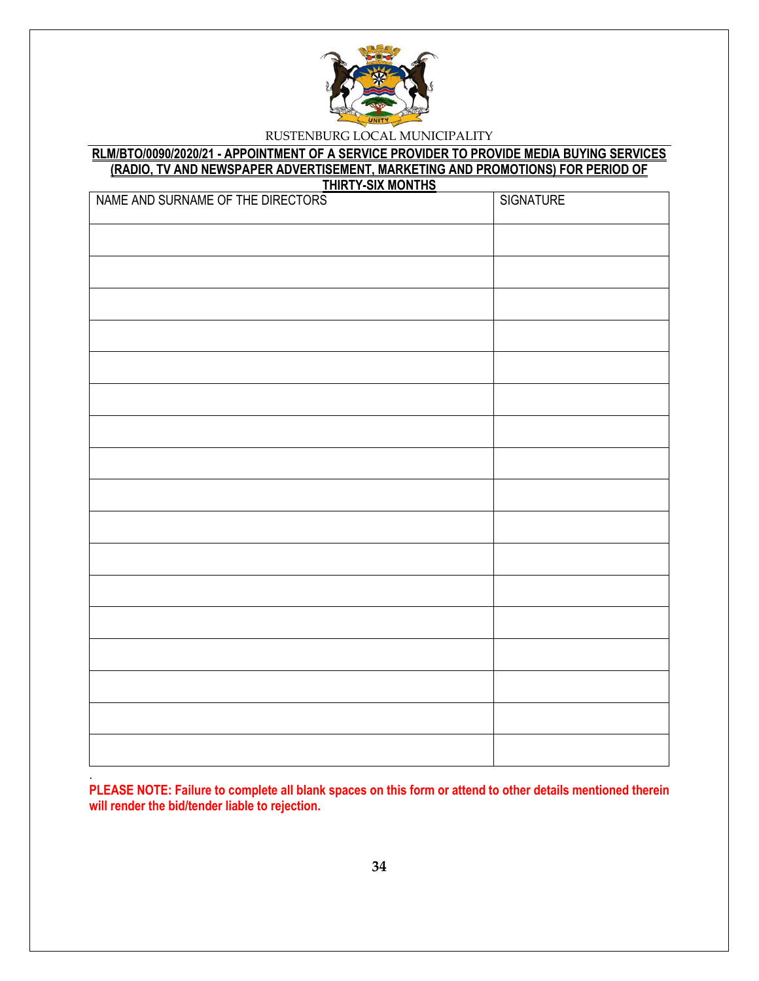

#### **RLM/BTO/0090/2020/21 - APPOINTMENT OF A SERVICE PROVIDER TO PROVIDE MEDIA BUYING SERVICES (RADIO, TV AND NEWSPAPER ADVERTISEMENT, MARKETING AND PROMOTIONS) FOR PERIOD OF THIRTY-SIX MONTHS**

| <u> טווואטווו אוט-ו ואווווו</u><br>NAME AND SURNAME OF THE DIRECTORS | <b>SIGNATURE</b> |
|----------------------------------------------------------------------|------------------|
|                                                                      |                  |
|                                                                      |                  |
|                                                                      |                  |
|                                                                      |                  |
|                                                                      |                  |
|                                                                      |                  |
|                                                                      |                  |
|                                                                      |                  |
|                                                                      |                  |
|                                                                      |                  |
|                                                                      |                  |
|                                                                      |                  |
|                                                                      |                  |
|                                                                      |                  |
|                                                                      |                  |
|                                                                      |                  |
|                                                                      |                  |
|                                                                      |                  |

**PLEASE NOTE: Failure to complete all blank spaces on this form or attend to other details mentioned therein will render the bid/tender liable to rejection.** 

.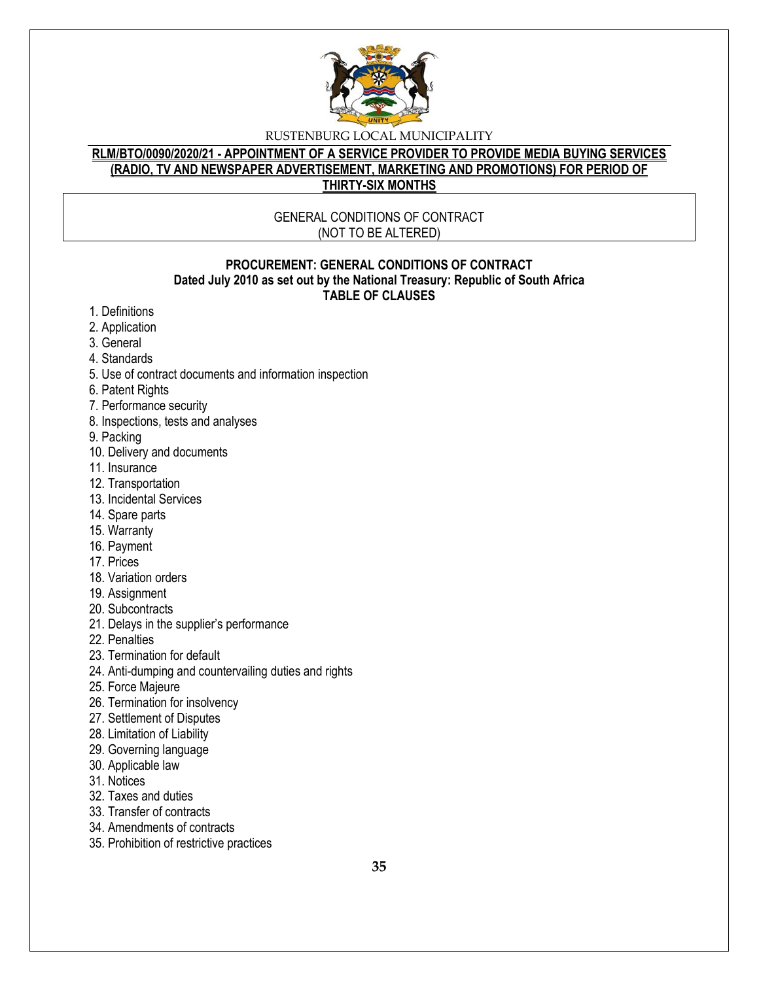

# **RLM/BTO/0090/2020/21 - APPOINTMENT OF A SERVICE PROVIDER TO PROVIDE MEDIA BUYING SERVICES (RADIO, TV AND NEWSPAPER ADVERTISEMENT, MARKETING AND PROMOTIONS) FOR PERIOD OF THIRTY-SIX MONTHS**

#### GENERAL CONDITIONS OF CONTRACT (NOT TO BE ALTERED)

#### **PROCUREMENT: GENERAL CONDITIONS OF CONTRACT Dated July 2010 as set out by the National Treasury: Republic of South Africa TABLE OF CLAUSES**

- 1. Definitions
- 2. Application
- 3. General
- 4. Standards
- 5. Use of contract documents and information inspection
- 6. Patent Rights
- 7. Performance security
- 8. Inspections, tests and analyses
- 9. Packing
- 10. Delivery and documents
- 11. Insurance
- 12. Transportation
- 13. Incidental Services
- 14. Spare parts
- 15. Warranty
- 16. Payment
- 17. Prices
- 18. Variation orders
- 19. Assignment
- 20. Subcontracts
- 21. Delays in the supplier's performance
- 22. Penalties
- 23. Termination for default
- 24. Anti-dumping and countervailing duties and rights
- 25. Force Majeure
- 26. Termination for insolvency
- 27. Settlement of Disputes
- 28. Limitation of Liability
- 29. Governing language
- 30. Applicable law
- 31. Notices
- 32. Taxes and duties
- 33. Transfer of contracts
- 34. Amendments of contracts
- 35. Prohibition of restrictive practices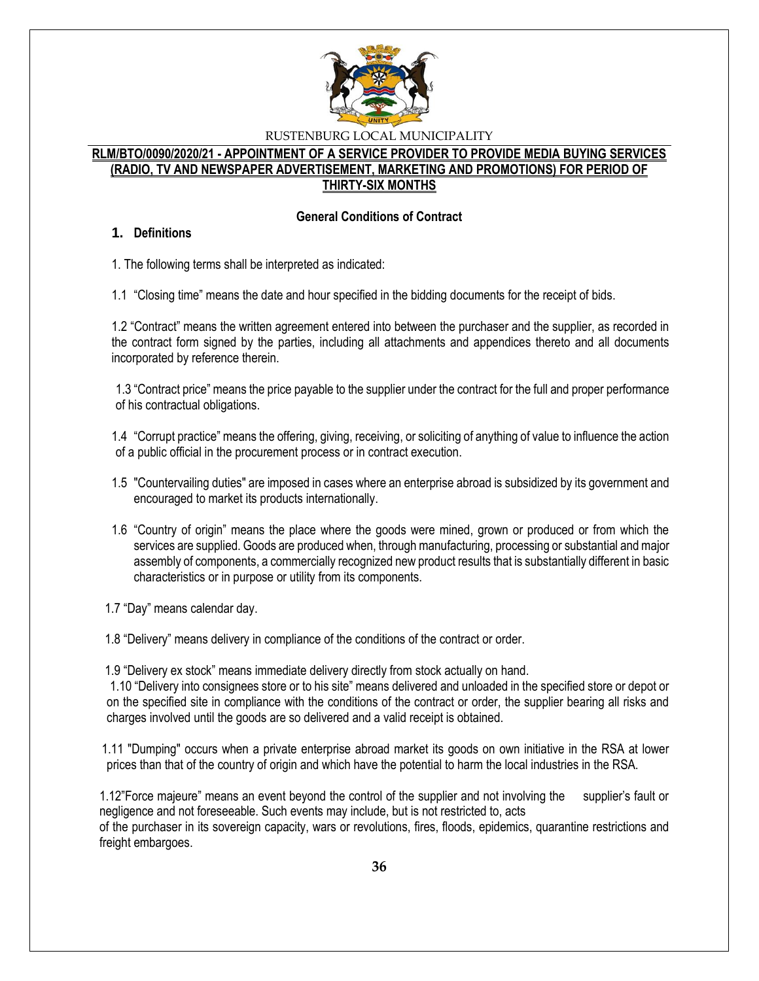

### **RLM/BTO/0090/2020/21 - APPOINTMENT OF A SERVICE PROVIDER TO PROVIDE MEDIA BUYING SERVICES (RADIO, TV AND NEWSPAPER ADVERTISEMENT, MARKETING AND PROMOTIONS) FOR PERIOD OF THIRTY-SIX MONTHS**

#### **General Conditions of Contract**

#### **1. Definitions**

1. The following terms shall be interpreted as indicated:

1.1 "Closing time" means the date and hour specified in the bidding documents for the receipt of bids.

1.2 "Contract" means the written agreement entered into between the purchaser and the supplier, as recorded in the contract form signed by the parties, including all attachments and appendices thereto and all documents incorporated by reference therein.

1.3 "Contract price" means the price payable to the supplier under the contract for the full and proper performance of his contractual obligations.

1.4 "Corrupt practice" means the offering, giving, receiving, or soliciting of anything of value to influence the action of a public official in the procurement process or in contract execution.

- 1.5 "Countervailing duties" are imposed in cases where an enterprise abroad is subsidized by its government and encouraged to market its products internationally.
- 1.6 "Country of origin" means the place where the goods were mined, grown or produced or from which the services are supplied. Goods are produced when, through manufacturing, processing or substantial and major assembly of components, a commercially recognized new product results that is substantially different in basic characteristics or in purpose or utility from its components.

1.7 "Day" means calendar day.

1.8 "Delivery" means delivery in compliance of the conditions of the contract or order.

1.9 "Delivery ex stock" means immediate delivery directly from stock actually on hand.

1.10 "Delivery into consignees store or to his site" means delivered and unloaded in the specified store or depot or on the specified site in compliance with the conditions of the contract or order, the supplier bearing all risks and charges involved until the goods are so delivered and a valid receipt is obtained.

 1.11 "Dumping" occurs when a private enterprise abroad market its goods on own initiative in the RSA at lower prices than that of the country of origin and which have the potential to harm the local industries in the RSA.

1.12"Force majeure" means an event beyond the control of the supplier and not involving the supplier's fault or negligence and not foreseeable. Such events may include, but is not restricted to, acts of the purchaser in its sovereign capacity, wars or revolutions, fires, floods, epidemics, quarantine restrictions and freight embargoes.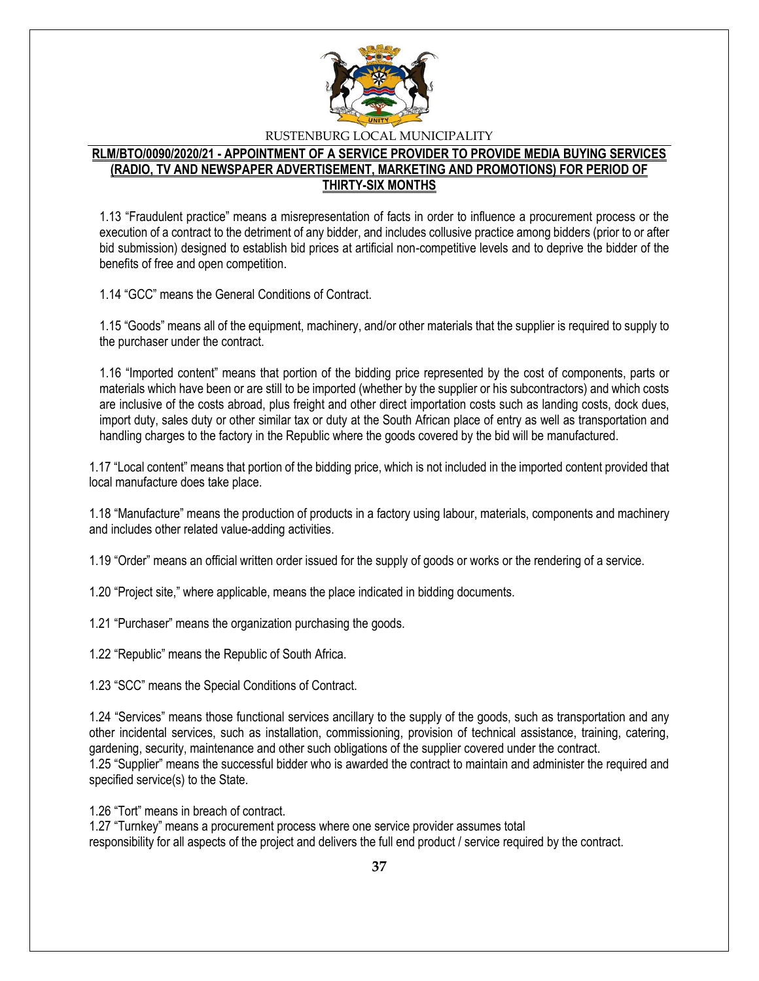

#### **RLM/BTO/0090/2020/21 - APPOINTMENT OF A SERVICE PROVIDER TO PROVIDE MEDIA BUYING SERVICES (RADIO, TV AND NEWSPAPER ADVERTISEMENT, MARKETING AND PROMOTIONS) FOR PERIOD OF THIRTY-SIX MONTHS**

1.13 "Fraudulent practice" means a misrepresentation of facts in order to influence a procurement process or the execution of a contract to the detriment of any bidder, and includes collusive practice among bidders (prior to or after bid submission) designed to establish bid prices at artificial non-competitive levels and to deprive the bidder of the benefits of free and open competition.

1.14 "GCC" means the General Conditions of Contract.

1.15 "Goods" means all of the equipment, machinery, and/or other materials that the supplier is required to supply to the purchaser under the contract.

1.16 "Imported content" means that portion of the bidding price represented by the cost of components, parts or materials which have been or are still to be imported (whether by the supplier or his subcontractors) and which costs are inclusive of the costs abroad, plus freight and other direct importation costs such as landing costs, dock dues, import duty, sales duty or other similar tax or duty at the South African place of entry as well as transportation and handling charges to the factory in the Republic where the goods covered by the bid will be manufactured.

1.17 "Local content" means that portion of the bidding price, which is not included in the imported content provided that local manufacture does take place.

1.18 "Manufacture" means the production of products in a factory using labour, materials, components and machinery and includes other related value-adding activities.

1.19 "Order" means an official written order issued for the supply of goods or works or the rendering of a service.

1.20 "Project site," where applicable, means the place indicated in bidding documents.

1.21 "Purchaser" means the organization purchasing the goods.

1.22 "Republic" means the Republic of South Africa.

1.23 "SCC" means the Special Conditions of Contract.

1.24 "Services" means those functional services ancillary to the supply of the goods, such as transportation and any other incidental services, such as installation, commissioning, provision of technical assistance, training, catering, gardening, security, maintenance and other such obligations of the supplier covered under the contract. 1.25 "Supplier" means the successful bidder who is awarded the contract to maintain and administer the required and specified service(s) to the State.

1.26 "Tort" means in breach of contract.

1.27 "Turnkey" means a procurement process where one service provider assumes total responsibility for all aspects of the project and delivers the full end product / service required by the contract.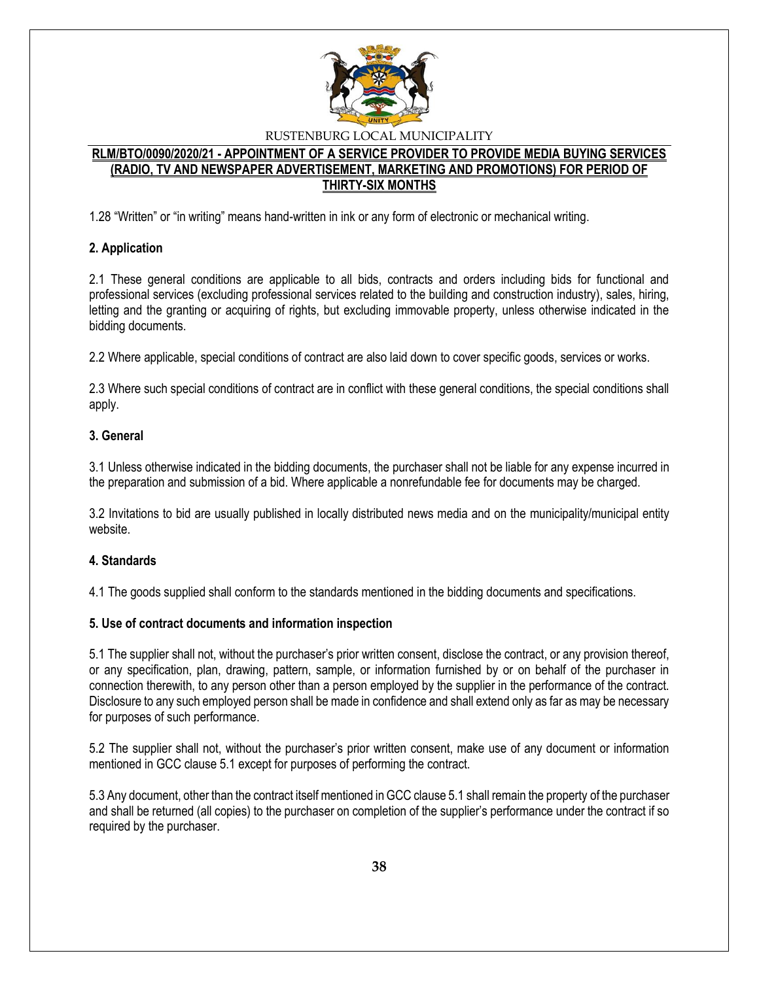

### **RLM/BTO/0090/2020/21 - APPOINTMENT OF A SERVICE PROVIDER TO PROVIDE MEDIA BUYING SERVICES (RADIO, TV AND NEWSPAPER ADVERTISEMENT, MARKETING AND PROMOTIONS) FOR PERIOD OF THIRTY-SIX MONTHS**

1.28 "Written" or "in writing" means hand-written in ink or any form of electronic or mechanical writing.

# **2. Application**

2.1 These general conditions are applicable to all bids, contracts and orders including bids for functional and professional services (excluding professional services related to the building and construction industry), sales, hiring, letting and the granting or acquiring of rights, but excluding immovable property, unless otherwise indicated in the bidding documents.

2.2 Where applicable, special conditions of contract are also laid down to cover specific goods, services or works.

2.3 Where such special conditions of contract are in conflict with these general conditions, the special conditions shall apply.

# **3. General**

3.1 Unless otherwise indicated in the bidding documents, the purchaser shall not be liable for any expense incurred in the preparation and submission of a bid. Where applicable a nonrefundable fee for documents may be charged.

3.2 Invitations to bid are usually published in locally distributed news media and on the municipality/municipal entity website.

#### **4. Standards**

4.1 The goods supplied shall conform to the standards mentioned in the bidding documents and specifications.

#### **5. Use of contract documents and information inspection**

5.1 The supplier shall not, without the purchaser's prior written consent, disclose the contract, or any provision thereof, or any specification, plan, drawing, pattern, sample, or information furnished by or on behalf of the purchaser in connection therewith, to any person other than a person employed by the supplier in the performance of the contract. Disclosure to any such employed person shall be made in confidence and shall extend only as far as may be necessary for purposes of such performance.

5.2 The supplier shall not, without the purchaser's prior written consent, make use of any document or information mentioned in GCC clause 5.1 except for purposes of performing the contract.

5.3 Any document, other than the contract itself mentioned in GCC clause 5.1 shall remain the property of the purchaser and shall be returned (all copies) to the purchaser on completion of the supplier's performance under the contract if so required by the purchaser.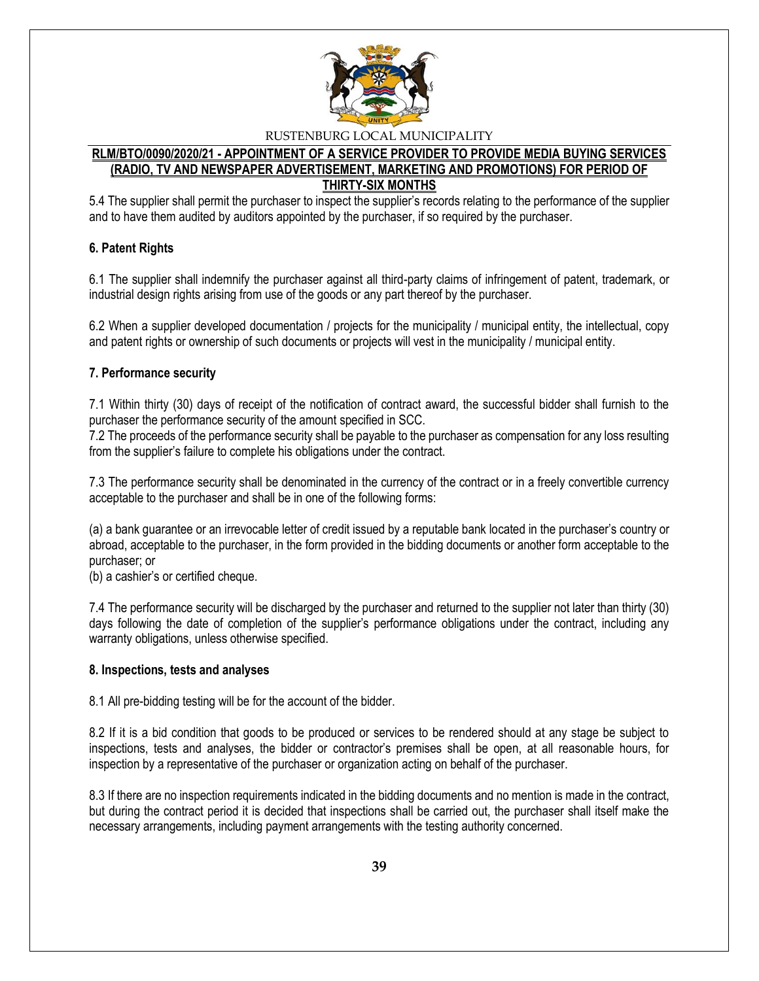

#### **RLM/BTO/0090/2020/21 - APPOINTMENT OF A SERVICE PROVIDER TO PROVIDE MEDIA BUYING SERVICES (RADIO, TV AND NEWSPAPER ADVERTISEMENT, MARKETING AND PROMOTIONS) FOR PERIOD OF THIRTY-SIX MONTHS**

5.4 The supplier shall permit the purchaser to inspect the supplier's records relating to the performance of the supplier and to have them audited by auditors appointed by the purchaser, if so required by the purchaser.

# **6. Patent Rights**

6.1 The supplier shall indemnify the purchaser against all third-party claims of infringement of patent, trademark, or industrial design rights arising from use of the goods or any part thereof by the purchaser.

6.2 When a supplier developed documentation / projects for the municipality / municipal entity, the intellectual, copy and patent rights or ownership of such documents or projects will vest in the municipality / municipal entity.

#### **7. Performance security**

7.1 Within thirty (30) days of receipt of the notification of contract award, the successful bidder shall furnish to the purchaser the performance security of the amount specified in SCC.

7.2 The proceeds of the performance security shall be payable to the purchaser as compensation for any loss resulting from the supplier's failure to complete his obligations under the contract.

7.3 The performance security shall be denominated in the currency of the contract or in a freely convertible currency acceptable to the purchaser and shall be in one of the following forms:

(a) a bank guarantee or an irrevocable letter of credit issued by a reputable bank located in the purchaser's country or abroad, acceptable to the purchaser, in the form provided in the bidding documents or another form acceptable to the purchaser; or

(b) a cashier's or certified cheque.

7.4 The performance security will be discharged by the purchaser and returned to the supplier not later than thirty (30) days following the date of completion of the supplier's performance obligations under the contract, including any warranty obligations, unless otherwise specified.

#### **8. Inspections, tests and analyses**

8.1 All pre-bidding testing will be for the account of the bidder.

8.2 If it is a bid condition that goods to be produced or services to be rendered should at any stage be subject to inspections, tests and analyses, the bidder or contractor's premises shall be open, at all reasonable hours, for inspection by a representative of the purchaser or organization acting on behalf of the purchaser.

8.3 If there are no inspection requirements indicated in the bidding documents and no mention is made in the contract, but during the contract period it is decided that inspections shall be carried out, the purchaser shall itself make the necessary arrangements, including payment arrangements with the testing authority concerned.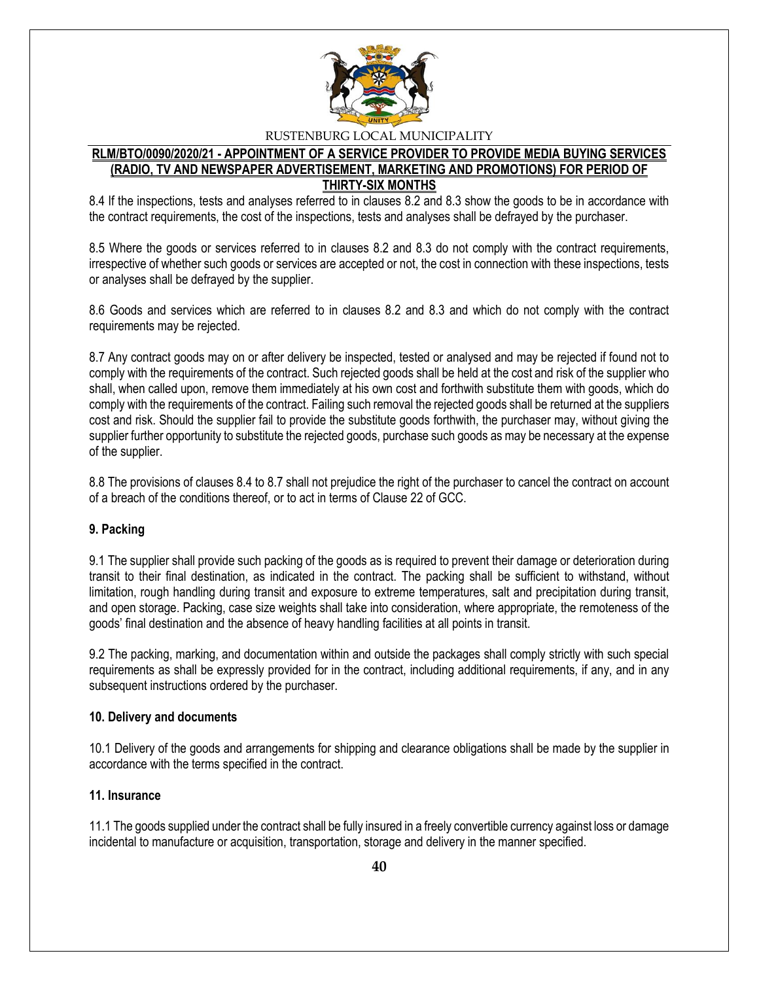

#### **RLM/BTO/0090/2020/21 - APPOINTMENT OF A SERVICE PROVIDER TO PROVIDE MEDIA BUYING SERVICES (RADIO, TV AND NEWSPAPER ADVERTISEMENT, MARKETING AND PROMOTIONS) FOR PERIOD OF THIRTY-SIX MONTHS**

8.4 If the inspections, tests and analyses referred to in clauses 8.2 and 8.3 show the goods to be in accordance with the contract requirements, the cost of the inspections, tests and analyses shall be defrayed by the purchaser.

8.5 Where the goods or services referred to in clauses 8.2 and 8.3 do not comply with the contract requirements, irrespective of whether such goods or services are accepted or not, the cost in connection with these inspections, tests or analyses shall be defrayed by the supplier.

8.6 Goods and services which are referred to in clauses 8.2 and 8.3 and which do not comply with the contract requirements may be rejected.

8.7 Any contract goods may on or after delivery be inspected, tested or analysed and may be rejected if found not to comply with the requirements of the contract. Such rejected goods shall be held at the cost and risk of the supplier who shall, when called upon, remove them immediately at his own cost and forthwith substitute them with goods, which do comply with the requirements of the contract. Failing such removal the rejected goods shall be returned at the suppliers cost and risk. Should the supplier fail to provide the substitute goods forthwith, the purchaser may, without giving the supplier further opportunity to substitute the rejected goods, purchase such goods as may be necessary at the expense of the supplier.

8.8 The provisions of clauses 8.4 to 8.7 shall not prejudice the right of the purchaser to cancel the contract on account of a breach of the conditions thereof, or to act in terms of Clause 22 of GCC.

#### **9. Packing**

9.1 The supplier shall provide such packing of the goods as is required to prevent their damage or deterioration during transit to their final destination, as indicated in the contract. The packing shall be sufficient to withstand, without limitation, rough handling during transit and exposure to extreme temperatures, salt and precipitation during transit, and open storage. Packing, case size weights shall take into consideration, where appropriate, the remoteness of the goods' final destination and the absence of heavy handling facilities at all points in transit.

9.2 The packing, marking, and documentation within and outside the packages shall comply strictly with such special requirements as shall be expressly provided for in the contract, including additional requirements, if any, and in any subsequent instructions ordered by the purchaser.

#### **10. Delivery and documents**

10.1 Delivery of the goods and arrangements for shipping and clearance obligations shall be made by the supplier in accordance with the terms specified in the contract.

#### **11. Insurance**

11.1 The goods supplied under the contract shall be fully insured in a freely convertible currency against loss or damage incidental to manufacture or acquisition, transportation, storage and delivery in the manner specified.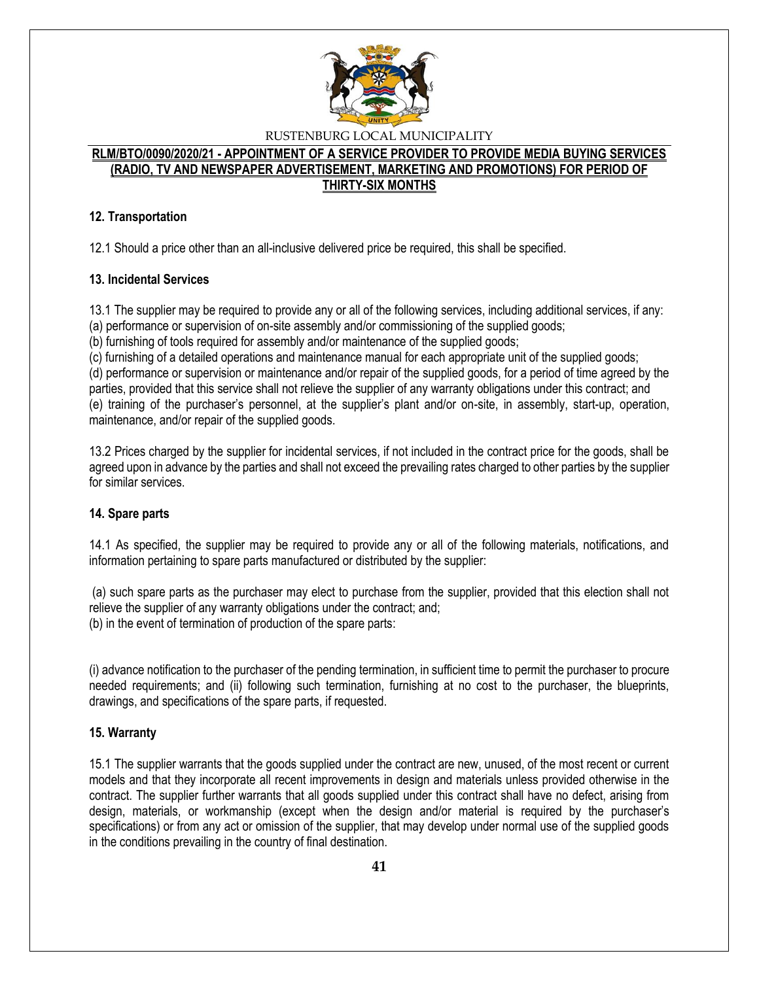

### **RLM/BTO/0090/2020/21 - APPOINTMENT OF A SERVICE PROVIDER TO PROVIDE MEDIA BUYING SERVICES (RADIO, TV AND NEWSPAPER ADVERTISEMENT, MARKETING AND PROMOTIONS) FOR PERIOD OF THIRTY-SIX MONTHS**

# **12. Transportation**

12.1 Should a price other than an all-inclusive delivered price be required, this shall be specified.

#### **13. Incidental Services**

13.1 The supplier may be required to provide any or all of the following services, including additional services, if any:

(a) performance or supervision of on-site assembly and/or commissioning of the supplied goods;

(b) furnishing of tools required for assembly and/or maintenance of the supplied goods;

(c) furnishing of a detailed operations and maintenance manual for each appropriate unit of the supplied goods;

(d) performance or supervision or maintenance and/or repair of the supplied goods, for a period of time agreed by the parties, provided that this service shall not relieve the supplier of any warranty obligations under this contract; and (e) training of the purchaser's personnel, at the supplier's plant and/or on-site, in assembly, start-up, operation, maintenance, and/or repair of the supplied goods.

13.2 Prices charged by the supplier for incidental services, if not included in the contract price for the goods, shall be agreed upon in advance by the parties and shall not exceed the prevailing rates charged to other parties by the supplier for similar services.

# **14. Spare parts**

14.1 As specified, the supplier may be required to provide any or all of the following materials, notifications, and information pertaining to spare parts manufactured or distributed by the supplier:

(a) such spare parts as the purchaser may elect to purchase from the supplier, provided that this election shall not relieve the supplier of any warranty obligations under the contract; and; (b) in the event of termination of production of the spare parts:

(i) advance notification to the purchaser of the pending termination, in sufficient time to permit the purchaser to procure needed requirements; and (ii) following such termination, furnishing at no cost to the purchaser, the blueprints, drawings, and specifications of the spare parts, if requested.

# **15. Warranty**

15.1 The supplier warrants that the goods supplied under the contract are new, unused, of the most recent or current models and that they incorporate all recent improvements in design and materials unless provided otherwise in the contract. The supplier further warrants that all goods supplied under this contract shall have no defect, arising from design, materials, or workmanship (except when the design and/or material is required by the purchaser's specifications) or from any act or omission of the supplier, that may develop under normal use of the supplied goods in the conditions prevailing in the country of final destination.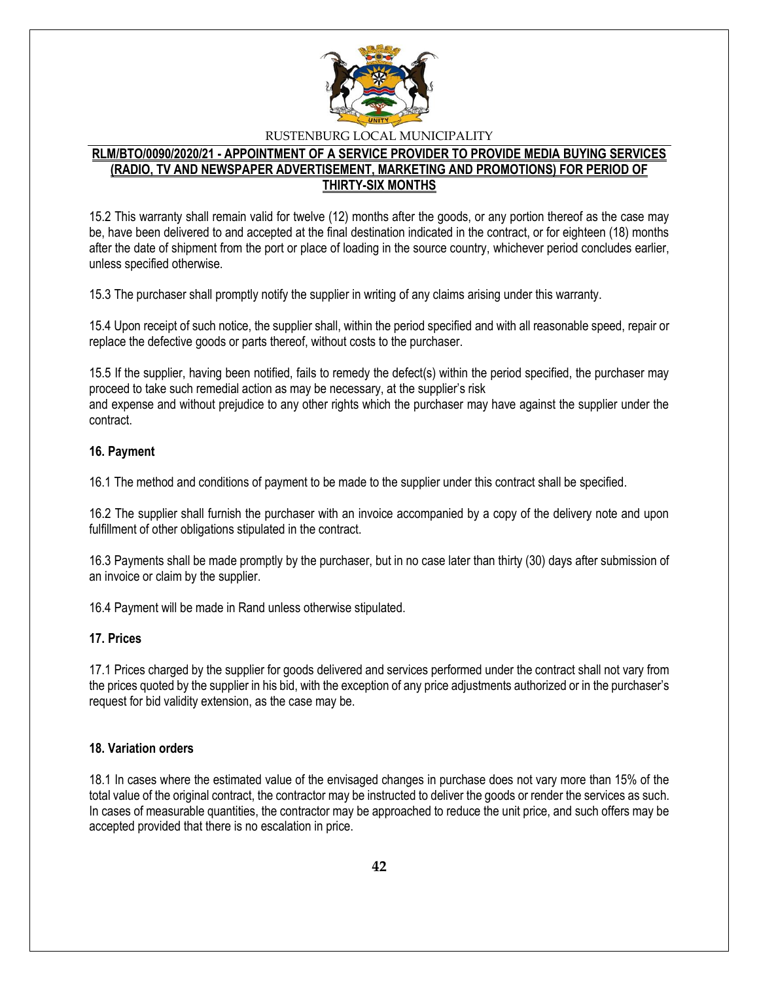

#### **RLM/BTO/0090/2020/21 - APPOINTMENT OF A SERVICE PROVIDER TO PROVIDE MEDIA BUYING SERVICES (RADIO, TV AND NEWSPAPER ADVERTISEMENT, MARKETING AND PROMOTIONS) FOR PERIOD OF THIRTY-SIX MONTHS**

15.2 This warranty shall remain valid for twelve (12) months after the goods, or any portion thereof as the case may be, have been delivered to and accepted at the final destination indicated in the contract, or for eighteen (18) months after the date of shipment from the port or place of loading in the source country, whichever period concludes earlier, unless specified otherwise.

15.3 The purchaser shall promptly notify the supplier in writing of any claims arising under this warranty.

15.4 Upon receipt of such notice, the supplier shall, within the period specified and with all reasonable speed, repair or replace the defective goods or parts thereof, without costs to the purchaser.

15.5 If the supplier, having been notified, fails to remedy the defect(s) within the period specified, the purchaser may proceed to take such remedial action as may be necessary, at the supplier's risk and expense and without prejudice to any other rights which the purchaser may have against the supplier under the contract.

#### **16. Payment**

16.1 The method and conditions of payment to be made to the supplier under this contract shall be specified.

16.2 The supplier shall furnish the purchaser with an invoice accompanied by a copy of the delivery note and upon fulfillment of other obligations stipulated in the contract.

16.3 Payments shall be made promptly by the purchaser, but in no case later than thirty (30) days after submission of an invoice or claim by the supplier.

16.4 Payment will be made in Rand unless otherwise stipulated.

#### **17. Prices**

17.1 Prices charged by the supplier for goods delivered and services performed under the contract shall not vary from the prices quoted by the supplier in his bid, with the exception of any price adjustments authorized or in the purchaser's request for bid validity extension, as the case may be.

#### **18. Variation orders**

18.1 In cases where the estimated value of the envisaged changes in purchase does not vary more than 15% of the total value of the original contract, the contractor may be instructed to deliver the goods or render the services as such. In cases of measurable quantities, the contractor may be approached to reduce the unit price, and such offers may be accepted provided that there is no escalation in price.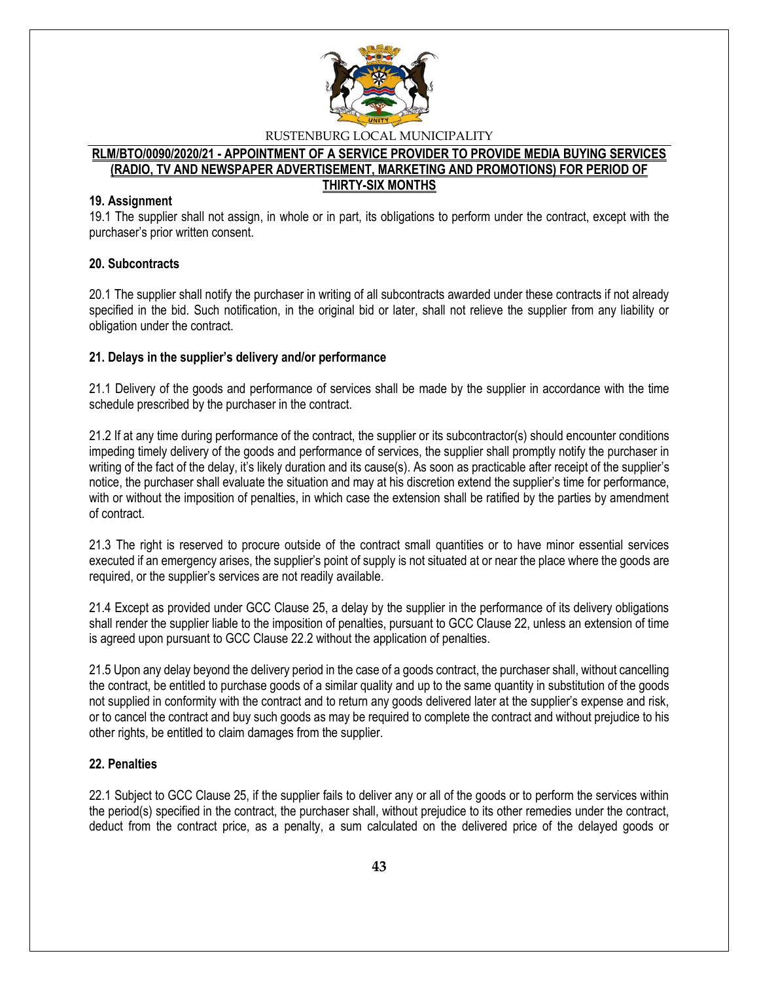

#### **RLM/BTO/0090/2020/21 - APPOINTMENT OF A SERVICE PROVIDER TO PROVIDE MEDIA BUYING SERVICES (RADIO, TV AND NEWSPAPER ADVERTISEMENT, MARKETING AND PROMOTIONS) FOR PERIOD OF THIRTY-SIX MONTHS**

#### **19. Assignment**

19.1 The supplier shall not assign, in whole or in part, its obligations to perform under the contract, except with the purchaser's prior written consent.

#### **20. Subcontracts**

20.1 The supplier shall notify the purchaser in writing of all subcontracts awarded under these contracts if not already specified in the bid. Such notification, in the original bid or later, shall not relieve the supplier from any liability or obligation under the contract.

#### **21. Delays in the supplier's delivery and/or performance**

21.1 Delivery of the goods and performance of services shall be made by the supplier in accordance with the time schedule prescribed by the purchaser in the contract.

21.2 If at any time during performance of the contract, the supplier or its subcontractor(s) should encounter conditions impeding timely delivery of the goods and performance of services, the supplier shall promptly notify the purchaser in writing of the fact of the delay, it's likely duration and its cause(s). As soon as practicable after receipt of the supplier's notice, the purchaser shall evaluate the situation and may at his discretion extend the supplier's time for performance, with or without the imposition of penalties, in which case the extension shall be ratified by the parties by amendment of contract.

21.3 The right is reserved to procure outside of the contract small quantities or to have minor essential services executed if an emergency arises, the supplier's point of supply is not situated at or near the place where the goods are required, or the supplier's services are not readily available.

21.4 Except as provided under GCC Clause 25, a delay by the supplier in the performance of its delivery obligations shall render the supplier liable to the imposition of penalties, pursuant to GCC Clause 22, unless an extension of time is agreed upon pursuant to GCC Clause 22.2 without the application of penalties.

21.5 Upon any delay beyond the delivery period in the case of a goods contract, the purchaser shall, without cancelling the contract, be entitled to purchase goods of a similar quality and up to the same quantity in substitution of the goods not supplied in conformity with the contract and to return any goods delivered later at the supplier's expense and risk, or to cancel the contract and buy such goods as may be required to complete the contract and without prejudice to his other rights, be entitled to claim damages from the supplier.

#### **22. Penalties**

22.1 Subject to GCC Clause 25, if the supplier fails to deliver any or all of the goods or to perform the services within the period(s) specified in the contract, the purchaser shall, without prejudice to its other remedies under the contract, deduct from the contract price, as a penalty, a sum calculated on the delivered price of the delayed goods or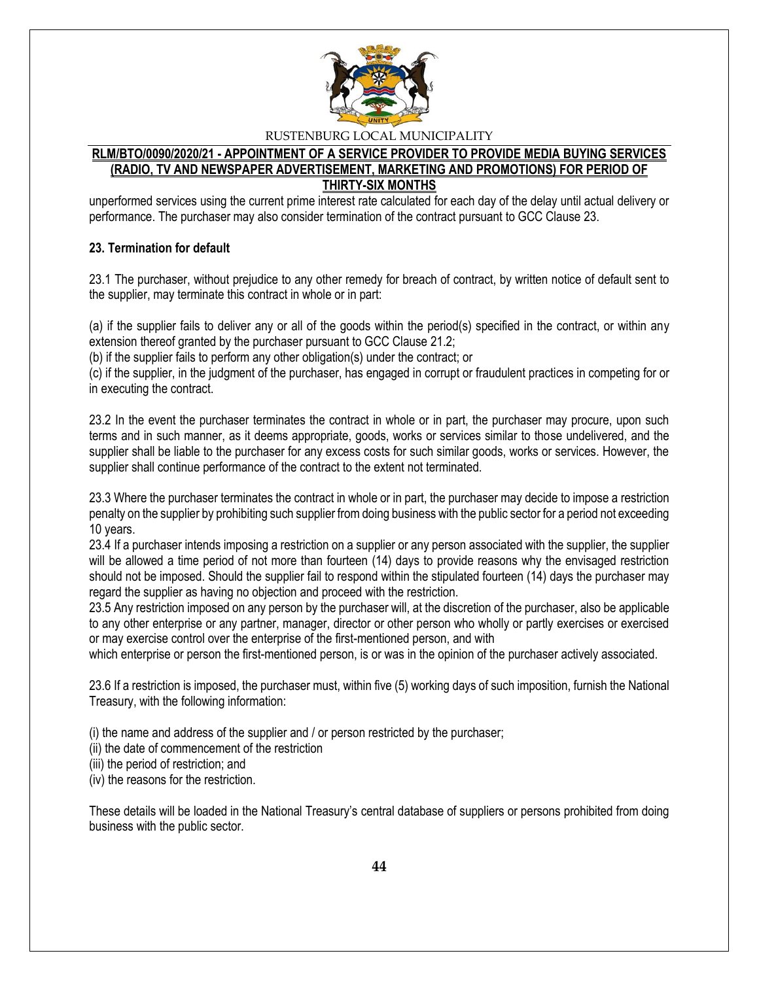

#### **RLM/BTO/0090/2020/21 - APPOINTMENT OF A SERVICE PROVIDER TO PROVIDE MEDIA BUYING SERVICES (RADIO, TV AND NEWSPAPER ADVERTISEMENT, MARKETING AND PROMOTIONS) FOR PERIOD OF THIRTY-SIX MONTHS**

unperformed services using the current prime interest rate calculated for each day of the delay until actual delivery or performance. The purchaser may also consider termination of the contract pursuant to GCC Clause 23.

#### **23. Termination for default**

23.1 The purchaser, without prejudice to any other remedy for breach of contract, by written notice of default sent to the supplier, may terminate this contract in whole or in part:

(a) if the supplier fails to deliver any or all of the goods within the period(s) specified in the contract, or within any extension thereof granted by the purchaser pursuant to GCC Clause 21.2;

(b) if the supplier fails to perform any other obligation(s) under the contract; or

(c) if the supplier, in the judgment of the purchaser, has engaged in corrupt or fraudulent practices in competing for or in executing the contract.

23.2 In the event the purchaser terminates the contract in whole or in part, the purchaser may procure, upon such terms and in such manner, as it deems appropriate, goods, works or services similar to those undelivered, and the supplier shall be liable to the purchaser for any excess costs for such similar goods, works or services. However, the supplier shall continue performance of the contract to the extent not terminated.

23.3 Where the purchaser terminates the contract in whole or in part, the purchaser may decide to impose a restriction penalty on the supplier by prohibiting such supplier from doing business with the public sector for a period not exceeding 10 years.

23.4 If a purchaser intends imposing a restriction on a supplier or any person associated with the supplier, the supplier will be allowed a time period of not more than fourteen (14) days to provide reasons why the envisaged restriction should not be imposed. Should the supplier fail to respond within the stipulated fourteen (14) days the purchaser may regard the supplier as having no objection and proceed with the restriction.

23.5 Any restriction imposed on any person by the purchaser will, at the discretion of the purchaser, also be applicable to any other enterprise or any partner, manager, director or other person who wholly or partly exercises or exercised or may exercise control over the enterprise of the first-mentioned person, and with

which enterprise or person the first-mentioned person, is or was in the opinion of the purchaser actively associated.

23.6 If a restriction is imposed, the purchaser must, within five (5) working days of such imposition, furnish the National Treasury, with the following information:

(i) the name and address of the supplier and / or person restricted by the purchaser;

(ii) the date of commencement of the restriction

(iii) the period of restriction; and

(iv) the reasons for the restriction.

These details will be loaded in the National Treasury's central database of suppliers or persons prohibited from doing business with the public sector.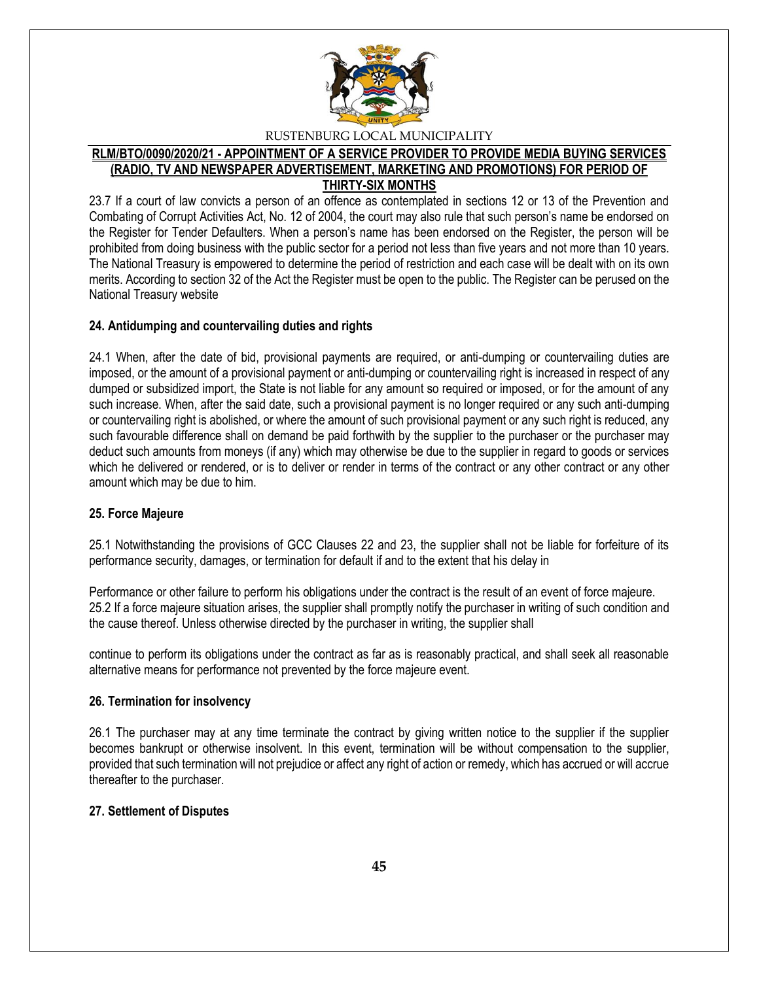

#### **RLM/BTO/0090/2020/21 - APPOINTMENT OF A SERVICE PROVIDER TO PROVIDE MEDIA BUYING SERVICES (RADIO, TV AND NEWSPAPER ADVERTISEMENT, MARKETING AND PROMOTIONS) FOR PERIOD OF THIRTY-SIX MONTHS**

23.7 If a court of law convicts a person of an offence as contemplated in sections 12 or 13 of the Prevention and Combating of Corrupt Activities Act, No. 12 of 2004, the court may also rule that such person's name be endorsed on the Register for Tender Defaulters. When a person's name has been endorsed on the Register, the person will be prohibited from doing business with the public sector for a period not less than five years and not more than 10 years. The National Treasury is empowered to determine the period of restriction and each case will be dealt with on its own merits. According to section 32 of the Act the Register must be open to the public. The Register can be perused on the National Treasury website

#### **24. Antidumping and countervailing duties and rights**

24.1 When, after the date of bid, provisional payments are required, or anti-dumping or countervailing duties are imposed, or the amount of a provisional payment or anti-dumping or countervailing right is increased in respect of any dumped or subsidized import, the State is not liable for any amount so required or imposed, or for the amount of any such increase. When, after the said date, such a provisional payment is no longer required or any such anti-dumping or countervailing right is abolished, or where the amount of such provisional payment or any such right is reduced, any such favourable difference shall on demand be paid forthwith by the supplier to the purchaser or the purchaser may deduct such amounts from moneys (if any) which may otherwise be due to the supplier in regard to goods or services which he delivered or rendered, or is to deliver or render in terms of the contract or any other contract or any other amount which may be due to him.

#### **25. Force Majeure**

25.1 Notwithstanding the provisions of GCC Clauses 22 and 23, the supplier shall not be liable for forfeiture of its performance security, damages, or termination for default if and to the extent that his delay in

Performance or other failure to perform his obligations under the contract is the result of an event of force majeure. 25.2 If a force majeure situation arises, the supplier shall promptly notify the purchaser in writing of such condition and the cause thereof. Unless otherwise directed by the purchaser in writing, the supplier shall

continue to perform its obligations under the contract as far as is reasonably practical, and shall seek all reasonable alternative means for performance not prevented by the force majeure event.

#### **26. Termination for insolvency**

26.1 The purchaser may at any time terminate the contract by giving written notice to the supplier if the supplier becomes bankrupt or otherwise insolvent. In this event, termination will be without compensation to the supplier, provided that such termination will not prejudice or affect any right of action or remedy, which has accrued or will accrue thereafter to the purchaser.

# **27. Settlement of Disputes**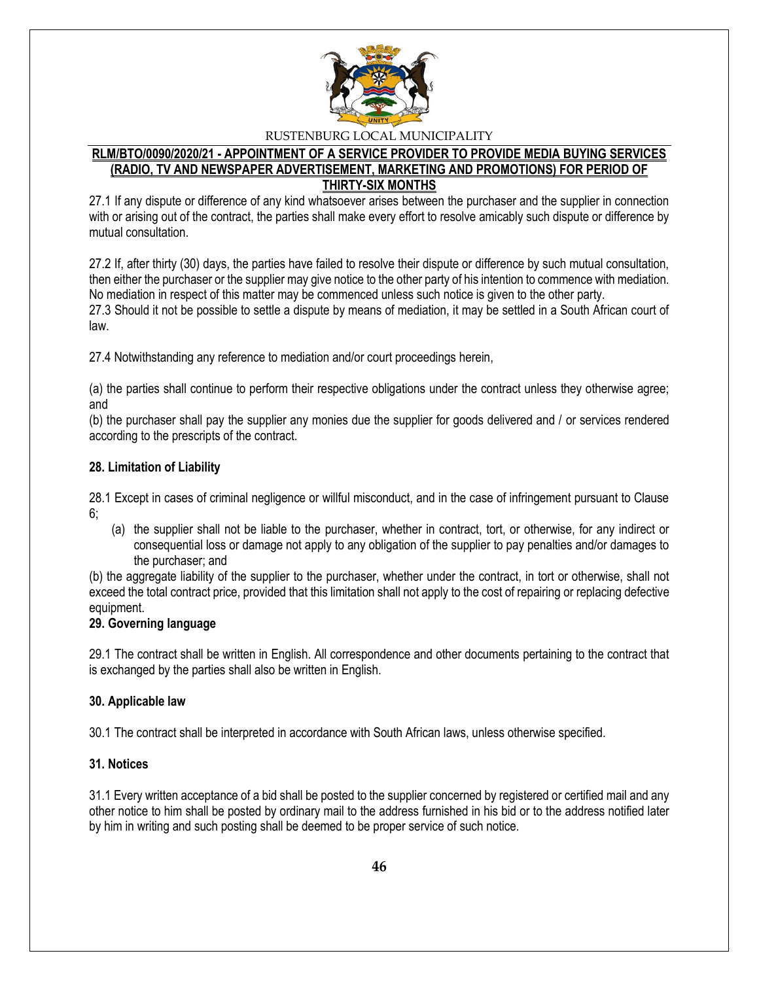

#### **RLM/BTO/0090/2020/21 - APPOINTMENT OF A SERVICE PROVIDER TO PROVIDE MEDIA BUYING SERVICES (RADIO, TV AND NEWSPAPER ADVERTISEMENT, MARKETING AND PROMOTIONS) FOR PERIOD OF THIRTY-SIX MONTHS**

27.1 If any dispute or difference of any kind whatsoever arises between the purchaser and the supplier in connection with or arising out of the contract, the parties shall make every effort to resolve amicably such dispute or difference by mutual consultation.

27.2 If, after thirty (30) days, the parties have failed to resolve their dispute or difference by such mutual consultation, then either the purchaser or the supplier may give notice to the other party of his intention to commence with mediation. No mediation in respect of this matter may be commenced unless such notice is given to the other party. 27.3 Should it not be possible to settle a dispute by means of mediation, it may be settled in a South African court of law.

27.4 Notwithstanding any reference to mediation and/or court proceedings herein,

(a) the parties shall continue to perform their respective obligations under the contract unless they otherwise agree; and

(b) the purchaser shall pay the supplier any monies due the supplier for goods delivered and / or services rendered according to the prescripts of the contract.

#### **28. Limitation of Liability**

28.1 Except in cases of criminal negligence or willful misconduct, and in the case of infringement pursuant to Clause 6;

(a) the supplier shall not be liable to the purchaser, whether in contract, tort, or otherwise, for any indirect or consequential loss or damage not apply to any obligation of the supplier to pay penalties and/or damages to the purchaser; and

(b) the aggregate liability of the supplier to the purchaser, whether under the contract, in tort or otherwise, shall not exceed the total contract price, provided that this limitation shall not apply to the cost of repairing or replacing defective equipment.

# **29. Governing language**

29.1 The contract shall be written in English. All correspondence and other documents pertaining to the contract that is exchanged by the parties shall also be written in English.

#### **30. Applicable law**

30.1 The contract shall be interpreted in accordance with South African laws, unless otherwise specified.

### **31. Notices**

31.1 Every written acceptance of a bid shall be posted to the supplier concerned by registered or certified mail and any other notice to him shall be posted by ordinary mail to the address furnished in his bid or to the address notified later by him in writing and such posting shall be deemed to be proper service of such notice.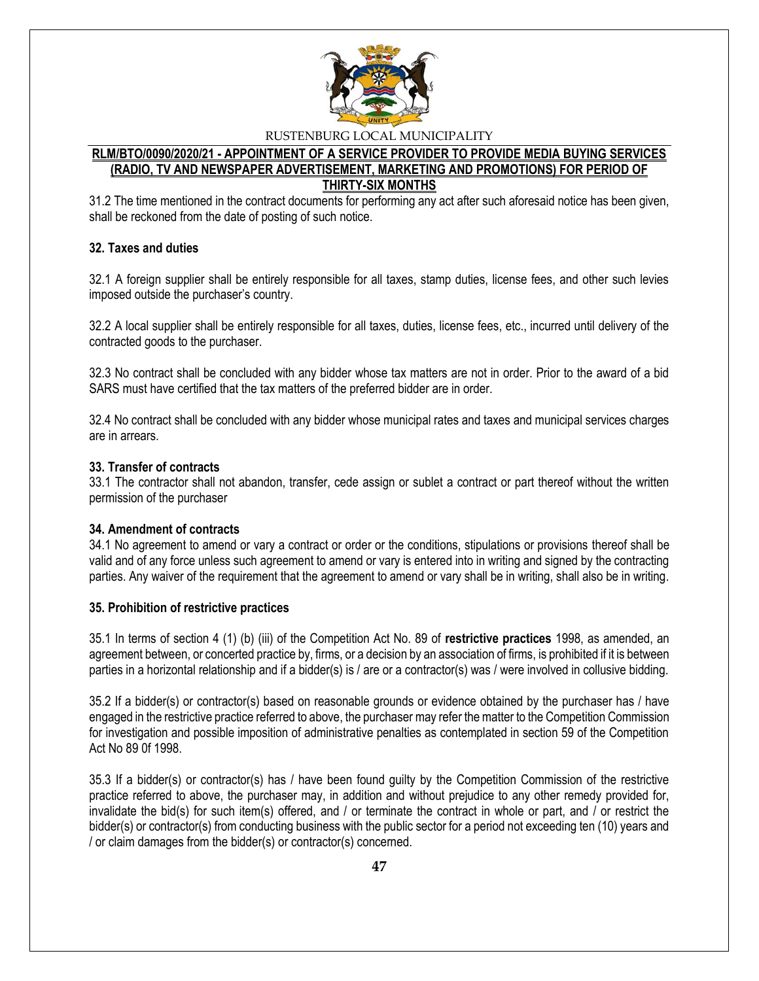

#### **RLM/BTO/0090/2020/21 - APPOINTMENT OF A SERVICE PROVIDER TO PROVIDE MEDIA BUYING SERVICES (RADIO, TV AND NEWSPAPER ADVERTISEMENT, MARKETING AND PROMOTIONS) FOR PERIOD OF THIRTY-SIX MONTHS**

31.2 The time mentioned in the contract documents for performing any act after such aforesaid notice has been given, shall be reckoned from the date of posting of such notice.

#### **32. Taxes and duties**

32.1 A foreign supplier shall be entirely responsible for all taxes, stamp duties, license fees, and other such levies imposed outside the purchaser's country.

32.2 A local supplier shall be entirely responsible for all taxes, duties, license fees, etc., incurred until delivery of the contracted goods to the purchaser.

32.3 No contract shall be concluded with any bidder whose tax matters are not in order. Prior to the award of a bid SARS must have certified that the tax matters of the preferred bidder are in order.

32.4 No contract shall be concluded with any bidder whose municipal rates and taxes and municipal services charges are in arrears.

#### **33. Transfer of contracts**

33.1 The contractor shall not abandon, transfer, cede assign or sublet a contract or part thereof without the written permission of the purchaser

#### **34. Amendment of contracts**

34.1 No agreement to amend or vary a contract or order or the conditions, stipulations or provisions thereof shall be valid and of any force unless such agreement to amend or vary is entered into in writing and signed by the contracting parties. Any waiver of the requirement that the agreement to amend or vary shall be in writing, shall also be in writing.

#### **35. Prohibition of restrictive practices**

35.1 In terms of section 4 (1) (b) (iii) of the Competition Act No. 89 of **restrictive practices** 1998, as amended, an agreement between, or concerted practice by, firms, or a decision by an association of firms, is prohibited if it is between parties in a horizontal relationship and if a bidder(s) is / are or a contractor(s) was / were involved in collusive bidding.

35.2 If a bidder(s) or contractor(s) based on reasonable grounds or evidence obtained by the purchaser has / have engaged in the restrictive practice referred to above, the purchaser may refer the matter to the Competition Commission for investigation and possible imposition of administrative penalties as contemplated in section 59 of the Competition Act No 89 0f 1998.

35.3 If a bidder(s) or contractor(s) has / have been found guilty by the Competition Commission of the restrictive practice referred to above, the purchaser may, in addition and without prejudice to any other remedy provided for, invalidate the bid(s) for such item(s) offered, and / or terminate the contract in whole or part, and / or restrict the bidder(s) or contractor(s) from conducting business with the public sector for a period not exceeding ten (10) years and / or claim damages from the bidder(s) or contractor(s) concerned.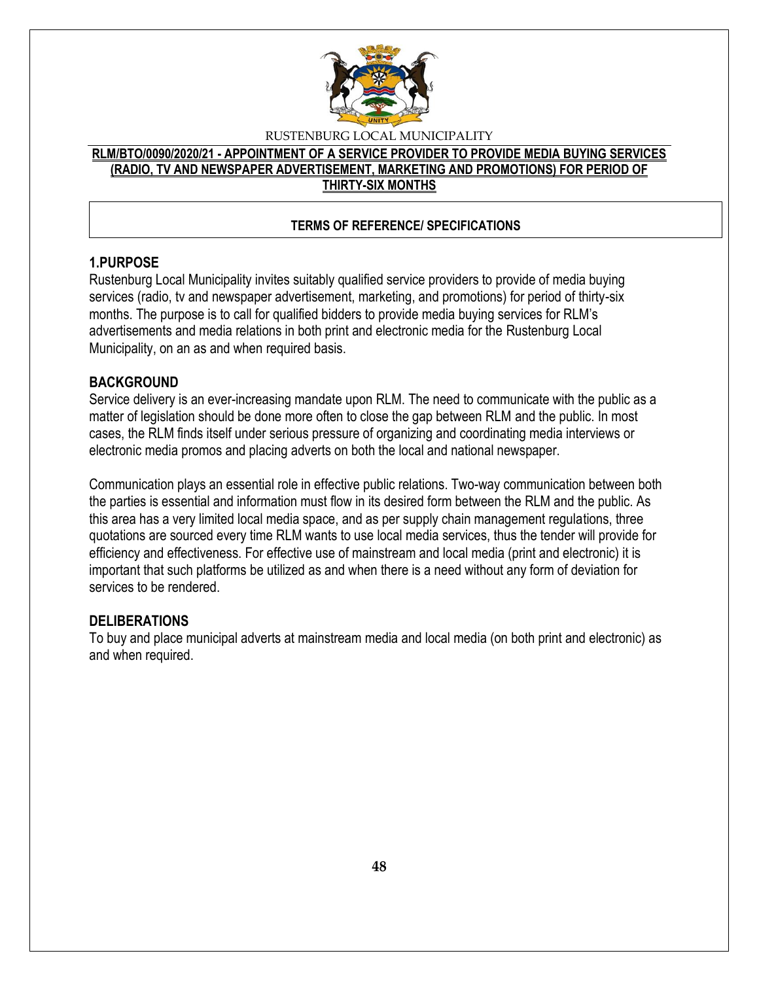

# **RLM/BTO/0090/2020/21 - APPOINTMENT OF A SERVICE PROVIDER TO PROVIDE MEDIA BUYING SERVICES (RADIO, TV AND NEWSPAPER ADVERTISEMENT, MARKETING AND PROMOTIONS) FOR PERIOD OF THIRTY-SIX MONTHS**

# **TERMS OF REFERENCE/ SPECIFICATIONS**

# **1.PURPOSE**

Rustenburg Local Municipality invites suitably qualified service providers to provide of media buying services (radio, tv and newspaper advertisement, marketing, and promotions) for period of thirty-six months. The purpose is to call for qualified bidders to provide media buying services for RLM's advertisements and media relations in both print and electronic media for the Rustenburg Local Municipality, on an as and when required basis.

#### **BACKGROUND**

Service delivery is an ever-increasing mandate upon RLM. The need to communicate with the public as a matter of legislation should be done more often to close the gap between RLM and the public. In most cases, the RLM finds itself under serious pressure of organizing and coordinating media interviews or electronic media promos and placing adverts on both the local and national newspaper.

Communication plays an essential role in effective public relations. Two-way communication between both the parties is essential and information must flow in its desired form between the RLM and the public. As this area has a very limited local media space, and as per supply chain management regulations, three quotations are sourced every time RLM wants to use local media services, thus the tender will provide for efficiency and effectiveness. For effective use of mainstream and local media (print and electronic) it is important that such platforms be utilized as and when there is a need without any form of deviation for services to be rendered.

# **DELIBERATIONS**

To buy and place municipal adverts at mainstream media and local media (on both print and electronic) as and when required.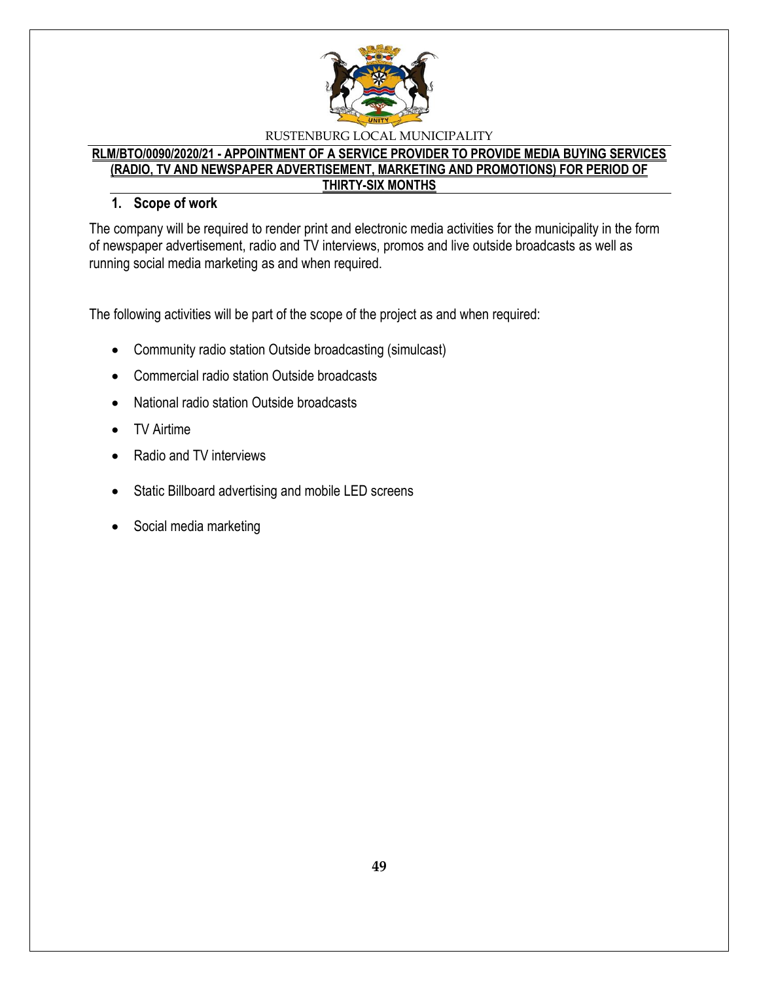

# **RLM/BTO/0090/2020/21 - APPOINTMENT OF A SERVICE PROVIDER TO PROVIDE MEDIA BUYING SERVICES (RADIO, TV AND NEWSPAPER ADVERTISEMENT, MARKETING AND PROMOTIONS) FOR PERIOD OF THIRTY-SIX MONTHS**

# **1. Scope of work**

The company will be required to render print and electronic media activities for the municipality in the form of newspaper advertisement, radio and TV interviews, promos and live outside broadcasts as well as running social media marketing as and when required.

The following activities will be part of the scope of the project as and when required:

- Community radio station Outside broadcasting (simulcast)
- Commercial radio station Outside broadcasts
- National radio station Outside broadcasts
- TV Airtime
- Radio and TV interviews
- Static Billboard advertising and mobile LED screens
- Social media marketing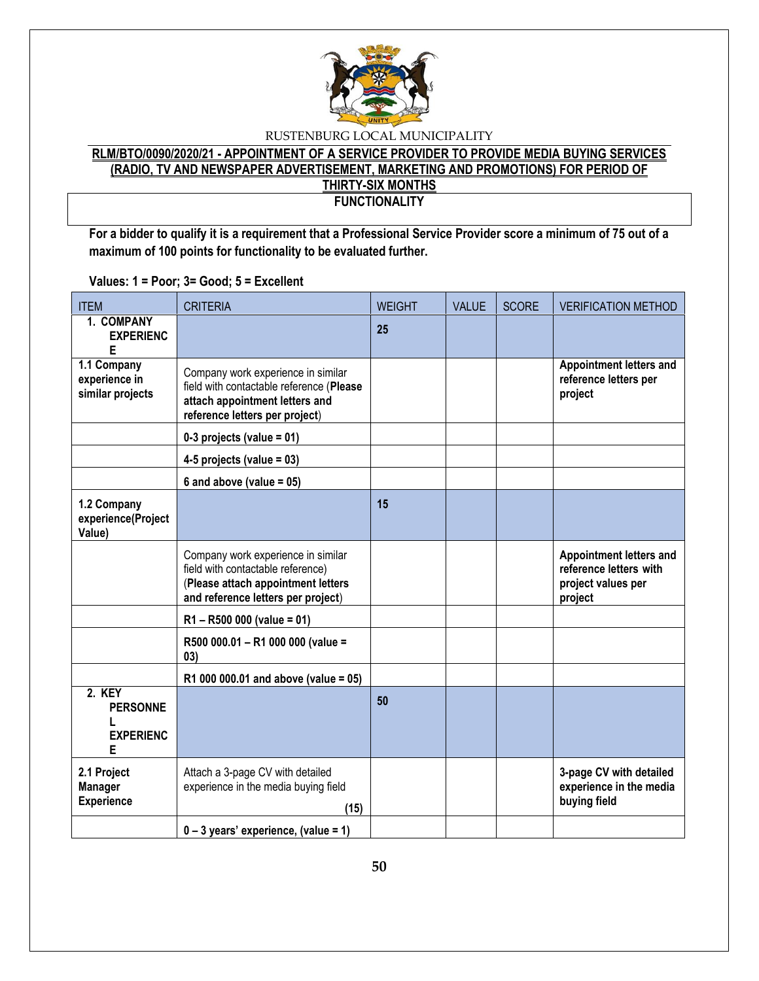

#### **RLM/BTO/0090/2020/21 - APPOINTMENT OF A SERVICE PROVIDER TO PROVIDE MEDIA BUYING SERVICES (RADIO, TV AND NEWSPAPER ADVERTISEMENT, MARKETING AND PROMOTIONS) FOR PERIOD OF THIRTY-SIX MONTHS FUNCTIONALITY**

**For a bidder to qualify it is a requirement that a Professional Service Provider score a minimum of 75 out of a maximum of 100 points for functionality to be evaluated further.**

ITEM CRITERIA WEIGHT VALUE SCORE VERIFICATION METHOD **1. COMPANY EXPERIENC E 25 1.1 Company experience in similar projects** Company work experience in similar field with contactable reference (**Please attach appointment letters and reference letters per project**) **Appointment letters and reference letters per project 0-3 projects (value = 01) 4-5 projects (value = 03) 6 and above (value = 05) 1.2 Company experience(Project Value) 15** Company work experience in similar field with contactable reference) (**Please attach appointment letters and reference letters per project**) **Appointment letters and reference letters with project values per project R1 – R500 000 (value = 01) R500 000.01 – R1 000 000 (value = 03) R1 000 000.01 and above (value = 05) 2. KEY PERSONNE L EXPERIENC E 50 2.1 Project Manager Experience** Attach a 3-page CV with detailed experience in the media buying field **(15) 3-page CV with detailed experience in the media buying field 0 – 3 years' experience, (value = 1)**

**Values: 1 = Poor; 3= Good; 5 = Excellent**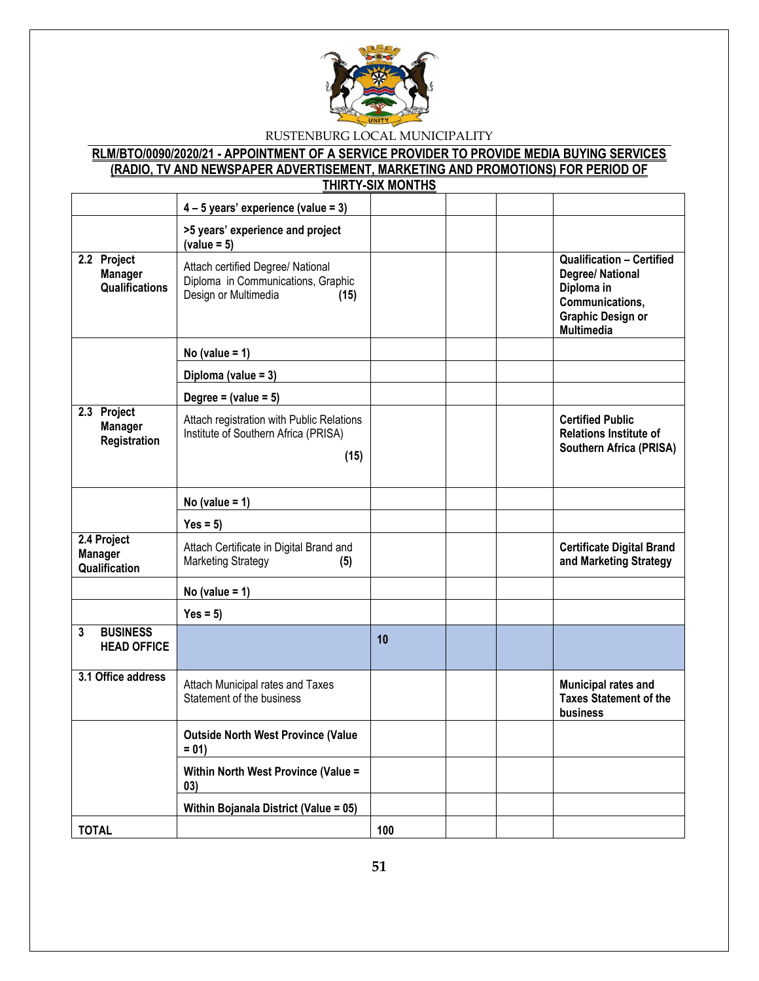

#### **RLM/BTO/0090/2020/21 - APPOINTMENT OF A SERVICE PROVIDER TO PROVIDE MEDIA BUYING SERVICES (RADIO, TV AND NEWSPAPER ADVERTISEMENT, MARKETING AND PROMOTIONS) FOR PERIOD OF THIRTY-SIX MONTHS**

|                                                        | $4 - 5$ years' experience (value = 3)                                                                   |     |                                                                                                                                        |
|--------------------------------------------------------|---------------------------------------------------------------------------------------------------------|-----|----------------------------------------------------------------------------------------------------------------------------------------|
|                                                        | >5 years' experience and project<br>$(value = 5)$                                                       |     |                                                                                                                                        |
| 2.2 Project<br><b>Manager</b><br><b>Qualifications</b> | Attach certified Degree/ National<br>Diploma in Communications, Graphic<br>Design or Multimedia<br>(15) |     | <b>Qualification - Certified</b><br>Degree/ National<br>Diploma in<br>Communications,<br><b>Graphic Design or</b><br><b>Multimedia</b> |
|                                                        | No (value = $1$ )                                                                                       |     |                                                                                                                                        |
|                                                        | Diploma (value = 3)                                                                                     |     |                                                                                                                                        |
|                                                        | Degree = $(value = 5)$                                                                                  |     |                                                                                                                                        |
| 2.3 Project<br><b>Manager</b><br>Registration          | Attach registration with Public Relations<br>Institute of Southern Africa (PRISA)<br>(15)               |     | <b>Certified Public</b><br><b>Relations Institute of</b><br>Southern Africa (PRISA)                                                    |
|                                                        | No (value = $1$ )                                                                                       |     |                                                                                                                                        |
|                                                        | $Yes = 5)$                                                                                              |     |                                                                                                                                        |
| 2.4 Project<br><b>Manager</b><br>Qualification         | Attach Certificate in Digital Brand and<br><b>Marketing Strategy</b><br>(5)                             |     | <b>Certificate Digital Brand</b><br>and Marketing Strategy                                                                             |
|                                                        | No (value = $1$ )                                                                                       |     |                                                                                                                                        |
|                                                        | $Yes = 5)$                                                                                              |     |                                                                                                                                        |
| <b>BUSINESS</b><br>3<br><b>HEAD OFFICE</b>             |                                                                                                         | 10  |                                                                                                                                        |
| 3.1 Office address                                     | Attach Municipal rates and Taxes<br>Statement of the business                                           |     | Municipal rates and<br><b>Taxes Statement of the</b><br>business                                                                       |
|                                                        | <b>Outside North West Province (Value</b><br>$= 01$                                                     |     |                                                                                                                                        |
|                                                        | Within North West Province (Value =<br>03)                                                              |     |                                                                                                                                        |
|                                                        | Within Bojanala District (Value = 05)                                                                   |     |                                                                                                                                        |
| <b>TOTAL</b>                                           |                                                                                                         | 100 |                                                                                                                                        |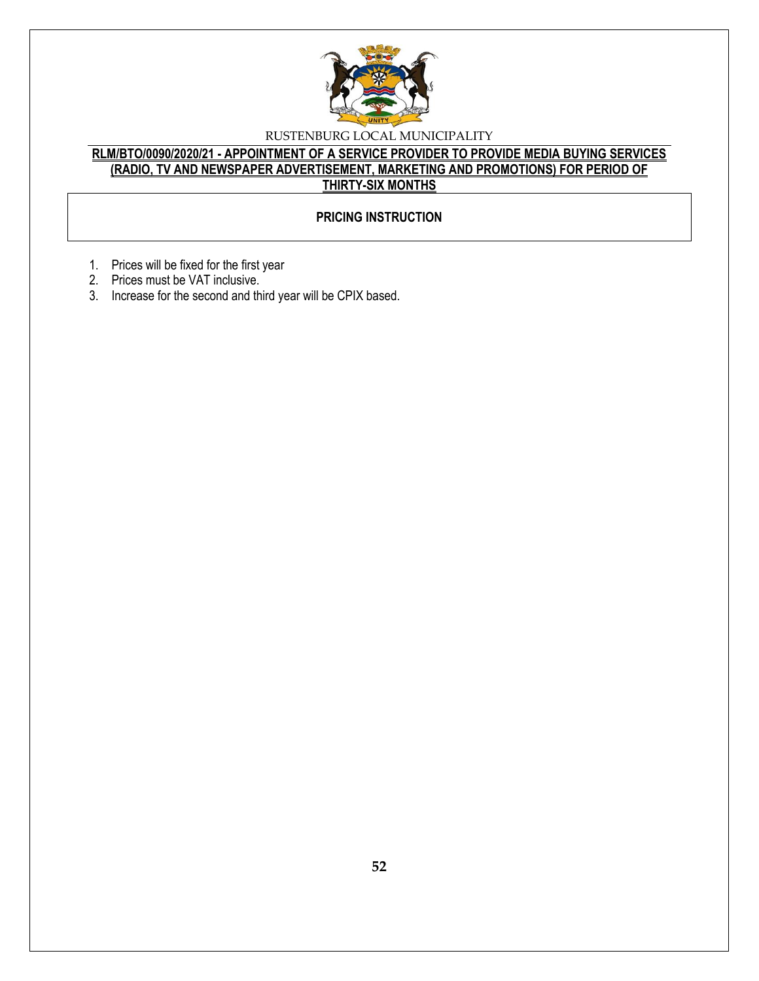

# **RLM/BTO/0090/2020/21 - APPOINTMENT OF A SERVICE PROVIDER TO PROVIDE MEDIA BUYING SERVICES (RADIO, TV AND NEWSPAPER ADVERTISEMENT, MARKETING AND PROMOTIONS) FOR PERIOD OF THIRTY-SIX MONTHS**

# **PRICING INSTRUCTION**

- 1. Prices will be fixed for the first year
- 2. Prices must be VAT inclusive.
- 3. Increase for the second and third year will be CPIX based.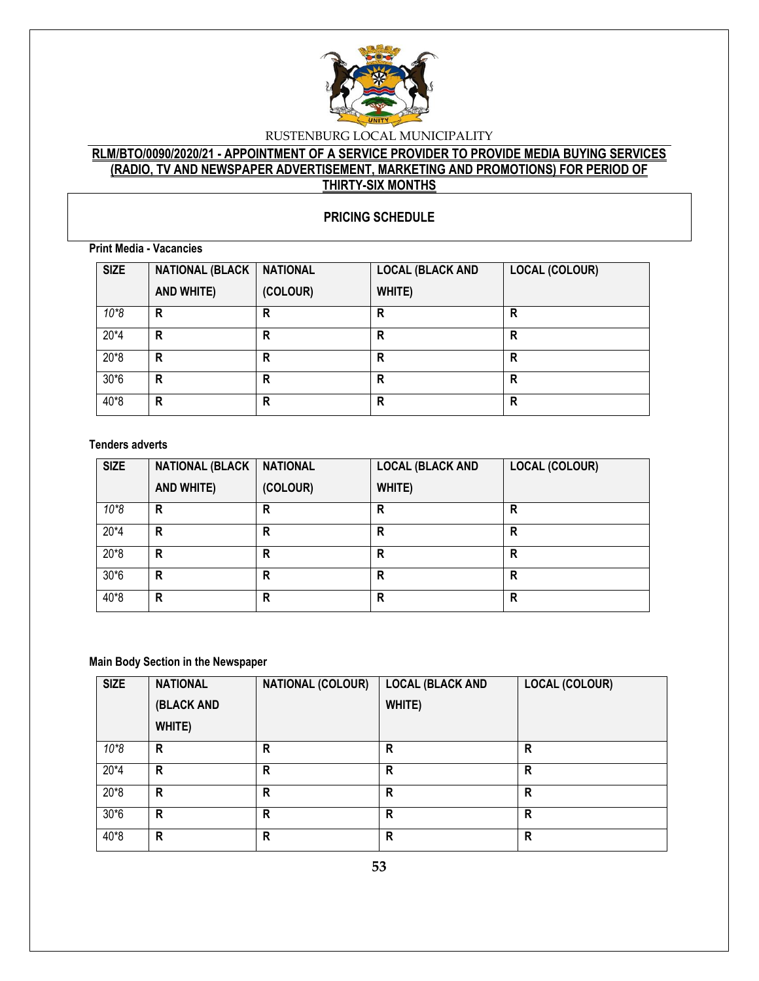

# **RLM/BTO/0090/2020/21 - APPOINTMENT OF A SERVICE PROVIDER TO PROVIDE MEDIA BUYING SERVICES (RADIO, TV AND NEWSPAPER ADVERTISEMENT, MARKETING AND PROMOTIONS) FOR PERIOD OF THIRTY-SIX MONTHS**

#### **PRICING SCHEDULE**

**Print Media - Vacancies**

| <b>SIZE</b> | <b>NATIONAL (BLACK</b> | <b>NATIONAL</b> | <b>LOCAL (BLACK AND</b> | <b>LOCAL (COLOUR)</b> |
|-------------|------------------------|-----------------|-------------------------|-----------------------|
|             | AND WHITE)             | (COLOUR)        | WHITE)                  |                       |
| $10*8$      | R                      | R               | R                       | R                     |
| $20*4$      | R                      | R               | R                       | R                     |
| $20*8$      | R                      | R               | R                       | R                     |
| $30*6$      | R                      | R               | R                       | R                     |
| 40*8        | R                      | R               | R                       | R                     |

#### **Tenders adverts**

| <b>SIZE</b> | <b>NATIONAL (BLACK</b> | <b>NATIONAL</b> | <b>LOCAL (BLACK AND</b> | <b>LOCAL (COLOUR)</b> |
|-------------|------------------------|-----------------|-------------------------|-----------------------|
|             | AND WHITE)             | (COLOUR)        | WHITE)                  |                       |
| $10*8$      | R                      | R               | R                       | R                     |
| $20*4$      | R                      | R               | R                       | R                     |
| $20*8$      | R                      | R               | R                       | R                     |
| $30*6$      | R                      | R               | R                       | R                     |
| 40*8        | R                      | R               | R                       | R                     |

#### **Main Body Section in the Newspaper**

| <b>SIZE</b> | <b>NATIONAL</b> | <b>NATIONAL (COLOUR)</b> | <b>LOCAL (BLACK AND</b> | <b>LOCAL (COLOUR)</b> |
|-------------|-----------------|--------------------------|-------------------------|-----------------------|
|             | (BLACK AND      |                          | WHITE)                  |                       |
|             | WHITE)          |                          |                         |                       |
| $10*8$      | R               | R                        | R                       | R                     |
| $20*4$      | R               | R                        | R                       | R                     |
| $20*8$      | R               | R                        | R                       | R                     |
| $30*6$      | R               | R                        | R                       | R                     |
| 40*8        | R               | R                        | R                       | R                     |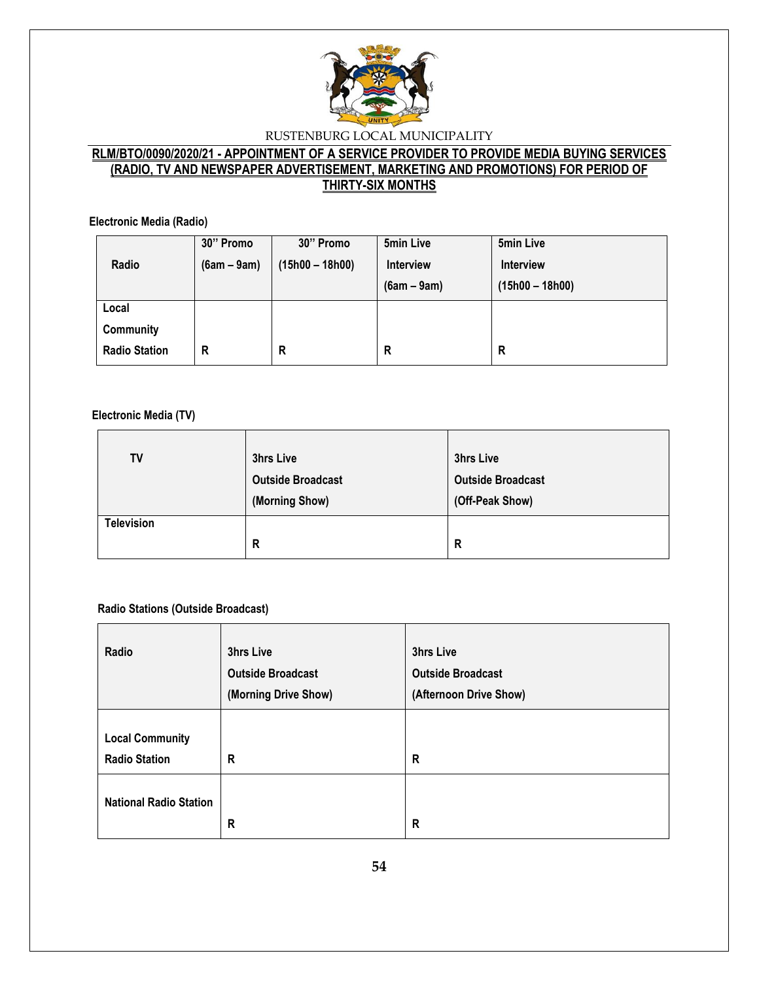

# **RLM/BTO/0090/2020/21 - APPOINTMENT OF A SERVICE PROVIDER TO PROVIDE MEDIA BUYING SERVICES (RADIO, TV AND NEWSPAPER ADVERTISEMENT, MARKETING AND PROMOTIONS) FOR PERIOD OF THIRTY-SIX MONTHS**

**Electronic Media (Radio)**

|                      | 30" Promo     | 30" Promo         | 5min Live        | 5min Live         |
|----------------------|---------------|-------------------|------------------|-------------------|
| Radio                | $(6am - 9am)$ | $(15h00 - 18h00)$ | <b>Interview</b> | <b>Interview</b>  |
|                      |               |                   | $(6am - 9am)$    | $(15h00 - 18h00)$ |
| Local                |               |                   |                  |                   |
| Community            |               |                   |                  |                   |
| <b>Radio Station</b> | R             | R                 | R                | R                 |

#### **Electronic Media (TV)**

| <b>TV</b>         | 3hrs Live                | 3hrs Live                |
|-------------------|--------------------------|--------------------------|
|                   | <b>Outside Broadcast</b> | <b>Outside Broadcast</b> |
|                   | (Morning Show)           | (Off-Peak Show)          |
| <b>Television</b> |                          |                          |
|                   | R                        | R                        |

#### **Radio Stations (Outside Broadcast)**

| Radio                         | 3hrs Live                | 3hrs Live                |
|-------------------------------|--------------------------|--------------------------|
|                               | <b>Outside Broadcast</b> | <b>Outside Broadcast</b> |
|                               | (Morning Drive Show)     | (Afternoon Drive Show)   |
|                               |                          |                          |
| <b>Local Community</b>        |                          |                          |
| <b>Radio Station</b>          | R                        | R                        |
|                               |                          |                          |
| <b>National Radio Station</b> |                          |                          |
|                               | R                        | R                        |